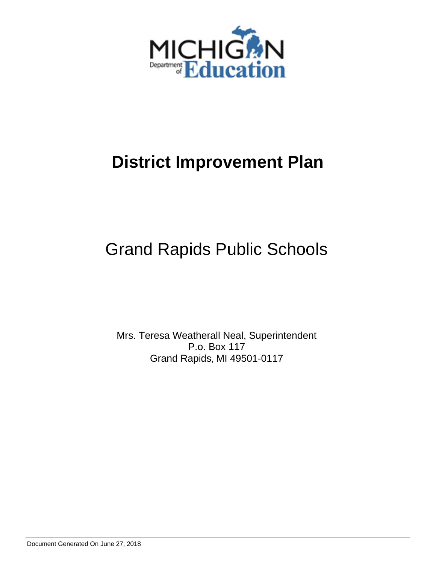

# Grand Rapids Public Schools

Mrs. Teresa Weatherall Neal, Superintendent P.o. Box 117 Grand Rapids, MI 49501-0117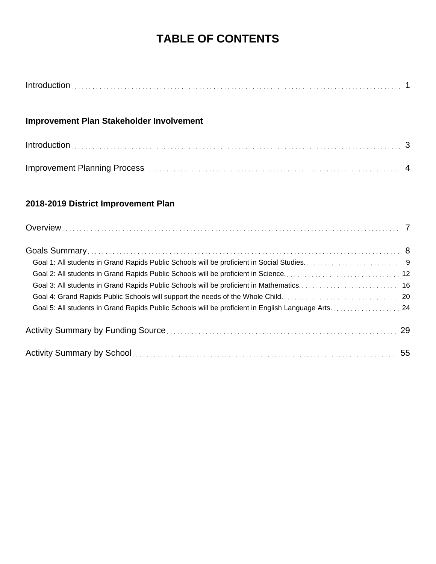# **TABLE OF CONTENTS**

## **Improvement Plan Stakeholder Involvement**

## **2018-2019 District Improvement Plan**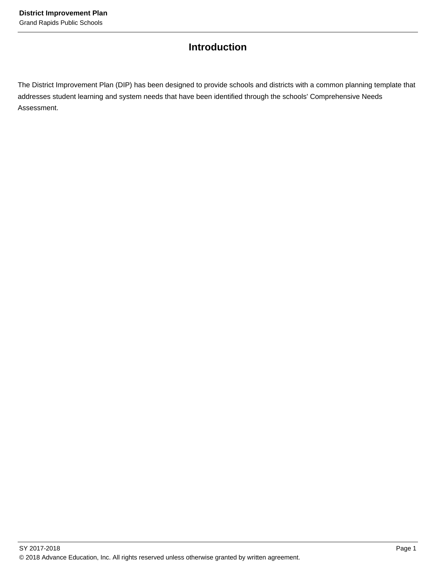## **Introduction**

The District Improvement Plan (DIP) has been designed to provide schools and districts with a common planning template that addresses student learning and system needs that have been identified through the schools' Comprehensive Needs Assessment.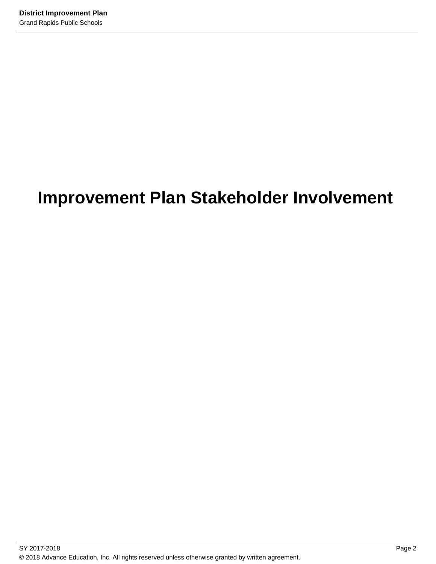# **Improvement Plan Stakeholder Involvement**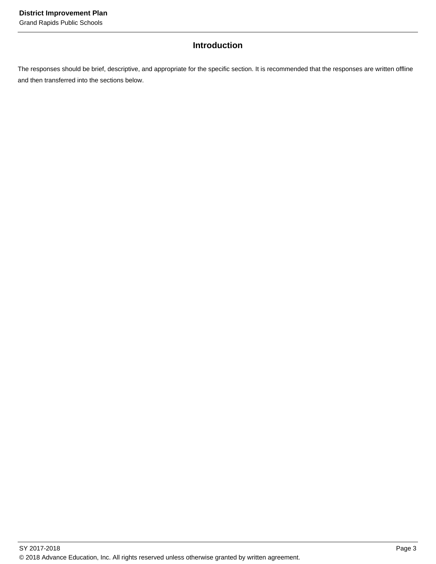### **Introduction**

The responses should be brief, descriptive, and appropriate for the specific section. It is recommended that the responses are written offline and then transferred into the sections below.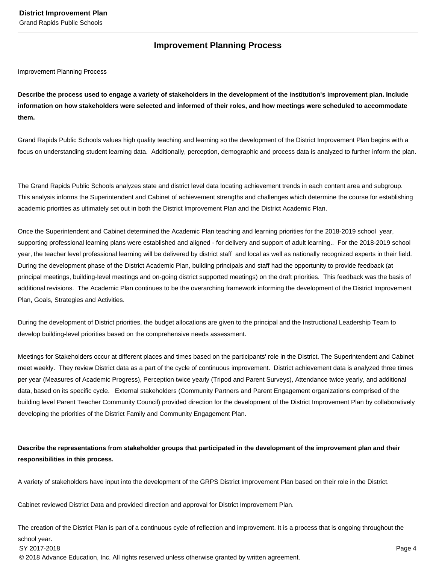### **Improvement Planning Process**

Improvement Planning Process

**Describe the process used to engage a variety of stakeholders in the development of the institution's improvement plan. Include information on how stakeholders were selected and informed of their roles, and how meetings were scheduled to accommodate them.** 

Grand Rapids Public Schools values high quality teaching and learning so the development of the District Improvement Plan begins with a focus on understanding student learning data. Additionally, perception, demographic and process data is analyzed to further inform the plan.

The Grand Rapids Public Schools analyzes state and district level data locating achievement trends in each content area and subgroup. This analysis informs the Superintendent and Cabinet of achievement strengths and challenges which determine the course for establishing academic priorities as ultimately set out in both the District Improvement Plan and the District Academic Plan.

Once the Superintendent and Cabinet determined the Academic Plan teaching and learning priorities for the 2018-2019 school year, supporting professional learning plans were established and aligned - for delivery and support of adult learning.. For the 2018-2019 school year, the teacher level professional learning will be delivered by district staff and local as well as nationally recognized experts in their field. During the development phase of the District Academic Plan, building principals and staff had the opportunity to provide feedback (at principal meetings, building-level meetings and on-going district supported meetings) on the draft priorities. This feedback was the basis of additional revisions. The Academic Plan continues to be the overarching framework informing the development of the District Improvement Plan, Goals, Strategies and Activities.

During the development of District priorities, the budget allocations are given to the principal and the Instructional Leadership Team to develop building-level priorities based on the comprehensive needs assessment.

Meetings for Stakeholders occur at different places and times based on the participants' role in the District. The Superintendent and Cabinet meet weekly. They review District data as a part of the cycle of continuous improvement. District achievement data is analyzed three times per year (Measures of Academic Progress), Perception twice yearly (Tripod and Parent Surveys), Attendance twice yearly, and additional data, based on its specific cycle. External stakeholders (Community Partners and Parent Engagement organizations comprised of the building level Parent Teacher Community Council) provided direction for the development of the District Improvement Plan by collaboratively developing the priorities of the District Family and Community Engagement Plan.

**Describe the representations from stakeholder groups that participated in the development of the improvement plan and their responsibilities in this process.** 

A variety of stakeholders have input into the development of the GRPS District Improvement Plan based on their role in the District.

Cabinet reviewed District Data and provided direction and approval for District Improvement Plan.

The creation of the District Plan is part of a continuous cycle of reflection and improvement. It is a process that is ongoing throughout the

school year.

SY 2017-2018 Page 4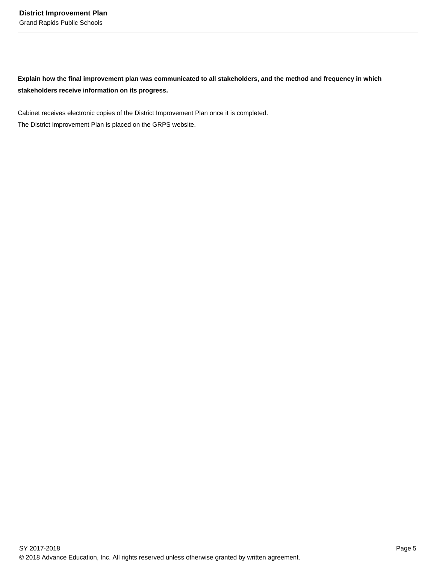**Explain how the final improvement plan was communicated to all stakeholders, and the method and frequency in which stakeholders receive information on its progress.** 

Cabinet receives electronic copies of the District Improvement Plan once it is completed. The District Improvement Plan is placed on the GRPS website.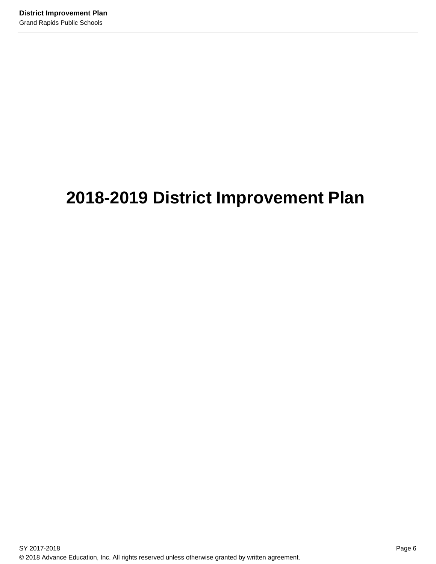# **2018-2019 District Improvement Plan**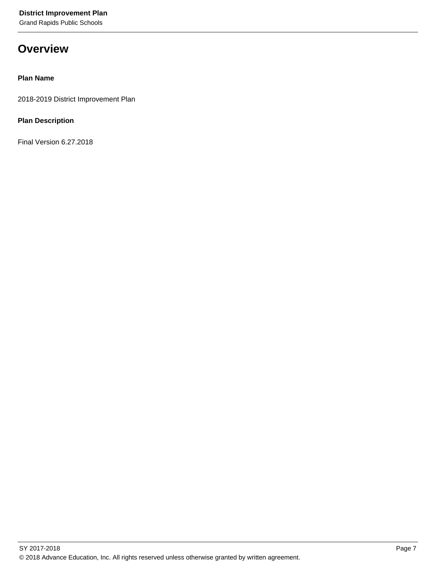Grand Rapids Public Schools

# **Overview**

#### **Plan Name**

2018-2019 District Improvement Plan

#### **Plan Description**

Final Version 6.27.2018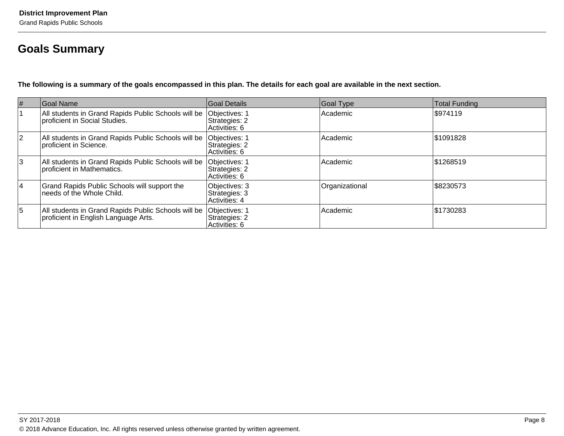# **Goals Summary**

**The following is a summary of the goals encompassed in this plan. The details for each goal are available in the next section.** 

| $\vert \#$     | Goal Name                                                                                   | Goal Details                                           | Goal Type      | Total Funding |
|----------------|---------------------------------------------------------------------------------------------|--------------------------------------------------------|----------------|---------------|
|                | All students in Grand Rapids Public Schools will be<br>proficient in Social Studies.        | Objectives: 1<br>Strategies: 2<br>Activities: 6        | Academic       | \$974119      |
| $\overline{2}$ | All students in Grand Rapids Public Schools will be<br>proficient in Science.               | Objectives: 1<br>Strategies: 2<br>Activities: 6        | Academic       | \$1091828     |
| 3              | All students in Grand Rapids Public Schools will be<br>proficient in Mathematics.           | Objectives: 1<br>Strategies: 2<br>Activities: 6        | Academic       | \$1268519     |
| 4              | Grand Rapids Public Schools will support the<br>needs of the Whole Child.                   | Objectives: 3<br>Strategies: 3<br><b>Activities: 4</b> | Organizational | 88230573      |
| 5              | All students in Grand Rapids Public Schools will be<br>proficient in English Language Arts. | Objectives: 1<br>Strategies: 2<br>Activities: 6        | Academic       | \$1730283     |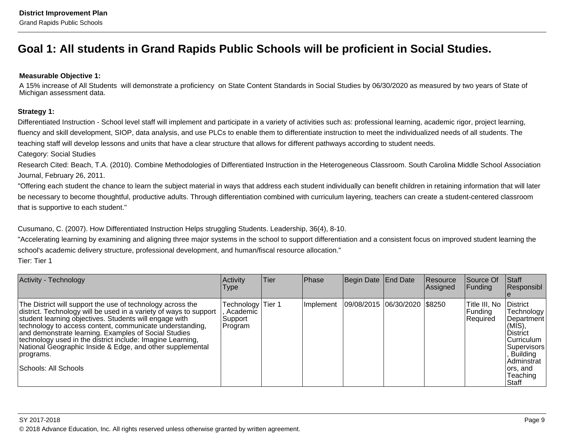# **Goal 1: All students in Grand Rapids Public Schools will be proficient in Social Studies.**

#### **Measurable Objective 1:**

A 15% increase of All Students will demonstrate a proficiency on State Content Standards in Social Studies by 06/30/2020 as measured by two years of State of Michigan assessment data.

#### **Strategy 1:**

Differentiated Instruction - School level staff will implement and participate in a variety of activities such as: professional learning, academic rigor, project learning, fluency and skill development, SIOP, data analysis, and use PLCs to enable them to differentiate instruction to meet the individualized needs of all students. The teaching staff will develop lessons and units that have a clear structure that allows for different pathways according to student needs.

Category: Social Studies

Research Cited: Beach, T.A. (2010). Combine Methodologies of Differentiated Instruction in the Heterogeneous Classroom. South Carolina Middle School Association Journal, February 26, 2011.

"Offering each student the chance to learn the subject material in ways that address each student individually can benefit children in retaining information that will later be necessary to become thoughtful, productive adults. Through differentiation combined with curriculum layering, teachers can create a student-centered classroom that is supportive to each student."

Cusumano, C. (2007). How Differentiated Instruction Helps struggling Students. Leadership, 36(4), 8-10.

"Accelerating learning by examining and aligning three major systems in the school to support differentiation and a consistent focus on improved student learning the school's academic delivery structure, professional development, and human/fiscal resource allocation."

Tier: Tier 1

| <b>Activity - Technology</b>                                                                                                                                                                                                                                                                                                                                                                                                                                                  | Activity<br>Type                                      | <b>Tier</b> | Phase     | Begin Date End Date          | Resource<br>Assigned | Source Of<br><b>Funding</b>            | <b>Staff</b><br>Responsibl                                                                                                                                              |
|-------------------------------------------------------------------------------------------------------------------------------------------------------------------------------------------------------------------------------------------------------------------------------------------------------------------------------------------------------------------------------------------------------------------------------------------------------------------------------|-------------------------------------------------------|-------------|-----------|------------------------------|----------------------|----------------------------------------|-------------------------------------------------------------------------------------------------------------------------------------------------------------------------|
| The District will support the use of technology across the<br>district. Technology will be used in a variety of ways to support<br>student learning objectives. Students will engage with<br>technology to access content, communicate understanding,<br>and demonstrate learning. Examples of Social Studies<br>technology used in the district include: Imagine Learning,<br>National Geographic Inside & Edge, and other supplemental<br>programs.<br>Schools: All Schools | Technology   Tier 1<br>Academic<br>Support<br>Program |             | Implement | 09/08/2015 06/30/2020 \$8250 |                      | Title III, No<br> Funding <br>Required | <b>IDistrict</b><br>Technology<br>Department<br>$(MIS)$ ,<br>l District<br><b>Curriculum</b><br>Supervisors<br>Building<br>IAdminstrat<br>ors, and<br>Teaching<br>Staff |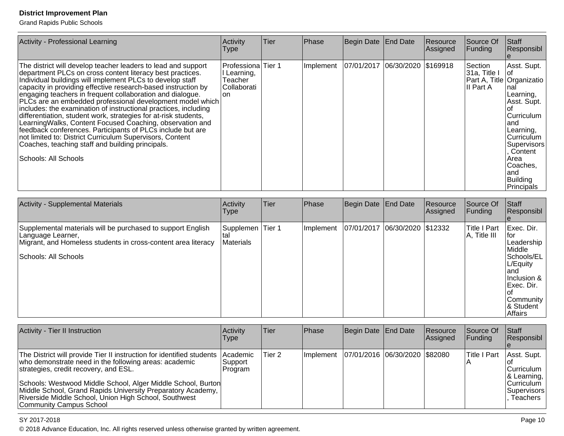Grand Rapids Public Schools

| Activity - Professional Learning                                                                                                                                                                                                                                                                                                                                                                                                                                                                                                                                                                                                                                                                                                                                                             | Activity<br><b>Type</b>                                             | Tier | Phase     | Begin Date End Date            | Resource<br>Assigned | Source Of<br>Funding                  | <b>Staff</b><br>Responsibl                                                                                                                                                                                       |
|----------------------------------------------------------------------------------------------------------------------------------------------------------------------------------------------------------------------------------------------------------------------------------------------------------------------------------------------------------------------------------------------------------------------------------------------------------------------------------------------------------------------------------------------------------------------------------------------------------------------------------------------------------------------------------------------------------------------------------------------------------------------------------------------|---------------------------------------------------------------------|------|-----------|--------------------------------|----------------------|---------------------------------------|------------------------------------------------------------------------------------------------------------------------------------------------------------------------------------------------------------------|
| The district will develop teacher leaders to lead and support<br>department PLCs on cross content literacy best practices.<br>Individual buildings will implement PLCs to develop staff<br>capacity in providing effective research-based instruction by<br>engaging teachers in frequent collaboration and dialogue.<br>PLCs are an embedded professional development model which<br>includes: the examination of instructional practices, including<br>differentiation, student work, strategies for at-risk students,<br>Learning Walks, Content Focused Coaching, observation and<br>feedback conferences. Participants of PLCs include but are<br>not limited to: District Curriculum Supervisors, Content<br>Coaches, teaching staff and building principals.<br> Schools: All Schools | Professiona Tier 1<br>l Learning,<br>Teacher<br>Collaborati<br>lon. |      | Implement | 07/01/2017 06/30/2020 \$169918 |                      | Section<br>31a, Title I<br>III Part A | Asst. Supt.<br>Part A, Title   Organizatio<br>Inal<br>Learning,<br>Asst. Supt.<br>Curriculum<br>land<br>Learning,<br>Curriculum<br>Supervisors<br>Content<br>Area<br>lCoaches.<br>land<br>Building<br>Principals |

| <b>Activity - Supplemental Materials</b>                                                                                                                                  | Activity<br><b>Type</b>        | Tier   | Phase     | Begin Date End Date |                    | <b>Resource</b><br>Assigned | Source Of<br>Funding         | Staff<br>Responsibl                                                                                                                                   |
|---------------------------------------------------------------------------------------------------------------------------------------------------------------------------|--------------------------------|--------|-----------|---------------------|--------------------|-----------------------------|------------------------------|-------------------------------------------------------------------------------------------------------------------------------------------------------|
| Supplemental materials will be purchased to support English<br>Language Learner,<br>Migrant, and Homeless students in cross-content area literacy<br>Schools: All Schools | Supplemen<br>∣tal<br>Materials | Tier 1 | Implement | 07/01/2017          | 06/30/2020 \$12332 |                             | Title I Part<br>A, Title III | Exec. Dir.<br>lfor<br>Leadership<br>Middle<br>Schools/EL<br>L/Equity<br>and<br>Inclusion &<br>IExec. Dir.<br>Community<br>& Student<br><b>Affairs</b> |

| Activity - Tier II Instruction                                                                                                                                                                                                                                                                                                                                                             | Activity<br><b>Type</b>                  | Tier   | Phase                                         | Begin Date End Date | <b>IResource</b><br><b>Assigned</b> | <b>Source Of</b><br><b>Funding</b> | Staff<br>Responsibl                                                                                      |
|--------------------------------------------------------------------------------------------------------------------------------------------------------------------------------------------------------------------------------------------------------------------------------------------------------------------------------------------------------------------------------------------|------------------------------------------|--------|-----------------------------------------------|---------------------|-------------------------------------|------------------------------------|----------------------------------------------------------------------------------------------------------|
| The District will provide Tier II instruction for identified students<br>who demonstrate need in the following areas: academic<br>strategies, credit recovery, and ESL.<br>Schools: Westwood Middle School, Alger Middle School, Burton<br>Middle School, Grand Rapids University Preparatory Academy,<br>Riverside Middle School, Union High School, Southwest<br>Community Campus School | <b>Academic</b><br> Support_<br> Program | Tier 2 | Implement   07/01/2016   06/30/2020   \$82080 |                     |                                     | ITitle I Part                      | Asst. Supt.<br><b>Curriculum</b><br>8 Learning, I<br><b>Curriculum</b><br>Supervisors<br><b>Teachers</b> |

SY 2017-2018 Page 10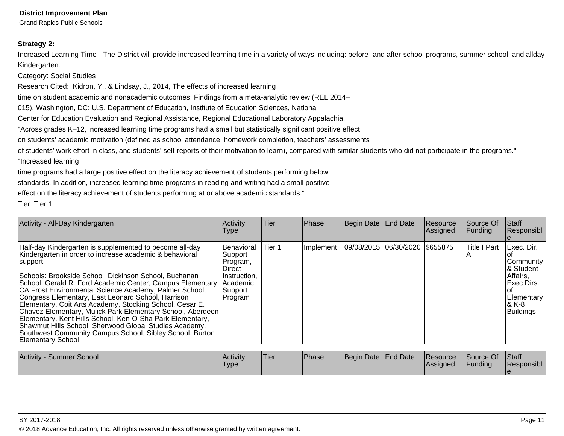Grand Rapids Public Schools

#### **Strategy 2:**

Increased Learning Time - The District will provide increased learning time in a variety of ways including: before- and after-school programs, summer school, and allday Kindergarten.

Category: Social Studies

Research Cited: Kidron, Y., & Lindsay, J., 2014, The effects of increased learning

time on student academic and nonacademic outcomes: Findings from a meta-analytic review (REL 2014–

015), Washington, DC: U.S. Department of Education, Institute of Education Sciences, National

Center for Education Evaluation and Regional Assistance, Regional Educational Laboratory Appalachia.

"Across grades K–12, increased learning time programs had a small but statistically significant positive effect

on students' academic motivation (defined as school attendance, homework completion, teachers' assessments

of students' work effort in class, and students' self-reports of their motivation to learn), compared with similar students who did not participate in the programs."

"Increased learning

time programs had a large positive effect on the literacy achievement of students performing below

standards. In addition, increased learning time programs in reading and writing had a small positive

effect on the literacy achievement of students performing at or above academic standards."

Tier: Tier 1

| Activity - All-Day Kindergarten                                                                                                                                                                                                                                                                                                                                                                                                                                                                                                                                                                                                                                                                                         | Activity<br>Type                                                                           | Tier   | Phase     | Begin Date End Date            | <b>Resource</b><br>Assigned | <b>Source Of</b><br><b>Funding</b> | Staff<br>Responsibl                                                                                 |
|-------------------------------------------------------------------------------------------------------------------------------------------------------------------------------------------------------------------------------------------------------------------------------------------------------------------------------------------------------------------------------------------------------------------------------------------------------------------------------------------------------------------------------------------------------------------------------------------------------------------------------------------------------------------------------------------------------------------------|--------------------------------------------------------------------------------------------|--------|-----------|--------------------------------|-----------------------------|------------------------------------|-----------------------------------------------------------------------------------------------------|
| Half-day Kindergarten is supplemented to become all-day<br>Kindergarten in order to increase academic & behavioral<br>support.<br>Schools: Brookside School, Dickinson School, Buchanan<br>School, Gerald R. Ford Academic Center, Campus Elementary, Academic<br>CA Frost Environmental Science Academy, Palmer School,<br>Congress Elementary, East Leonard School, Harrison<br>Elementary, Coit Arts Academy, Stocking School, Cesar E.<br>Chavez Elementary, Mulick Park Elementary School, Aberdeen<br>Elementary, Kent Hills School, Ken-O-Sha Park Elementary,<br>Shawmut Hills School, Sherwood Global Studies Academy,<br>Southwest Community Campus School, Sibley School, Burton<br><b>Elementary School</b> | <b>Behavioral</b><br>Support<br>Program,<br>l Direct<br>Instruction,<br>Support<br>Program | Tier 1 | Implement | 09/08/2015 06/30/2020 \$655875 |                             | <b>Title I Part</b>                | Exec. Dir.<br>Community<br>& Student<br>Affairs,<br>lExec Dirs.<br>Elementary<br>8 K-8<br>Buildings |

| Activity<br>Summer School | <b>Activity</b><br>'Type | Tier | <b>Phase</b> | Begin Date End Date | <b>IResource</b><br><b>Assigned</b> | Source Of<br><b>Funding</b> | <b>Staff</b><br><b>Responsibl</b> |
|---------------------------|--------------------------|------|--------------|---------------------|-------------------------------------|-----------------------------|-----------------------------------|
|                           |                          |      |              |                     |                                     |                             |                                   |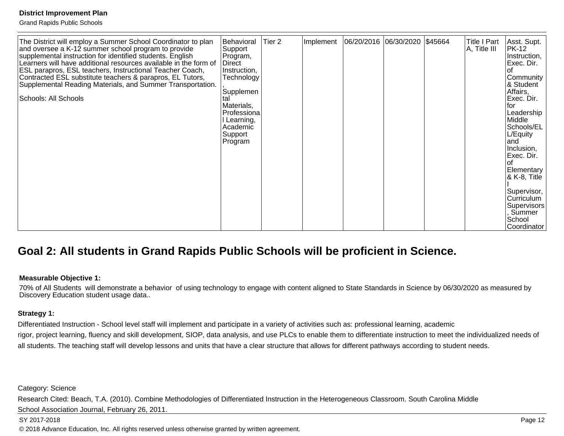Grand Rapids Public Schools

| The District will employ a Summer School Coordinator to plan<br>and oversee a K-12 summer school program to provide<br>supplemental instruction for identified students. English<br>Learners will have additional resources available in the form of<br><b>ESL parapros, ESL teachers, Instructional Teacher Coach,</b><br>Contracted ESL substitute teachers & parapros, EL Tutors,<br>Supplemental Reading Materials, and Summer Transportation.<br>Schools: All Schools<br>tal | Behavioral<br>Support<br>Program,<br>Direct<br>Instruction,<br>Technology<br>Supplemen<br>Materials,<br>Professional<br>l Learning,<br>Academic<br>Support<br>Program | Tier <sub>2</sub> | Implement | 06/20/2016 06/30/2020 \$45664 |  |  | Title I Part<br>A, Title III | Asst. Supt.<br> PK-12<br>Instruction,<br> Exec. Dir.<br>οt<br>Community<br>8. Student<br>Affairs,<br> Exec. Dir.<br>lfor<br>Leadership<br>lMiddle l<br>Schools/EL<br>L/Equity<br>land<br>Inclusion,<br>Exec. Dir.<br>Ωf<br> Elementary  <br> & K-8, Title_<br>Supervisor,<br> Curriculum<br>Supervisors<br>Summer<br>School<br>Coordinator |
|-----------------------------------------------------------------------------------------------------------------------------------------------------------------------------------------------------------------------------------------------------------------------------------------------------------------------------------------------------------------------------------------------------------------------------------------------------------------------------------|-----------------------------------------------------------------------------------------------------------------------------------------------------------------------|-------------------|-----------|-------------------------------|--|--|------------------------------|--------------------------------------------------------------------------------------------------------------------------------------------------------------------------------------------------------------------------------------------------------------------------------------------------------------------------------------------|
|-----------------------------------------------------------------------------------------------------------------------------------------------------------------------------------------------------------------------------------------------------------------------------------------------------------------------------------------------------------------------------------------------------------------------------------------------------------------------------------|-----------------------------------------------------------------------------------------------------------------------------------------------------------------------|-------------------|-----------|-------------------------------|--|--|------------------------------|--------------------------------------------------------------------------------------------------------------------------------------------------------------------------------------------------------------------------------------------------------------------------------------------------------------------------------------------|

# **Goal 2: All students in Grand Rapids Public Schools will be proficient in Science.**

#### **Measurable Objective 1:**

70% of All Students will demonstrate a behavior of using technology to engage with content aligned to State Standards in Science by 06/30/2020 as measured by Discovery Education student usage data..

#### **Strategy 1:**

Differentiated Instruction - School level staff will implement and participate in a variety of activities such as: professional learning, academic

rigor, project learning, fluency and skill development, SIOP, data analysis, and use PLCs to enable them to differentiate instruction to meet the individualized needs of all students. The teaching staff will develop lessons and units that have a clear structure that allows for different pathways according to student needs.

Category: Science

Research Cited: Beach, T.A. (2010). Combine Methodologies of Differentiated Instruction in the Heterogeneous Classroom. South Carolina Middle School Association Journal, February 26, 2011.

#### SY 2017-2018 Page 12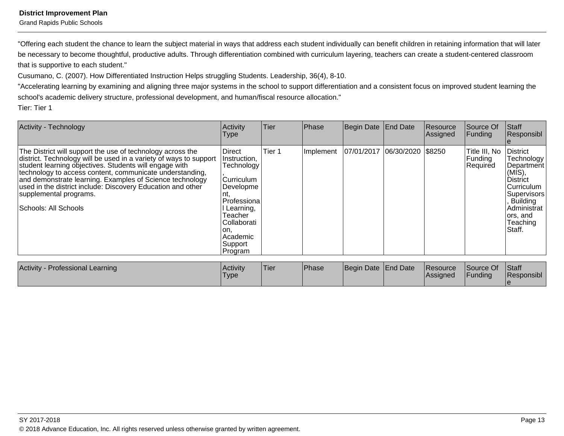Grand Rapids Public Schools

"Offering each student the chance to learn the subject material in ways that address each student individually can benefit children in retaining information that will later be necessary to become thoughtful, productive adults. Through differentiation combined with curriculum layering, teachers can create a student-centered classroom that is supportive to each student."

Cusumano, C. (2007). How Differentiated Instruction Helps struggling Students. Leadership, 36(4), 8-10.

"Accelerating learning by examining and aligning three major systems in the school to support differentiation and a consistent focus on improved student learning the school's academic delivery structure, professional development, and human/fiscal resource allocation."

Tier: Tier 1

| <b>Activity - Technology</b>                                                                                                                                                                                                                                                                                                                                                                                                       | Activity<br><b>Type</b>                                                                                                                                          | <b>Tier</b> | Phase     | Begin Date End Date |                    | Resource<br>Assigned | Source Of<br>Funding                 | Staff<br>Responsibl                                                                                                                                         |
|------------------------------------------------------------------------------------------------------------------------------------------------------------------------------------------------------------------------------------------------------------------------------------------------------------------------------------------------------------------------------------------------------------------------------------|------------------------------------------------------------------------------------------------------------------------------------------------------------------|-------------|-----------|---------------------|--------------------|----------------------|--------------------------------------|-------------------------------------------------------------------------------------------------------------------------------------------------------------|
| The District will support the use of technology across the<br>district. Technology will be used in a variety of ways to support<br>student learning objectives. Students will engage with<br>technology to access content, communicate understanding,<br>and demonstrate learning. Examples of Science technology<br>used in the district include: Discovery Education and other<br>supplemental programs.<br>Schools: All Schools | Direct<br>Instruction,<br>Technology<br>Curriculum<br>Developme<br>Professional<br>Learning,<br>Teacher<br>Collaborati<br>lon,<br>Academic<br>Support<br>Program | Tier 1      | Implement | 07/01/2017          | 06/30/2020 \\$8250 |                      | Title III, No<br>Funding<br>Required | District<br>Technology<br>Department<br>$(MIS)$ ,<br>District<br>Curriculum  <br>Supervisors<br>, Building<br>Administrat<br>ors, and<br>Teaching<br>Staff. |
|                                                                                                                                                                                                                                                                                                                                                                                                                                    |                                                                                                                                                                  |             |           |                     |                    |                      |                                      |                                                                                                                                                             |

| Activity - Professional Learning | <b>Activity</b> | <b>Tier</b> | <b>Phase</b> | Begin Date End Date | Resource        | Source Of      | <b>Staff</b> |
|----------------------------------|-----------------|-------------|--------------|---------------------|-----------------|----------------|--------------|
|                                  | 'Type           |             |              |                     | <b>Assigned</b> | <b>Funding</b> | Responsibl   |
|                                  |                 |             |              |                     |                 |                |              |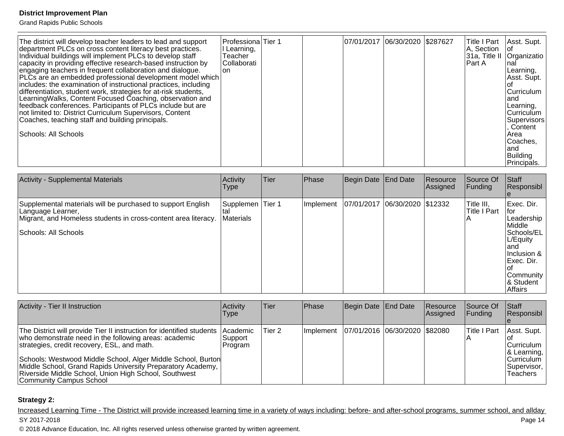Grand Rapids Public Schools

| The district will develop teacher leaders to lead and support<br>department PLCs on cross content literacy best practices.<br>Individual buildings will implement PLCs to develop staff<br>capacity in providing effective research-based instruction by<br>engaging teachers in frequent collaboration and dialogue.<br>PLCs are an embedded professional development model which<br>includes: the examination of instructional practices, including<br>differentiation, student work, strategies for at-risk students,<br>LearningWalks, Content Focused Coaching, observation and<br>feedback conferences. Participants of PLCs include but are<br>not limited to: District Curriculum Supervisors, Content<br>Coaches, teaching staff and building principals.<br> Schools: All Schools | Professiona Tier 1<br>II Learning,<br>Teacher<br>Collaborati<br>Ion |  | 07/01/2017 06/30/2020 \$287627 |  | <b>Title I Part</b><br>A, Section<br><b>Part A</b> | Asst. Supt.<br>∣of<br>31a, Title II Organizatio<br>nal<br> Learning,<br>Asst. Supt.<br>Curriculum<br>land<br>Learning,<br>Curriculum<br>Supervisors<br>. Content<br>Area<br>Coaches,<br>land |
|---------------------------------------------------------------------------------------------------------------------------------------------------------------------------------------------------------------------------------------------------------------------------------------------------------------------------------------------------------------------------------------------------------------------------------------------------------------------------------------------------------------------------------------------------------------------------------------------------------------------------------------------------------------------------------------------------------------------------------------------------------------------------------------------|---------------------------------------------------------------------|--|--------------------------------|--|----------------------------------------------------|----------------------------------------------------------------------------------------------------------------------------------------------------------------------------------------------|
|                                                                                                                                                                                                                                                                                                                                                                                                                                                                                                                                                                                                                                                                                                                                                                                             |                                                                     |  |                                |  |                                                    | Building<br>Principals.                                                                                                                                                                      |

| <b>Activity - Supplemental Materials</b>                                                                                                                                   | Activity<br><b>Type</b>               | Tier | Phase     | Begin Date   End Date         | Resource<br>Assigned | Source Of<br> Funding      | <b>Staff</b><br>Responsibl                                                                                                                              |
|----------------------------------------------------------------------------------------------------------------------------------------------------------------------------|---------------------------------------|------|-----------|-------------------------------|----------------------|----------------------------|---------------------------------------------------------------------------------------------------------------------------------------------------------|
| Supplemental materials will be purchased to support English<br>Language Learner,<br>Migrant, and Homeless students in cross-content area literacy.<br>Schools: All Schools | Supplemen Tier 1<br>Ital<br>Materials |      | Implement | 07/01/2017 06/30/2020 \$12332 |                      | Title III,<br>Title I Part | Exec. Dir.<br>lfor.<br>Leadership<br>Middle<br>Schools/EL<br>L/Equity<br>land<br>Inclusion &<br>IExec. Dir.<br>Community<br>& Student<br><b>Affairs</b> |

| Activity - Tier II Instruction                                                                                                                                                                                                                                                                                                                                                                   | Activity<br>Type                  | lTier. | Phase                                         | Begin Date End Date | Resource<br><b>Assigned</b> | <b>Source Of</b><br> Funding | Staff<br><b>Responsibl</b>                                                            |
|--------------------------------------------------------------------------------------------------------------------------------------------------------------------------------------------------------------------------------------------------------------------------------------------------------------------------------------------------------------------------------------------------|-----------------------------------|--------|-----------------------------------------------|---------------------|-----------------------------|------------------------------|---------------------------------------------------------------------------------------|
| The District will provide Tier II instruction for identified students<br>who demonstrate need in the following areas: academic<br>strategies, credit recovery, ESL, and math.<br>Schools: Westwood Middle School, Alger Middle School, Burton<br>Middle School, Grand Rapids University Preparatory Academy,<br>Riverside Middle School, Union High School, Southwest<br>Community Campus School | Academic<br> Support <br> Program | Tier 2 | Implement   07/01/2016   06/30/2020   \$82080 |                     |                             | <b>Title I Part</b>          | Asst. Supt.<br>Curriculum<br>$ &$ Learning,<br>Curriculum<br>Supervisor,<br>lTeachers |

#### **Strategy 2:**

Increased Learning Time - The District will provide increased learning time in a variety of ways including: before- and after-school programs, summer school, and allday SY 2017-2018 Page 14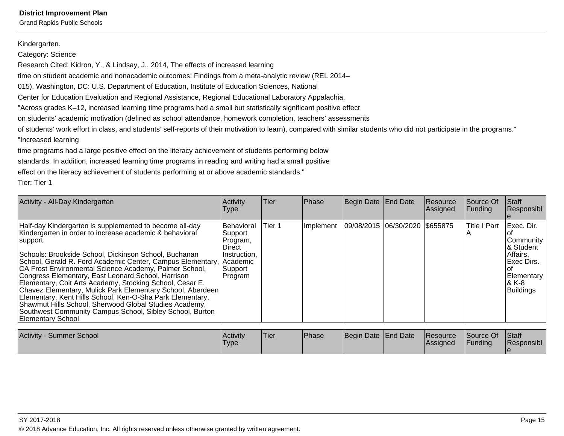Grand Rapids Public Schools

Kindergarten.

Category: Science

Research Cited: Kidron, Y., & Lindsay, J., 2014, The effects of increased learning

time on student academic and nonacademic outcomes: Findings from a meta-analytic review (REL 2014–

015), Washington, DC: U.S. Department of Education, Institute of Education Sciences, National

Center for Education Evaluation and Regional Assistance, Regional Educational Laboratory Appalachia.

"Across grades K–12, increased learning time programs had a small but statistically significant positive effect

on students' academic motivation (defined as school attendance, homework completion, teachers' assessments

of students' work effort in class, and students' self-reports of their motivation to learn), compared with similar students who did not participate in the programs."

"Increased learning

time programs had a large positive effect on the literacy achievement of students performing below

standards. In addition, increased learning time programs in reading and writing had a small positive

effect on the literacy achievement of students performing at or above academic standards."

Tier: Tier 1

| Activity - All-Day Kindergarten                                                                                                                                                                                                                                                                                                                                                                                                                                                                                                                                                                                                                                                                                           | Activity<br><b>Type</b>                                                                   | Tier              | Phase            | Begin Date End Date                                        | Resource<br> Assigned | Source Of<br>Funding                      | <b>Staff</b><br>Responsibl                                                                           |
|---------------------------------------------------------------------------------------------------------------------------------------------------------------------------------------------------------------------------------------------------------------------------------------------------------------------------------------------------------------------------------------------------------------------------------------------------------------------------------------------------------------------------------------------------------------------------------------------------------------------------------------------------------------------------------------------------------------------------|-------------------------------------------------------------------------------------------|-------------------|------------------|------------------------------------------------------------|-----------------------|-------------------------------------------|------------------------------------------------------------------------------------------------------|
| Half-day Kindergarten is supplemented to become all-day<br>Kindergarten in order to increase academic & behavioral<br>support.<br>Schools: Brookside School, Dickinson School, Buchanan<br>School, Gerald R. Ford Academic Center, Campus Elementary, Academic<br>CA Frost Environmental Science Academy, Palmer School,<br>Congress Elementary, East Leonard School, Harrison<br>Elementary, Coit Arts Academy, Stocking School, Cesar E.<br>Chavez Elementary, Mulick Park Elementary School, Aberdeen  <br>Elementary, Kent Hills School, Ken-O-Sha Park Elementary,<br>Shawmut Hills School, Sherwood Global Studies Academy,<br>Southwest Community Campus School, Sibley School, Burton<br><b>Elementary School</b> | <b>Behavioral</b><br> Support<br>Program,<br>Direct<br>Instruction,<br>Support<br>Program | Tier 1            | Implement        | 09/08/2015  06/30/2020   \$655875                          |                       | <b>Title I Part</b>                       | Exec. Dir.<br> Community<br>& Student<br>Affairs,<br>lExec Dirs.<br>Elementary<br>8 K-8<br>Buildings |
| Antivity Cummar Cahaal                                                                                                                                                                                                                                                                                                                                                                                                                                                                                                                                                                                                                                                                                                    | $A_{\text{min}}$ $A_{\text{min}}$                                                         | $TT_{\text{max}}$ | D <sub>max</sub> | $D_{\text{pair}}$ $D_{\text{obs}}$ $ \Gamma_{\text{rad}} $ | D                     | $C_{\text{out}} \cap L$ $C_{\text{init}}$ |                                                                                                      |

| <b>Activity</b><br>⋅ Summer School | <b>Activity</b><br>'Type | <b>Tier</b> | <b>Phase</b> | Begin Date End Date | Resource<br>lAssianed | Source Of<br>Funding | Staff<br>Responsibl |
|------------------------------------|--------------------------|-------------|--------------|---------------------|-----------------------|----------------------|---------------------|
|                                    |                          |             |              |                     |                       |                      |                     |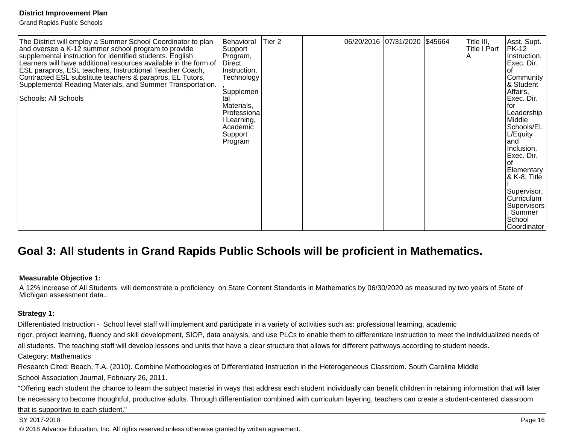Grand Rapids Public Schools

| The District will employ a Summer School Coordinator to plan<br>and oversee a K-12 summer school program to provide<br>supplemental instruction for identified students. English<br>Learners will have additional resources available in the form of<br><b>ESL parapros, ESL teachers, Instructional Teacher Coach,</b><br>Contracted ESL substitute teachers & parapros, EL Tutors,<br>Supplemental Reading Materials, and Summer Transportation.<br>Schools: All Schools | Behavioral<br>Support<br>Program,<br>Direct<br>Instruction,<br>Technology<br>Supplemen<br>tal<br>Materials,<br>Professional<br>l Learning,<br>Academic<br>Support<br>Program | Tier <sub>2</sub> |  | 06/20/2016  07/31/2020  \$45664 |  |  | Title III,<br>Title I Part<br>A | Asst. Supt.<br><b>PK-12</b><br>Instruction,<br> Exec. Dir.<br>οt<br>Community<br>8. Student<br>Affairs,<br> Exec. Dir.<br>lfor<br>Leadership<br>lMiddle l<br>Schools/EL<br>L/Equity<br>land<br>Inclusion,<br>Exec. Dir.<br>Ωf<br> Elementary  <br> & K-8, Title_<br>Supervisor,<br> Curriculum<br>Supervisors<br>Summer<br>School<br>Coordinator |
|----------------------------------------------------------------------------------------------------------------------------------------------------------------------------------------------------------------------------------------------------------------------------------------------------------------------------------------------------------------------------------------------------------------------------------------------------------------------------|------------------------------------------------------------------------------------------------------------------------------------------------------------------------------|-------------------|--|---------------------------------|--|--|---------------------------------|--------------------------------------------------------------------------------------------------------------------------------------------------------------------------------------------------------------------------------------------------------------------------------------------------------------------------------------------------|
|----------------------------------------------------------------------------------------------------------------------------------------------------------------------------------------------------------------------------------------------------------------------------------------------------------------------------------------------------------------------------------------------------------------------------------------------------------------------------|------------------------------------------------------------------------------------------------------------------------------------------------------------------------------|-------------------|--|---------------------------------|--|--|---------------------------------|--------------------------------------------------------------------------------------------------------------------------------------------------------------------------------------------------------------------------------------------------------------------------------------------------------------------------------------------------|

# **Goal 3: All students in Grand Rapids Public Schools will be proficient in Mathematics.**

#### **Measurable Objective 1:**

A 12% increase of All Students will demonstrate a proficiency on State Content Standards in Mathematics by 06/30/2020 as measured by two years of State of Michigan assessment data..

#### **Strategy 1:**

Differentiated Instruction - School level staff will implement and participate in a variety of activities such as: professional learning, academic

rigor, project learning, fluency and skill development, SIOP, data analysis, and use PLCs to enable them to differentiate instruction to meet the individualized needs of all students. The teaching staff will develop lessons and units that have a clear structure that allows for different pathways according to student needs.

#### Category: Mathematics

Research Cited: Beach, T.A. (2010). Combine Methodologies of Differentiated Instruction in the Heterogeneous Classroom. South Carolina Middle School Association Journal, February 26, 2011.

"Offering each student the chance to learn the subject material in ways that address each student individually can benefit children in retaining information that will later be necessary to become thoughtful, productive adults. Through differentiation combined with curriculum layering, teachers can create a student-centered classroom that is supportive to each student."

#### SY 2017-2018 Page 16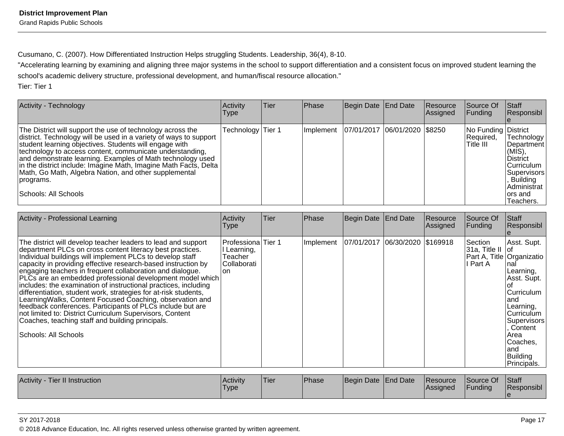Grand Rapids Public Schools

Cusumano, C. (2007). How Differentiated Instruction Helps struggling Students. Leadership, 36(4), 8-10.

"Accelerating learning by examining and aligning three major systems in the school to support differentiation and a consistent focus on improved student learning the school's academic delivery structure, professional development, and human/fiscal resource allocation."

Tier: Tier 1

| <b>Activity - Technology</b>                                                                                                                                                                                                                                                                                                                                                                                                                                                          | Activity<br><b>Type</b> | lTier | Phase            | Begin Date End Date          | Resource<br>Assigned | Source Of<br><b>Funding</b>                     | <b>Staff</b><br>Responsibl                                                                                                                         |
|---------------------------------------------------------------------------------------------------------------------------------------------------------------------------------------------------------------------------------------------------------------------------------------------------------------------------------------------------------------------------------------------------------------------------------------------------------------------------------------|-------------------------|-------|------------------|------------------------------|----------------------|-------------------------------------------------|----------------------------------------------------------------------------------------------------------------------------------------------------|
| The District will support the use of technology across the<br>district. Technology will be used in a variety of ways to support<br>student learning objectives. Students will engage with<br>technology to access content, communicate understanding,<br>and demonstrate learning. Examples of Math technology used<br>in the district include: Imagine Math, Imagine Math Facts, Delta<br>Math, Go Math, Algebra Nation, and other supplemental<br>programs.<br>Schools: All Schools | Technology Tier 1       |       | <b>Implement</b> | 07/01/2017 06/01/2020 \$8250 |                      | No Funding District<br>Required,<br>lTitle III. | Technology<br>Department<br>$(MIS)$ ,<br><b>District</b><br>Curriculum<br><b>Supervisors</b><br>, Building<br>Administrat<br>lors and<br>Teachers. |

| Activity - Professional Learning                                                                                                                                                                                                                                                                                                                                                                                                                                                                                                                                                                                                                                                                                                                                                             | Activity<br><b>Type</b>                                              | Tier | Phase     | Begin Date End Date            | Resource<br>Assigned | Source Of<br>Funding                  | Staff<br>Responsibl                                                                                                                                                                                                             |
|----------------------------------------------------------------------------------------------------------------------------------------------------------------------------------------------------------------------------------------------------------------------------------------------------------------------------------------------------------------------------------------------------------------------------------------------------------------------------------------------------------------------------------------------------------------------------------------------------------------------------------------------------------------------------------------------------------------------------------------------------------------------------------------------|----------------------------------------------------------------------|------|-----------|--------------------------------|----------------------|---------------------------------------|---------------------------------------------------------------------------------------------------------------------------------------------------------------------------------------------------------------------------------|
| The district will develop teacher leaders to lead and support<br>department PLCs on cross content literacy best practices.<br>Individual buildings will implement PLCs to develop staff<br>capacity in providing effective research-based instruction by<br>engaging teachers in frequent collaboration and dialogue.<br>PLCs are an embedded professional development model which<br>includes: the examination of instructional practices, including<br>differentiation, student work, strategies for at-risk students,<br>Learning Walks, Content Focused Coaching, observation and<br>feedback conferences. Participants of PLCs include but are<br>not limited to: District Curriculum Supervisors, Content<br>Coaches, teaching staff and building principals.<br> Schools: All Schools | Professiona Tier 1<br>I Learning,<br>Teacher<br>lCollaborati<br>lon. |      | Implement | 07/01/2017 06/30/2020 \$169918 |                      | Section<br>31a, Title II<br>II Part A | Asst. Supt.<br>⊺of<br>Part A, Title   Organizatio<br>Inal<br>Learning,<br>Asst. Supt.<br>l Ot<br>Curriculum<br>land<br>Learning,<br>Curriculum<br>Supervisors<br>Content<br>Area<br>Coaches,<br>land<br>Building<br>Principals. |
| Activity - Tier II Instruction                                                                                                                                                                                                                                                                                                                                                                                                                                                                                                                                                                                                                                                                                                                                                               | Activity<br><b>Type</b>                                              | Tier | Phase     | Begin Date End Date            | Resource<br>Assigned | Source Of<br>Funding                  | Staff<br>Responsibl                                                                                                                                                                                                             |

© 2018 Advance Education, Inc. All rights reserved unless otherwise granted by written agreement.

e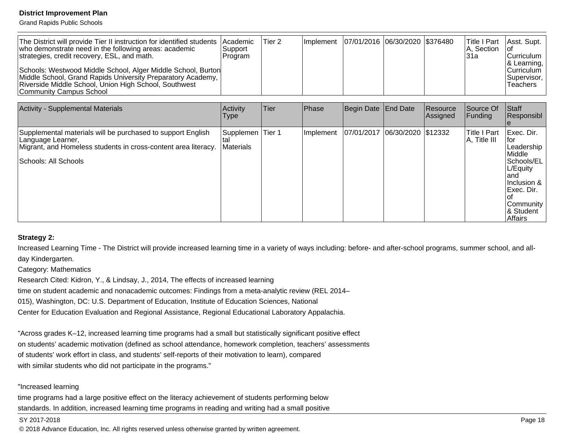Grand Rapids Public Schools

| The District will provide Tier II instruction for identified students Academic<br>who demonstrate need in the following areas: academic<br>strategies, credit recovery, ESL, and math.<br>Schools: Westwood Middle School, Alger Middle School, Burton<br>Middle School, Grand Rapids University Preparatory Academy,  <br>Riverside Middle School, Union High School, Southwest<br>Community Campus School | Support<br> Program | lTier 2 |  | Implement   07/01/2016   06/30/2020   \$376480 |  |  | Title I Part Asst. Supt.<br><b>A.</b> Section<br>l31a | ∣of<br>Curriculum<br>8 Learning,<br>Curriculum<br>Supervisor,<br>Teachers |
|-------------------------------------------------------------------------------------------------------------------------------------------------------------------------------------------------------------------------------------------------------------------------------------------------------------------------------------------------------------------------------------------------------------|---------------------|---------|--|------------------------------------------------|--|--|-------------------------------------------------------|---------------------------------------------------------------------------|
|-------------------------------------------------------------------------------------------------------------------------------------------------------------------------------------------------------------------------------------------------------------------------------------------------------------------------------------------------------------------------------------------------------------|---------------------|---------|--|------------------------------------------------|--|--|-------------------------------------------------------|---------------------------------------------------------------------------|

| <b>Activity - Supplemental Materials</b>                                                                                                                                   | Activity<br>Type              | <b>Tier</b> | Phase     | Begin Date End Date |                    | Resource<br>Assigned | Source Of<br><b>Funding</b>                       | Staff<br>Responsibl                                                                                                                                  |
|----------------------------------------------------------------------------------------------------------------------------------------------------------------------------|-------------------------------|-------------|-----------|---------------------|--------------------|----------------------|---------------------------------------------------|------------------------------------------------------------------------------------------------------------------------------------------------------|
| Supplemental materials will be purchased to support English<br>Language Learner,<br>Migrant, and Homeless students in cross-content area literacy.<br>Schools: All Schools | Supplemen<br><b>Materials</b> | Tier 1      | Implement | 07/01/2017          | 06/30/2020 \$12332 |                      | <b>Title I Part</b><br>$\overline{A}$ , Title III | Exec. Dir.<br>lfor<br>Leadership<br>Middle<br>Schools/EL<br>L/Equity<br>and<br>Inclusion &<br>Exec. Dir.<br>Community<br>& Student<br><b>Affairs</b> |

#### **Strategy 2:**

Increased Learning Time - The District will provide increased learning time in a variety of ways including: before- and after-school programs, summer school, and allday Kindergarten.

Category: Mathematics

Research Cited: Kidron, Y., & Lindsay, J., 2014, The effects of increased learning

time on student academic and nonacademic outcomes: Findings from a meta-analytic review (REL 2014–

015), Washington, DC: U.S. Department of Education, Institute of Education Sciences, National

Center for Education Evaluation and Regional Assistance, Regional Educational Laboratory Appalachia.

"Across grades K–12, increased learning time programs had a small but statistically significant positive effect on students' academic motivation (defined as school attendance, homework completion, teachers' assessments of students' work effort in class, and students' self-reports of their motivation to learn), compared with similar students who did not participate in the programs."

#### "Increased learning

time programs had a large positive effect on the literacy achievement of students performing below standards. In addition, increased learning time programs in reading and writing had a small positive

#### SY 2017-2018 Page 18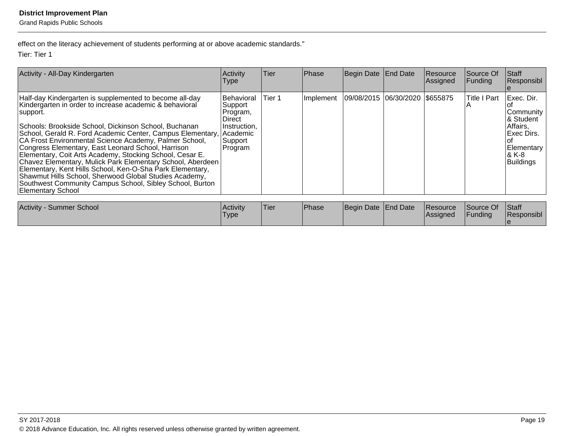Grand Rapids Public Schools

effect on the literacy achievement of students performing at or above academic standards."

Tier: Tier 1

| Activity - All-Day Kindergarten                                                                                                                                                                                                                                                                                                                                                                                                                                                                                                                                                                                                                                                                                         | Activity<br>Type                                                                          | <b>Tier</b> | Phase     | Begin Date End Date            | Resource<br><b>Assigned</b> | Source Of<br><b>Funding</b> | Staff<br>Responsibl                                                                                       |
|-------------------------------------------------------------------------------------------------------------------------------------------------------------------------------------------------------------------------------------------------------------------------------------------------------------------------------------------------------------------------------------------------------------------------------------------------------------------------------------------------------------------------------------------------------------------------------------------------------------------------------------------------------------------------------------------------------------------------|-------------------------------------------------------------------------------------------|-------------|-----------|--------------------------------|-----------------------------|-----------------------------|-----------------------------------------------------------------------------------------------------------|
| Half-day Kindergarten is supplemented to become all-day<br>Kindergarten in order to increase academic & behavioral<br>support.<br>Schools: Brookside School, Dickinson School, Buchanan<br>School, Gerald R. Ford Academic Center, Campus Elementary, Academic<br>CA Frost Environmental Science Academy, Palmer School,<br>Congress Elementary, East Leonard School, Harrison<br>Elementary, Coit Arts Academy, Stocking School, Cesar E.<br>Chavez Elementary, Mulick Park Elementary School, Aberdeen<br>Elementary, Kent Hills School, Ken-O-Sha Park Elementary,<br>Shawmut Hills School, Sherwood Global Studies Academy,<br>Southwest Community Campus School, Sibley School, Burton<br><b>Elementary School</b> | <b>Behavioral</b><br>Support<br>Program,<br>∣Direct<br>Instruction,<br>Support<br>Program | Tier 1      | Implement | 09/08/2015 06/30/2020 \$655875 |                             | <b>Title I Part</b>         | Exec. Dir.<br>Community<br>& Student<br>Affairs,<br>Exec Dirs.<br>Elementary<br>& K-8<br><b>Buildings</b> |
| <b>Activity - Summer School</b>                                                                                                                                                                                                                                                                                                                                                                                                                                                                                                                                                                                                                                                                                         | Activity<br> Type                                                                         | Tier        | Phase     | Begin Date End Date            | Resource<br>Assigned        | Source Of<br><b>Funding</b> | Staff<br>Responsibl                                                                                       |

e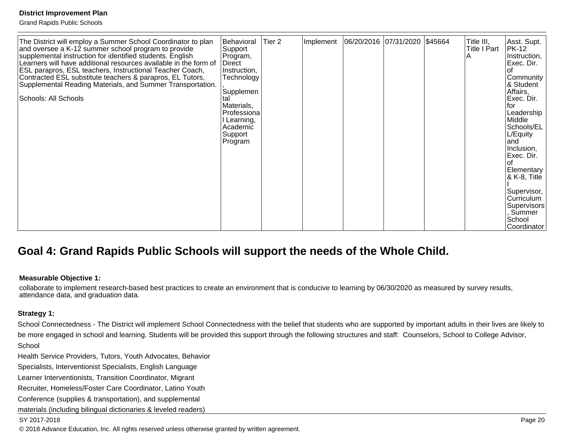Grand Rapids Public Schools

| The District will employ a Summer School Coordinator to plan<br>and oversee a K-12 summer school program to provide<br>supplemental instruction for identified students. English<br>Learners will have additional resources available in the form of<br>ESL parapros, ESL teachers, Instructional Teacher Coach,<br>Contracted ESL substitute teachers & parapros, EL Tutors,<br>Supplemental Reading Materials, and Summer Transportation.<br>Schools: All Schools | Behavioral<br>Support<br>Program,<br> Direct<br>Instruction,<br>Technology<br>Supplemen<br>tal<br>Materials,<br> Professiona <br>I Learning,<br>Academic<br>Support<br>Program | Tier 2 | Implement | 06/20/2016 07/31/2020 \$45664 |  |  | Title III,<br>Title I Part | Asst. Supt.<br>$PK-12$<br>Instruction,<br> Exec. Dir.  <br>Ωf<br> Community  <br>& Student<br>Affairs,<br>Exec. Dir.<br>l for<br>Leadership<br>Middle<br>Schools/EL<br>L/Equity<br>land<br>Inclusion,<br>Exec. Dir.<br>Ωf<br>Elementary<br> & K-8, Title_<br>Supervisor,<br>Curriculum<br>Supervisors<br>Summer<br>School |
|---------------------------------------------------------------------------------------------------------------------------------------------------------------------------------------------------------------------------------------------------------------------------------------------------------------------------------------------------------------------------------------------------------------------------------------------------------------------|--------------------------------------------------------------------------------------------------------------------------------------------------------------------------------|--------|-----------|-------------------------------|--|--|----------------------------|---------------------------------------------------------------------------------------------------------------------------------------------------------------------------------------------------------------------------------------------------------------------------------------------------------------------------|
|---------------------------------------------------------------------------------------------------------------------------------------------------------------------------------------------------------------------------------------------------------------------------------------------------------------------------------------------------------------------------------------------------------------------------------------------------------------------|--------------------------------------------------------------------------------------------------------------------------------------------------------------------------------|--------|-----------|-------------------------------|--|--|----------------------------|---------------------------------------------------------------------------------------------------------------------------------------------------------------------------------------------------------------------------------------------------------------------------------------------------------------------------|

# **Goal 4: Grand Rapids Public Schools will support the needs of the Whole Child.**

#### **Measurable Objective 1:**

collaborate to implement research-based best practices to create an environment that is conducive to learning by 06/30/2020 as measured by survey results, attendance data, and graduation data.

#### **Strategy 1:**

School Connectedness - The District will implement School Connectedness with the belief that students who are supported by important adults in their lives are likely to be more engaged in school and learning. Students will be provided this support through the following structures and staff: Counselors, School to College Advisor, **School** 

Health Service Providers, Tutors, Youth Advocates, Behavior

Specialists, Interventionist Specialists, English Language

Learner Interventionists, Transition Coordinator, Migrant

Recruiter, Homeless/Foster Care Coordinator, Latino Youth

Conference (supplies & transportation), and supplemental

materials (including bilingual dictionaries & leveled readers)

#### SY 2017-2018 Page 20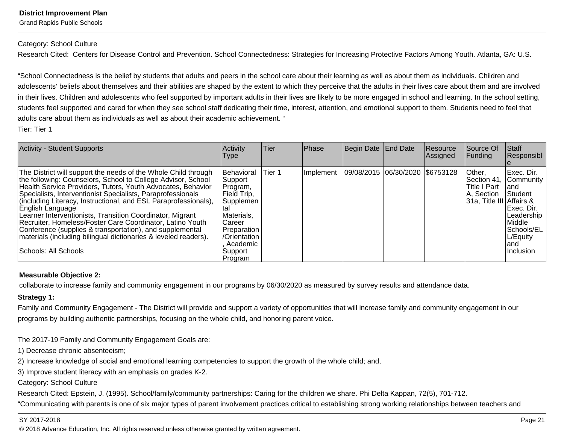Grand Rapids Public Schools

#### Category: School Culture

Research Cited: Centers for Disease Control and Prevention. School Connectedness: Strategies for Increasing Protective Factors Among Youth. Atlanta, GA: U.S.

"School Connectedness is the belief by students that adults and peers in the school care about their learning as well as about them as individuals. Children and adolescents' beliefs about themselves and their abilities are shaped by the extent to which they perceive that the adults in their lives care about them and are involved in their lives. Children and adolescents who feel supported by important adults in their lives are likely to be more engaged in school and learning. In the school setting, students feel supported and cared for when they see school staff dedicating their time, interest, attention, and emotional support to them. Students need to feel that adults care about them as individuals as well as about their academic achievement. "

Tier: Tier 1

| <b>Activity - Student Supports</b>                                                                                                                                                                                                                                                                                                                                                                                                                                                                                                                                                                                                      | Activity<br>Type                                                                                                                                              | <b>Tier</b> | Phase     | Begin Date   End Date              | Resource<br>Assigned | <b>ISource Of</b><br>lFundina l                                                            | Staff<br>Responsibl                                                                                                 |
|-----------------------------------------------------------------------------------------------------------------------------------------------------------------------------------------------------------------------------------------------------------------------------------------------------------------------------------------------------------------------------------------------------------------------------------------------------------------------------------------------------------------------------------------------------------------------------------------------------------------------------------------|---------------------------------------------------------------------------------------------------------------------------------------------------------------|-------------|-----------|------------------------------------|----------------------|--------------------------------------------------------------------------------------------|---------------------------------------------------------------------------------------------------------------------|
| The District will support the needs of the Whole Child through<br>the following: Counselors, School to College Advisor, School<br>Health Service Providers, Tutors, Youth Advocates, Behavior<br>Specialists, Interventionist Specialists, Paraprofessionals<br>(including Literacy, Instructional, and ESL Paraprofessionals),<br> English Language <br>Learner Interventionists, Transition Coordinator, Migrant<br>Recruiter, Homeless/Foster Care Coordinator, Latino Youth<br>Conference (supplies & transportation), and supplemental<br>materials (including bilingual dictionaries & leveled readers).<br> Schools: All Schools | Behavioral<br>Support<br>Program,<br>Field Trip,<br>Supplemen<br>Materials,<br>Career<br><b>Preparation</b><br>/Orientation<br>Academic<br>Support<br>Program | Tier 1      | Implement | 09/08/2015  06/30/2020   \$6753128 |                      | Other,<br>Section 41, Community<br>Title I Part<br>IA, Section<br>31a, Title III Affairs & | IExec. Dir.<br>and<br>Student<br>IExec. Dir.<br>Leadership<br>Middle<br>Schools/EL<br>L/Equity<br>land<br>Inclusion |

#### **Measurable Objective 2:**

collaborate to increase family and community engagement in our programs by 06/30/2020 as measured by survey results and attendance data.

#### **Strategy 1:**

Family and Community Engagement - The District will provide and support a variety of opportunities that will increase family and community engagement in our programs by building authentic partnerships, focusing on the whole child, and honoring parent voice.

The 2017-19 Family and Community Engagement Goals are:

1) Decrease chronic absenteeism;

2) Increase knowledge of social and emotional learning competencies to support the growth of the whole child; and,

3) Improve student literacy with an emphasis on grades K-2.

Category: School Culture

Research Cited: Epstein, J. (1995). School/family/community partnerships: Caring for the children we share. Phi Delta Kappan, 72(5), 701-712.

"Communicating with parents is one of six major types of parent involvement practices critical to establishing strong working relationships between teachers and

#### SY 2017-2018 Page 21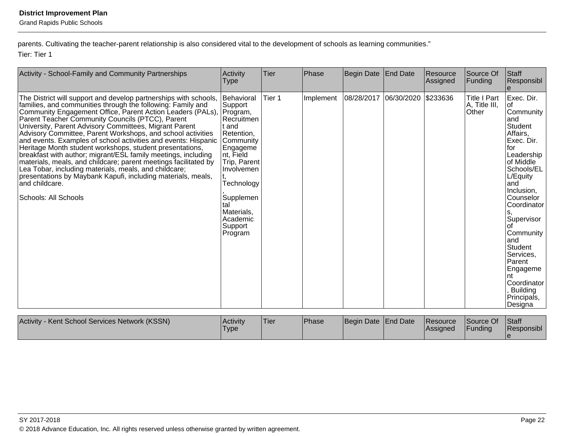Grand Rapids Public Schools

parents. Cultivating the teacher-parent relationship is also considered vital to the development of schools as learning communities." Tier: Tier 1

| Activity - School-Family and Community Partnerships                                                                                                                                                                                                                                                                                                                                                                                                                                                                                                                                                                                                                                                                                                                                                                      | Activity<br>Type                                                                                                                                                                                                    | Tier   | Phase     | Begin Date End Date               | Resource<br>Assigned | Source Of<br>Funding                          | Staff<br>Responsibl                                                                                                                                                                                                                                                                                                                     |
|--------------------------------------------------------------------------------------------------------------------------------------------------------------------------------------------------------------------------------------------------------------------------------------------------------------------------------------------------------------------------------------------------------------------------------------------------------------------------------------------------------------------------------------------------------------------------------------------------------------------------------------------------------------------------------------------------------------------------------------------------------------------------------------------------------------------------|---------------------------------------------------------------------------------------------------------------------------------------------------------------------------------------------------------------------|--------|-----------|-----------------------------------|----------------------|-----------------------------------------------|-----------------------------------------------------------------------------------------------------------------------------------------------------------------------------------------------------------------------------------------------------------------------------------------------------------------------------------------|
| The District will support and develop partnerships with schools,<br>families, and communities through the following: Family and<br>Community Engagement Office, Parent Action Leaders (PALs), Program,<br>Parent Teacher Community Councils (PTCC), Parent<br>University, Parent Advisory Committees, Migrant Parent<br>Advisory Committee, Parent Workshops, and school activities<br>and events. Examples of school activities and events: Hispanic<br>Heritage Month student workshops, student presentations,<br>breakfast with author; migrant/ESL family meetings, including<br>materials, meals, and childcare; parent meetings facilitated by<br>Lea Tobar, including materials, meals, and childcare;<br>presentations by Maybank Kapufi, including materials, meals,<br>and childcare.<br>Schools: All Schools | Behavioral<br>Support<br>Recruitmen<br>lt and<br>Retention,<br>Community<br>Engageme<br>Int, Field<br>Trip, Parent<br>Involvemen<br>Technology<br>Supplemen<br>Ital<br>Materials,<br>Academic<br>Support<br>Program | Tier 1 | Implement | 08/28/2017  06/30/2020   \$233636 |                      | <b>Title I Part</b><br>A, Title III,<br>Other | Exec. Dir.<br>Community<br>land<br>Student<br>Affairs,<br>Exec. Dir.<br>lfor<br>Leadership<br>of Middle<br>Schools/EL<br>L/Equity<br>land<br>Inclusion,<br>Counselor<br>Coordinator<br>Supervisor<br>Community<br>land<br>Student<br>Services,<br>Parent<br>Engageme<br>Int<br>Coordinator<br><b>Building</b><br>Principals,<br>Designa |

| Activity - Kent School Services Network (KSSN) | <b>Activity</b><br>'Type | <sup>1</sup> Tier | <b>Phase</b> | Begin Date End Date | <b>Resource</b><br>Assigned | Source Of<br>Funding | <b>Staff</b><br>Responsibl |
|------------------------------------------------|--------------------------|-------------------|--------------|---------------------|-----------------------------|----------------------|----------------------------|
|                                                |                          |                   |              |                     |                             |                      |                            |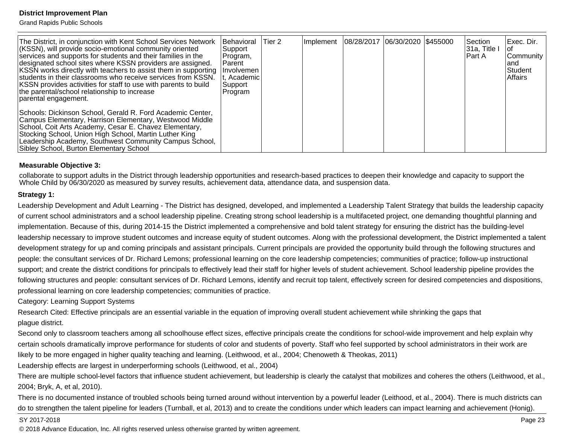Grand Rapids Public Schools

| The District, in conjunction with Kent School Services Network<br>(KSSN), will provide socio-emotional community oriented<br>services and supports for students and their families in the<br>designated school sites where KSSN providers are assigned.<br>KSSN works directly with teachers to assist them in supporting<br>students in their classrooms who receive services from KSSN.<br>KSSN provides activities for staff to use with parents to build<br>the parental/school relationship to increase<br>parental engagement. | Behavioral<br> Support <br>Program,<br><b>IParent</b><br>Involvemen<br>t, Academic<br>Support<br>Program | Tier 2 | Implement | 08/28/2017 06/30/2020 \$455000 |  | Section<br>131a. Title I<br>IPart A | IExec. Dir.<br>lof<br>Community<br>land<br>Student<br><b>Affairs</b> |
|--------------------------------------------------------------------------------------------------------------------------------------------------------------------------------------------------------------------------------------------------------------------------------------------------------------------------------------------------------------------------------------------------------------------------------------------------------------------------------------------------------------------------------------|----------------------------------------------------------------------------------------------------------|--------|-----------|--------------------------------|--|-------------------------------------|----------------------------------------------------------------------|
| Schools: Dickinson School, Gerald R. Ford Academic Center,<br>Campus Elementary, Harrison Elementary, Westwood Middle<br>School, Coit Arts Academy, Cesar E. Chavez Elementary,<br>Stocking School, Union High School, Martin Luther King<br>Leadership Academy, Southwest Community Campus School,<br>Sibley School, Burton Elementary School                                                                                                                                                                                       |                                                                                                          |        |           |                                |  |                                     |                                                                      |

#### **Measurable Objective 3:**

collaborate to support adults in the District through leadership opportunities and research-based practices to deepen their knowledge and capacity to support the Whole Child by 06/30/2020 as measured by survey results, achievement data, attendance data, and suspension data.

#### **Strategy 1:**

Leadership Development and Adult Learning - The District has designed, developed, and implemented a Leadership Talent Strategy that builds the leadership capacity of current school administrators and a school leadership pipeline. Creating strong school leadership is a multifaceted project, one demanding thoughtful planning and implementation. Because of this, during 2014-15 the District implemented a comprehensive and bold talent strategy for ensuring the district has the building-level leadership necessary to improve student outcomes and increase equity of student outcomes. Along with the professional development, the District implemented a talent development strategy for up and coming principals and assistant principals. Current principals are provided the opportunity build through the following structures and people: the consultant services of Dr. Richard Lemons; professional learning on the core leadership competencies; communities of practice; follow-up instructional support; and create the district conditions for principals to effectively lead their staff for higher levels of student achievement. School leadership pipeline provides the following structures and people: consultant services of Dr. Richard Lemons, identify and recruit top talent, effectively screen for desired competencies and dispositions, professional learning on core leadership competencies; communities of practice.

Category: Learning Support Systems

Research Cited: Effective principals are an essential variable in the equation of improving overall student achievement while shrinking the gaps that plague district.

Second only to classroom teachers among all schoolhouse effect sizes, effective principals create the conditions for school-wide improvement and help explain why certain schools dramatically improve performance for students of color and students of poverty. Staff who feel supported by school administrators in their work are likely to be more engaged in higher quality teaching and learning. (Leithwood, et al., 2004; Chenoweth & Theokas, 2011)

Leadership effects are largest in underperforming schools (Leithwood, et al., 2004)

There are multiple school-level factors that influence student achievement, but leadership is clearly the catalyst that mobilizes and coheres the others (Leithwood, et al., 2004; Bryk, A, et al, 2010).

There is no documented instance of troubled schools being turned around without intervention by a powerful leader (Leithood, et al., 2004). There is much districts can do to strengthen the talent pipeline for leaders (Turnball, et al, 2013) and to create the conditions under which leaders can impact learning and achievement (Honig).

#### SY 2017-2018 Page 23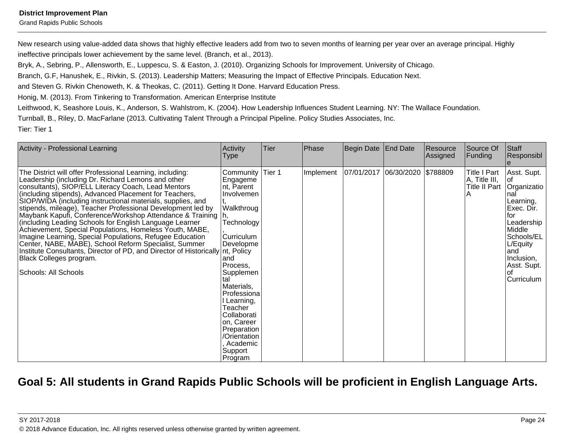Grand Rapids Public Schools

New research using value-added data shows that highly effective leaders add from two to seven months of learning per year over an average principal. Highly ineffective principals lower achievement by the same level. (Branch, et al., 2013).

Bryk, A., Sebring, P., Allensworth, E., Luppescu, S. & Easton, J. (2010). Organizing Schools for Improvement. University of Chicago.

Branch, G.F, Hanushek, E., Rivkin, S. (2013). Leadership Matters; Measuring the Impact of Effective Principals. Education Next.

and Steven G. Rivkin Chenoweth, K. & Theokas, C. (2011). Getting It Done. Harvard Education Press.

Honig, M. (2013). From Tinkering to Transformation. American Enterprise Institute

Leithwood, K, Seashore Louis, K., Anderson, S. Wahlstrom, K. (2004). How Leadership Influences Student Learning. NY: The Wallace Foundation.

Turnball, B., Riley, D. MacFarlane (2013. Cultivating Talent Through a Principal Pipeline. Policy Studies Associates, Inc.

Tier: Tier 1

| Activity - Professional Learning                                                                                                                                                                                                                                                                                                                                                                                                                                                                                                                                                                                                                                                                                                                                                                              | Activity<br><b>Type</b>                                                                                                                                                                                                                                                                                         | Tier | Phase     | Begin Date | End Date            | Resource<br>Assigned | Source Of<br>Funding                                         | Staff<br>Responsibl                                                                                                                                                                    |
|---------------------------------------------------------------------------------------------------------------------------------------------------------------------------------------------------------------------------------------------------------------------------------------------------------------------------------------------------------------------------------------------------------------------------------------------------------------------------------------------------------------------------------------------------------------------------------------------------------------------------------------------------------------------------------------------------------------------------------------------------------------------------------------------------------------|-----------------------------------------------------------------------------------------------------------------------------------------------------------------------------------------------------------------------------------------------------------------------------------------------------------------|------|-----------|------------|---------------------|----------------------|--------------------------------------------------------------|----------------------------------------------------------------------------------------------------------------------------------------------------------------------------------------|
| The District will offer Professional Learning, including:<br>Leadership (including Dr. Richard Lemons and other<br>consultants), SIOP/ELL Literacy Coach, Lead Mentors<br>(including stipends), Advanced Placement for Teachers,<br>SIOP/WIDA (including instructional materials, supplies, and<br>stipends, mileage), Teacher Professional Development led by<br>Maybank Kapufi, Conference/Workshop Attendance & Training h<br>(including Leading Schools for English Language Learner<br>Achievement, Special Populations, Homeless Youth, MABE,<br>Imagine Learning, Special Populations, Refugee Education<br>Center, NABE, MABE), School Reform Specialist, Summer<br>Institute Consultants, Director of PD, and Director of Historically nt, Policy<br>Black Colleges program.<br>Schools: All Schools | Community   Tier 1<br>Engageme<br>nt, Parent<br>Involvemen<br>Walkthroug<br>Technology<br>Curriculum<br>Developme<br>land<br>Process.<br>Supplemen<br>Ital<br>Materials,<br>Professiona<br>I Learning,<br>Teacher<br>Collaborati<br>on, Career<br>Preparation<br>/Orientation<br>Academic<br>Support<br>Program |      | Implement | 07/01/2017 | 06/30/2020 \$788809 |                      | <b>Title I Part</b><br>A, Title III,<br><b>Title II Part</b> | Asst. Supt.<br>l of<br>Organizatio<br>nal<br>Learning,<br>Exec. Dir.<br>for<br>Leadership<br>Middle<br>Schools/EL<br>L/Equity<br>land<br>Inclusion,<br>Asst. Supt.<br>Ωf<br>Curriculum |

# **Goal 5: All students in Grand Rapids Public Schools will be proficient in English Language Arts.**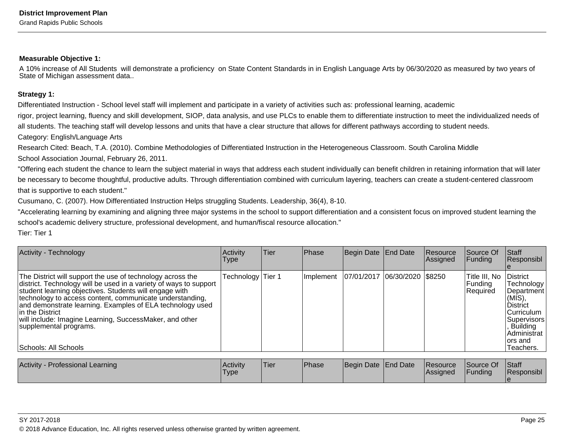Grand Rapids Public Schools

#### **Measurable Objective 1:**

A 10% increase of All Students will demonstrate a proficiency on State Content Standards in in English Language Arts by 06/30/2020 as measured by two years of State of Michigan assessment data..

#### **Strategy 1:**

Differentiated Instruction - School level staff will implement and participate in a variety of activities such as: professional learning, academic

rigor, project learning, fluency and skill development, SIOP, data analysis, and use PLCs to enable them to differentiate instruction to meet the individualized needs of all students. The teaching staff will develop lessons and units that have a clear structure that allows for different pathways according to student needs.

Category: English/Language Arts

Research Cited: Beach, T.A. (2010). Combine Methodologies of Differentiated Instruction in the Heterogeneous Classroom. South Carolina Middle School Association Journal, February 26, 2011.

"Offering each student the chance to learn the subject material in ways that address each student individually can benefit children in retaining information that will later be necessary to become thoughtful, productive adults. Through differentiation combined with curriculum layering, teachers can create a student-centered classroom that is supportive to each student."

Cusumano, C. (2007). How Differentiated Instruction Helps struggling Students. Leadership, 36(4), 8-10.

"Accelerating learning by examining and aligning three major systems in the school to support differentiation and a consistent focus on improved student learning the school's academic delivery structure, professional development, and human/fiscal resource allocation."

Tier: Tier 1

| Activity - Technology                                                                                                                                                                                                                                                                                                                                                                                                                              | Activity<br>Type  | <b>Tier</b> | Phase     | Begin Date End Date          | Resource<br>Assigned | Source Of<br><b>Funding</b>          | <b>Staff</b><br>Responsibl                                                                                                                            |
|----------------------------------------------------------------------------------------------------------------------------------------------------------------------------------------------------------------------------------------------------------------------------------------------------------------------------------------------------------------------------------------------------------------------------------------------------|-------------------|-------------|-----------|------------------------------|----------------------|--------------------------------------|-------------------------------------------------------------------------------------------------------------------------------------------------------|
| The District will support the use of technology across the<br>district. Technology will be used in a variety of ways to support<br>student learning objectives. Students will engage with<br>technology to access content, communicate understanding,<br>and demonstrate learning. Examples of ELA technology used<br>In the District<br>will include: Imagine Learning, SuccessMaker, and other<br>supplemental programs.<br>Schools: All Schools | Technology Tier 1 |             | Implement | 07/01/2017 06/30/2020 \$8250 |                      | Title III, No<br>Funding<br>Required | District<br>Technology<br>Department<br>$(MIS)$ ,<br><b>District</b><br>Curriculum<br>Supervisors<br>Building<br>Administrat<br>lors and<br>Teachers. |

| Activity - Professional Learning | <b>Activity</b><br><sup>1</sup> Type | <b>Tier</b> | Phase | Begin Date End Date | Resource<br>lAssianed | Source Of<br><b>Funding</b> | <b>Staff</b><br>Responsibl |
|----------------------------------|--------------------------------------|-------------|-------|---------------------|-----------------------|-----------------------------|----------------------------|
|                                  |                                      |             |       |                     |                       |                             |                            |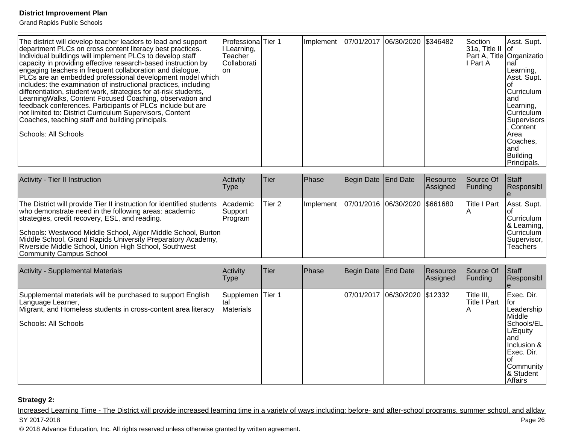Grand Rapids Public Schools

| The district will develop teacher leaders to lead and support<br>department PLCs on cross content literacy best practices.<br>Individual buildings will implement PLCs to develop staff<br>capacity in providing effective research-based instruction by<br>engaging teachers in frequent collaboration and dialogue.<br>PLCs are an embedded professional development model which<br>includes: the examination of instructional practices, including<br>differentiation, student work, strategies for at-risk students,<br>LearningWalks, Content Focused Coaching, observation and<br>feedback conferences. Participants of PLCs include but are<br>not limited to: District Curriculum Supervisors, Content<br>Coaches, teaching staff and building principals.<br>Schools: All Schools | Professiona Tier 1<br>II Learning,<br>Teacher<br>Collaborati<br>Ion |  | Implement   07/01/2017   06/30/2020   \$346482 |  |  |  | Section<br>$31a$ , Title II of<br>Part A, Title Organizatio<br>I Part A | Asst. Supt.<br>nal<br> Learning,<br>Asst. Supt.<br>Curriculum<br>land<br>Learning,<br>Curriculum<br>Supervisors<br>Content<br><b>Area</b><br>Coaches,<br>land<br>Building |
|--------------------------------------------------------------------------------------------------------------------------------------------------------------------------------------------------------------------------------------------------------------------------------------------------------------------------------------------------------------------------------------------------------------------------------------------------------------------------------------------------------------------------------------------------------------------------------------------------------------------------------------------------------------------------------------------------------------------------------------------------------------------------------------------|---------------------------------------------------------------------|--|------------------------------------------------|--|--|--|-------------------------------------------------------------------------|---------------------------------------------------------------------------------------------------------------------------------------------------------------------------|
|--------------------------------------------------------------------------------------------------------------------------------------------------------------------------------------------------------------------------------------------------------------------------------------------------------------------------------------------------------------------------------------------------------------------------------------------------------------------------------------------------------------------------------------------------------------------------------------------------------------------------------------------------------------------------------------------------------------------------------------------------------------------------------------------|---------------------------------------------------------------------|--|------------------------------------------------|--|--|--|-------------------------------------------------------------------------|---------------------------------------------------------------------------------------------------------------------------------------------------------------------------|

| Activity - Tier II Instruction                                                                                                                                                                                                                                                                                                                                                                      | Activity<br><b>Type</b>                | lTier  | <b>Phase</b>     | Begin Date End Date              | <b>Resource</b><br><b>Assigned</b> | Source Of<br><b>IFunding</b> | <b>Staff</b><br>Responsibl                                                                |
|-----------------------------------------------------------------------------------------------------------------------------------------------------------------------------------------------------------------------------------------------------------------------------------------------------------------------------------------------------------------------------------------------------|----------------------------------------|--------|------------------|----------------------------------|------------------------------------|------------------------------|-------------------------------------------------------------------------------------------|
| The District will provide Tier II instruction for identified students<br>who demonstrate need in the following areas: academic<br>strategies, credit recovery, ESL, and reading.<br>Schools: Westwood Middle School, Alger Middle School, Burton<br>Middle School, Grand Rapids University Preparatory Academy,<br>Riverside Middle School, Union High School, Southwest<br>Community Campus School | <b>Academic</b><br>Support<br> Program | Tier 2 | <b>Implement</b> | 07/01/2016  06/30/2020  \$661680 |                                    | Title I Part                 | Asst. Supt.<br>Curriculum<br>8 Learning,<br><b>ICurriculum</b><br>Supervisor,<br>Teachers |

| <b>Activity - Supplemental Materials</b>                                                                                                                                  | Activity<br> Type              | Tier   | Phase | Begin Date End Date |                    | Resource<br>Assigned | Source Of<br><b>Funding</b>                       | Staff<br>Responsibl                                                                                                                                  |
|---------------------------------------------------------------------------------------------------------------------------------------------------------------------------|--------------------------------|--------|-------|---------------------|--------------------|----------------------|---------------------------------------------------|------------------------------------------------------------------------------------------------------------------------------------------------------|
| Supplemental materials will be purchased to support English<br>Language Learner,<br>Migrant, and Homeless students in cross-content area literacy<br>Schools: All Schools | Supplemen<br>Ital<br>Materials | Tier 1 |       | 07/01/2017          | 06/30/2020 \$12332 |                      | Title III,<br><b>Title I Part</b><br>$\mathsf{A}$ | Exec. Dir.<br>for<br>Leadership<br>Middle<br>Schools/EL<br>L/Equity<br>land<br>Inclusion &<br>Exec. Dir.<br>Community<br>& Student<br><b>Affairs</b> |

#### **Strategy 2:**

Increased Learning Time - The District will provide increased learning time in a variety of ways including: before- and after-school programs, summer school, and allday SY 2017-2018 Page 26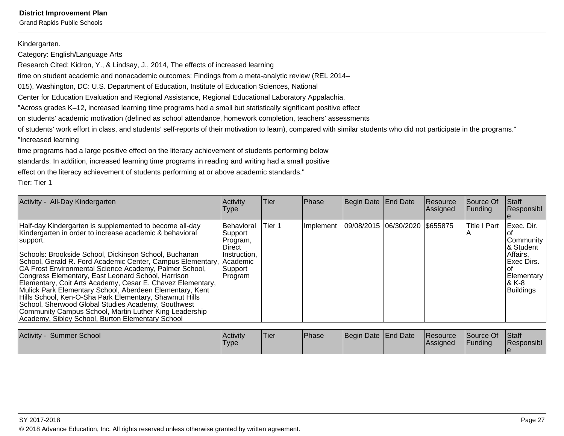Grand Rapids Public Schools

Kindergarten.

Category: English/Language Arts

Research Cited: Kidron, Y., & Lindsay, J., 2014, The effects of increased learning

time on student academic and nonacademic outcomes: Findings from a meta-analytic review (REL 2014–

015), Washington, DC: U.S. Department of Education, Institute of Education Sciences, National

Center for Education Evaluation and Regional Assistance, Regional Educational Laboratory Appalachia.

"Across grades K–12, increased learning time programs had a small but statistically significant positive effect

on students' academic motivation (defined as school attendance, homework completion, teachers' assessments

of students' work effort in class, and students' self-reports of their motivation to learn), compared with similar students who did not participate in the programs."

"Increased learning

time programs had a large positive effect on the literacy achievement of students performing below

standards. In addition, increased learning time programs in reading and writing had a small positive

effect on the literacy achievement of students performing at or above academic standards."

Tier: Tier 1

| Activity - All-Day Kindergarten                                                                                                                                                                                                                                                                                                                                                                                                                                                                                                                                                                                                                                                                                              | Activity<br>Type                                                                                   | Tier   | <b>Phase</b> | Begin Date End Date            | Resource<br> Assigned | Source Of<br>Funding | Staff<br>Responsibl                                                                                        |
|------------------------------------------------------------------------------------------------------------------------------------------------------------------------------------------------------------------------------------------------------------------------------------------------------------------------------------------------------------------------------------------------------------------------------------------------------------------------------------------------------------------------------------------------------------------------------------------------------------------------------------------------------------------------------------------------------------------------------|----------------------------------------------------------------------------------------------------|--------|--------------|--------------------------------|-----------------------|----------------------|------------------------------------------------------------------------------------------------------------|
| Half-day Kindergarten is supplemented to become all-day<br>Kindergarten in order to increase academic & behavioral<br>support.<br>Schools: Brookside School, Dickinson School, Buchanan<br>School, Gerald R. Ford Academic Center, Campus Elementary<br>CA Frost Environmental Science Academy, Palmer School,<br>Congress Elementary, East Leonard School, Harrison<br>Elementary, Coit Arts Academy, Cesar E. Chavez Elementary,<br>Mulick Park Elementary School, Aberdeen Elementary, Kent<br>Hills School, Ken-O-Sha Park Elementary, Shawmut Hills<br>School, Sherwood Global Studies Academy, Southwest<br>Community Campus School, Martin Luther King Leadership<br>Academy, Sibley School, Burton Elementary School | l Behavioral<br>Support<br>Program,<br>l Direct<br>Instruction,<br>Academic<br> Support<br>Program | Tier 1 | Implement    | 09/08/2015 06/30/2020 \$655875 |                       | lTitle I Part        | Exec. Dir.<br>Community<br>& Student<br>Affairs,<br>lExec Dirs.<br>Elementary<br>8 K-8<br><b>Buildings</b> |
|                                                                                                                                                                                                                                                                                                                                                                                                                                                                                                                                                                                                                                                                                                                              |                                                                                                    |        |              |                                |                       |                      |                                                                                                            |

| Activity<br>Summer School | l Activitv<br>'Type | 'Tier | <b>IPhase</b> | Begin Date End Date | Resource<br><b>Assigned</b> | Source Of<br><b>Funding</b> | <b>Staff</b><br>Responsibl |
|---------------------------|---------------------|-------|---------------|---------------------|-----------------------------|-----------------------------|----------------------------|
|                           |                     |       |               |                     |                             |                             |                            |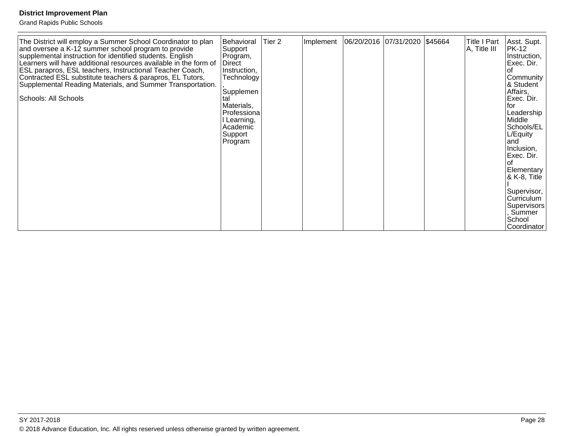Grand Rapids Public Schools

| The District will employ a Summer School Coordinator to plan<br>and oversee a K-12 summer school program to provide<br>supplemental instruction for identified students. English<br>Learners will have additional resources available in the form of<br><b>ESL parapros, ESL teachers, Instructional Teacher Coach,</b><br>Contracted ESL substitute teachers & parapros, EL Tutors,<br>Supplemental Reading Materials, and Summer Transportation.<br>Schools: All Schools | Behavioral<br>Support<br>Program,<br><b>IDirect</b><br>Instruction,<br>Technology<br>Supplemen<br>tal<br>Materials.<br>Professiona<br>l Learning,<br>Academic<br>Support<br>Program | Tier <sub>2</sub> | Implement | 06/20/2016 07/31/2020 \$45664 |  |  | <b>Title I Part</b><br>A, Title III | Asst. Supt.<br><b>PK-12</b><br>Instruction,<br>Exec. Dir.<br>Community<br>& Student<br>Affairs,<br>Exec. Dir.<br>lfor<br>Leadership<br>Middle<br>Schools/EL<br>L/Equity<br>land<br>Inclusion,<br>Exec. Dir.<br>Elementary<br>& K-8, Title<br>Supervisor,<br>Curriculum  <br>Supervisors<br>Summer<br>School<br>Coordinator |
|----------------------------------------------------------------------------------------------------------------------------------------------------------------------------------------------------------------------------------------------------------------------------------------------------------------------------------------------------------------------------------------------------------------------------------------------------------------------------|-------------------------------------------------------------------------------------------------------------------------------------------------------------------------------------|-------------------|-----------|-------------------------------|--|--|-------------------------------------|----------------------------------------------------------------------------------------------------------------------------------------------------------------------------------------------------------------------------------------------------------------------------------------------------------------------------|
|----------------------------------------------------------------------------------------------------------------------------------------------------------------------------------------------------------------------------------------------------------------------------------------------------------------------------------------------------------------------------------------------------------------------------------------------------------------------------|-------------------------------------------------------------------------------------------------------------------------------------------------------------------------------------|-------------------|-----------|-------------------------------|--|--|-------------------------------------|----------------------------------------------------------------------------------------------------------------------------------------------------------------------------------------------------------------------------------------------------------------------------------------------------------------------------|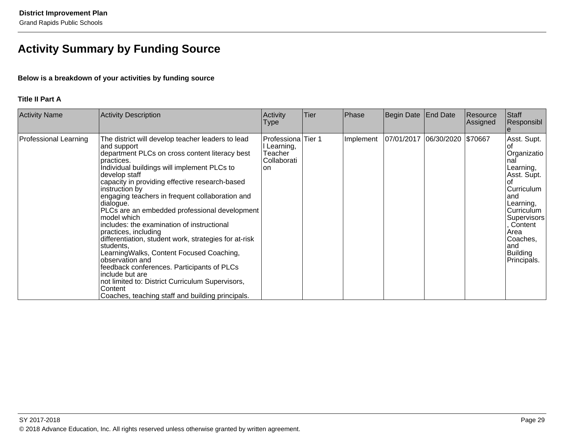# **Activity Summary by Funding Source**

#### **Below is a breakdown of your activities by funding source**

#### **Title II Part A**

| <b>Activity Name</b>  | <b>Activity Description</b>                                                                                                                                                                                                                                                                                                                                                                                                                                                                                                                                                                                                                                                                                                                                                                         | <b>Activity</b><br><b>Type</b>                                  | Tier | Phase     | Begin Date | <b>End Date</b>    | Resource<br> Assigned | Staff<br>Responsibl                                                                                                                                                                                            |
|-----------------------|-----------------------------------------------------------------------------------------------------------------------------------------------------------------------------------------------------------------------------------------------------------------------------------------------------------------------------------------------------------------------------------------------------------------------------------------------------------------------------------------------------------------------------------------------------------------------------------------------------------------------------------------------------------------------------------------------------------------------------------------------------------------------------------------------------|-----------------------------------------------------------------|------|-----------|------------|--------------------|-----------------------|----------------------------------------------------------------------------------------------------------------------------------------------------------------------------------------------------------------|
| Professional Learning | The district will develop teacher leaders to lead<br>and support<br>department PLCs on cross content literacy best<br>practices.<br>Individual buildings will implement PLCs to<br>develop staff<br>capacity in providing effective research-based<br>instruction by<br>engaging teachers in frequent collaboration and<br>dialogue.<br>PLCs are an embedded professional development<br>model which<br>includes: the examination of instructional<br>practices, including<br>differentiation, student work, strategies for at-risk<br>students.<br>LearningWalks, Content Focused Coaching,<br>observation and<br>feedback conferences. Participants of PLCs<br>include but are<br>not limited to: District Curriculum Supervisors,<br>Content<br>Coaches, teaching staff and building principals. | Professiona Tier 1<br>Learning,<br>Teacher<br>Collaborati<br>on |      | Implement | 07/01/2017 | 06/30/2020 \$70667 |                       | Asst. Supt.<br>lof<br>Organizatio<br>nal<br>Learning,<br>Asst. Supt.<br>οt<br>Curriculum<br>land<br>Learning,<br> Curriculum<br>Supervisors<br>Content<br>Area<br> Coaches,<br>land<br>Building<br>Principals. |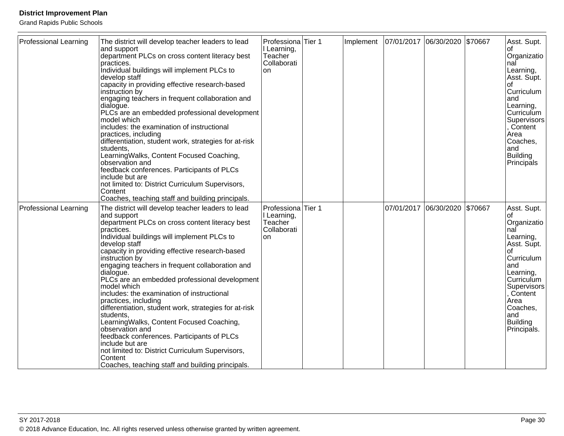Grand Rapids Public Schools

| Professional Learning        | The district will develop teacher leaders to lead<br>and support<br>department PLCs on cross content literacy best<br>practices.<br>Individual buildings will implement PLCs to<br>develop staff<br>capacity in providing effective research-based<br>instruction by<br>engaging teachers in frequent collaboration and<br>dialogue.<br>PLCs are an embedded professional development<br>model which<br>includes: the examination of instructional<br>practices, including<br>differentiation, student work, strategies for at-risk<br>students,<br>LearningWalks, Content Focused Coaching,<br>observation and<br>feedback conferences. Participants of PLCs<br>include but are<br>not limited to: District Curriculum Supervisors,<br>Content<br>Coaches, teaching staff and building principals.  | Professiona <sup>Tier 1</sup><br>I Learning,<br>Teacher<br>Collaborati<br>on | Implement | 07/01/2017 06/30/2020 |                               | \$70667 | Asst. Supt.  <br>Ωt<br>Organizatio<br>nal<br>Learning,<br>Asst. Supt.  <br>Curriculum<br>and<br>Learning,<br>Curriculum<br>Supervisors<br>Content<br>Area<br>Coaches,<br>land<br><b>Building</b><br>Principals   |
|------------------------------|------------------------------------------------------------------------------------------------------------------------------------------------------------------------------------------------------------------------------------------------------------------------------------------------------------------------------------------------------------------------------------------------------------------------------------------------------------------------------------------------------------------------------------------------------------------------------------------------------------------------------------------------------------------------------------------------------------------------------------------------------------------------------------------------------|------------------------------------------------------------------------------|-----------|-----------------------|-------------------------------|---------|------------------------------------------------------------------------------------------------------------------------------------------------------------------------------------------------------------------|
| <b>Professional Learning</b> | The district will develop teacher leaders to lead<br>and support<br>department PLCs on cross content literacy best<br>practices.<br>Individual buildings will implement PLCs to<br>develop staff<br>capacity in providing effective research-based<br>instruction by<br>engaging teachers in frequent collaboration and<br>dialogue.<br>PLCs are an embedded professional development<br>lmodel which<br>includes: the examination of instructional<br>practices, including<br>differentiation, student work, strategies for at-risk<br>students,<br>LearningWalks, Content Focused Coaching,<br>observation and<br>feedback conferences. Participants of PLCs<br>include but are<br>not limited to: District Curriculum Supervisors,<br>Content<br>Coaches, teaching staff and building principals. | Professiona Tier 1<br>I Learning,<br>Teacher<br>Collaborati<br><b>on</b>     |           |                       | 07/01/2017 06/30/2020 \$70667 |         | Asst. Supt.<br>οf<br>Organizatio<br>nal<br>Learning,<br>Asst. Supt.<br>of<br>Curriculum<br>and<br>Learning,<br>Curriculum<br>Supervisors<br>Content<br>Area<br>Coaches,<br>and<br><b>Building</b><br>Principals. |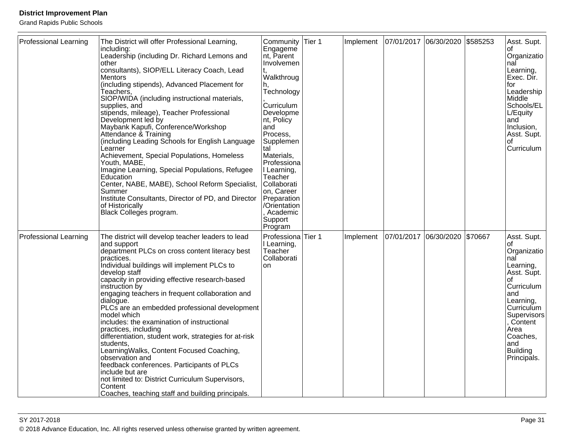Grand Rapids Public Schools

| Professional Learning        | The District will offer Professional Learning,<br>including:<br>Leadership (including Dr. Richard Lemons and<br>other<br>consultants), SIOP/ELL Literacy Coach, Lead<br>Mentors<br>(including stipends), Advanced Placement for<br>Teachers,<br>SIOP/WIDA (including instructional materials,<br>supplies, and<br>stipends, mileage), Teacher Professional<br>Development led by<br>Maybank Kapufi, Conference/Workshop<br>Attendance & Training<br>including Leading Schools for English Language<br>Learner<br>Achievement, Special Populations, Homeless<br>Youth, MABE,<br>Imagine Learning, Special Populations, Refugee<br>Education<br>Center, NABE, MABE), School Reform Specialist,<br>Summer<br>Institute Consultants, Director of PD, and Director<br>of Historically<br>Black Colleges program. | Community<br>Engageme<br>nt, Parent<br>Involvemen<br>Walkthroug<br>h,<br>Technology<br>Curriculum<br>Developme<br>nt, Policy<br>and<br>Process,<br>Supplemen<br>tal<br>Materials,<br>Professiona<br>I Learning,<br>Teacher<br>Collaborati<br>on, Career<br>Preparation<br>/Orientation<br>Academic<br>Support | Tier 1 | Implement | 07/01/2017 | 06/30/2020 | \$585253 | Asst. Supt.<br>οf<br>Organizatio  <br>nal<br>Learning,<br>Exec. Dir.<br>for<br>Leadership<br>Middle<br>Schools/EL<br>L/Equity<br>and<br>Inclusion,<br>Asst. Supt.<br>οf<br>Curriculum                      |
|------------------------------|-------------------------------------------------------------------------------------------------------------------------------------------------------------------------------------------------------------------------------------------------------------------------------------------------------------------------------------------------------------------------------------------------------------------------------------------------------------------------------------------------------------------------------------------------------------------------------------------------------------------------------------------------------------------------------------------------------------------------------------------------------------------------------------------------------------|---------------------------------------------------------------------------------------------------------------------------------------------------------------------------------------------------------------------------------------------------------------------------------------------------------------|--------|-----------|------------|------------|----------|------------------------------------------------------------------------------------------------------------------------------------------------------------------------------------------------------------|
| <b>Professional Learning</b> | The district will develop teacher leaders to lead<br>and support<br>department PLCs on cross content literacy best<br>practices.<br>Individual buildings will implement PLCs to<br>develop staff<br>capacity in providing effective research-based<br>instruction by<br>engaging teachers in frequent collaboration and<br>dialoque.<br>PLCs are an embedded professional development<br>model which<br>includes: the examination of instructional<br>practices, including<br>differentiation, student work, strategies for at-risk<br>students.<br>LearningWalks, Content Focused Coaching,<br>observation and<br>feedback conferences. Participants of PLCs<br>include but are<br>not limited to: District Curriculum Supervisors,<br>Content<br>Coaches, teaching staff and building principals.         | Program<br>Professiona <sup>Tier</sup> 1<br>I Learning,<br>Teacher<br>Collaborati<br>on                                                                                                                                                                                                                       |        | Implement | 07/01/2017 | 06/30/2020 | \$70667  | Asst. Supt.<br>Organizatio<br>nal<br>Learning,<br>Asst. Supt.<br>Ωf<br>Curriculum<br>and<br>Learning,<br>Curriculum<br>Supervisors<br>Content<br>Area<br>Coaches,<br>and<br><b>Building</b><br>Principals. |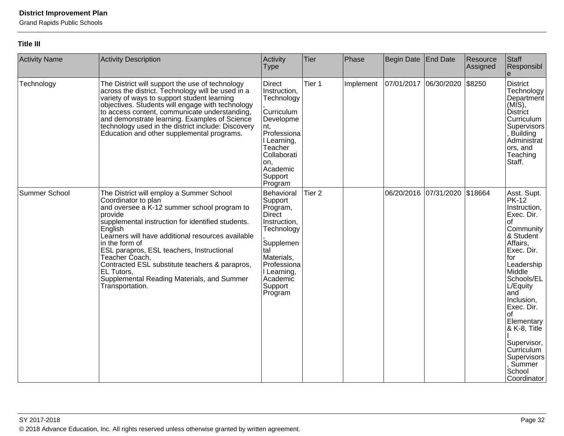Grand Rapids Public Schools

#### **Title III**

| <b>Activity Name</b> | <b>Activity Description</b>                                                                                                                                                                                                                                                                                                                                                                                                                                      | Activity<br><b>Type</b>                                                                                                                                                              | Tier              | Phase     | Begin Date | <b>End Date</b>               | Resource<br>Assigned | Staff<br>Responsibl                                                                                                                                                                                                                                                                                                                         |
|----------------------|------------------------------------------------------------------------------------------------------------------------------------------------------------------------------------------------------------------------------------------------------------------------------------------------------------------------------------------------------------------------------------------------------------------------------------------------------------------|--------------------------------------------------------------------------------------------------------------------------------------------------------------------------------------|-------------------|-----------|------------|-------------------------------|----------------------|---------------------------------------------------------------------------------------------------------------------------------------------------------------------------------------------------------------------------------------------------------------------------------------------------------------------------------------------|
| Technology           | The District will support the use of technology<br>across the district. Technology will be used in a<br>variety of ways to support student learning<br>objectives. Students will engage with technology<br>to access content, communicate understanding,<br>and demonstrate learning. Examples of Science<br>technology used in the district include: Discovery<br>Education and other supplemental programs.                                                    | <b>Direct</b><br>Instruction,<br>Technology<br><b>Curriculum</b><br>Developme<br>Int.<br>Professiona<br>Learning,<br>Teacher<br>Collaborati<br>on.<br>Academic<br>Support<br>Program | Tier 1            | Implement |            | 07/01/2017 06/30/2020         | \$8250               | <b>District</b><br>Technology<br>Department<br>$(MIS)$ ,<br>District<br>Curriculum<br>Supervisors<br>Building<br>Administrat<br>ors, and<br>Teaching<br>Staff.                                                                                                                                                                              |
| Summer School        | The District will employ a Summer School<br>Coordinator to plan<br>and oversee a K-12 summer school program to<br>provide<br>supplemental instruction for identified students.<br>English<br>Learners will have additional resources available<br>in the form of<br>ESL parapros, ESL teachers, Instructional<br>Teacher Coach,<br>Contracted ESL substitute teachers & parapros,<br>EL Tutors,<br>Supplemental Reading Materials, and Summer<br>Transportation. | Behavioral<br>Support<br>Program,<br>Direct<br>Instruction,<br>Technology<br>Supplemen<br>tal<br>Materials,<br>Professiona<br>Learning,<br>Academic<br>Support<br>Program            | Tier <sub>2</sub> |           |            | 06/20/2016 07/31/2020 \$18664 |                      | Asst. Supt.<br><b>PK-12</b><br>Instruction,<br>Exec. Dir.<br><b>of</b><br>Community<br>& Student<br>Affairs,<br>Exec. Dir.<br>for<br>Leadership<br>Middle<br>Schools/EL<br>L/Equity<br>and<br>Inclusion,<br>Exec. Dir.<br>Ωf<br>Elementary<br>& K-8, Title<br>Supervisor,<br>Curriculum<br>Supervisors<br>, Summer<br>School<br>Coordinator |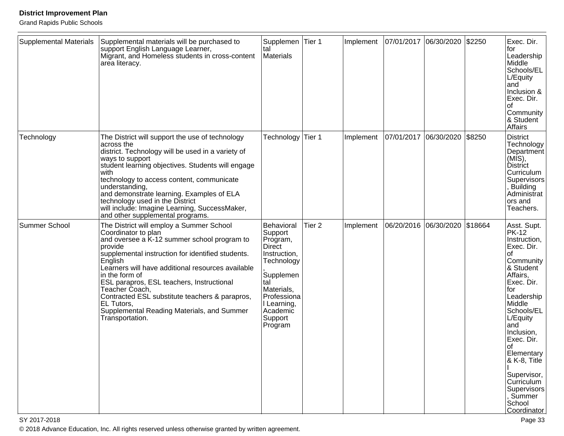Grand Rapids Public Schools

| <b>Supplemental Materials</b> | Supplemental materials will be purchased to<br>support English Language Learner,<br>Migrant, and Homeless students in cross-content<br>area literacy.                                                                                                                                                                                                                                                                                                            | Supplemen<br>tal<br>Materials                                                                                                                                               | Tier 1            | Implement | 07/01/2017 | 06/30/2020            | \$2250  | Exec. Dir.<br>tor<br>Leadership<br>Middle<br>Schools/EL<br>L/Equity<br>land<br>Inclusion &<br>Exec. Dir.<br>οf<br>Community<br>& Student<br>Affairs                                                                                                                                                                                 |
|-------------------------------|------------------------------------------------------------------------------------------------------------------------------------------------------------------------------------------------------------------------------------------------------------------------------------------------------------------------------------------------------------------------------------------------------------------------------------------------------------------|-----------------------------------------------------------------------------------------------------------------------------------------------------------------------------|-------------------|-----------|------------|-----------------------|---------|-------------------------------------------------------------------------------------------------------------------------------------------------------------------------------------------------------------------------------------------------------------------------------------------------------------------------------------|
| Technology                    | The District will support the use of technology<br>across the<br>district. Technology will be used in a variety of<br>ways to support<br>student learning objectives. Students will engage<br>with<br>technology to access content, communicate<br>understanding,<br>and demonstrate learning. Examples of ELA<br>technology used in the District<br>will include: Imagine Learning, SuccessMaker,<br>and other supplemental programs.                           | Technology                                                                                                                                                                  | Tier 1            | Implement | 07/01/2017 | 06/30/2020            | \$8250  | <b>District</b><br>Technology<br>Department<br>$(MIS)$ ,<br>District<br>Curriculum<br>Supervisors<br>, Building<br>Administrat<br>ors and<br>Teachers.                                                                                                                                                                              |
| Summer School                 | The District will employ a Summer School<br>Coordinator to plan<br>and oversee a K-12 summer school program to<br>provide<br>supplemental instruction for identified students.<br>English<br>Learners will have additional resources available<br>in the form of<br>ESL parapros, ESL teachers, Instructional<br>Teacher Coach,<br>Contracted ESL substitute teachers & parapros,<br>EL Tutors,<br>Supplemental Reading Materials, and Summer<br>Transportation. | Behavioral<br>Support<br>Program,<br>Direct<br>Instruction,<br>Technology<br>Supplemen<br>tal<br>Materials,<br>Professiona<br>I Learning,<br>Academic<br>Support<br>Program | Tier <sub>2</sub> | Implement |            | 06/20/2016 06/30/2020 | \$18664 | Asst. Supt.<br><b>PK-12</b><br>Instruction,<br>Exec. Dir.<br>οf<br>Community<br>& Student<br>Affairs,<br>Exec. Dir.<br>for<br>Leadership<br>Middle<br>Schools/EL<br>L/Equity<br>land<br>Inclusion,<br>Exec. Dir.<br>οf<br>Elementary<br>& K-8, Title<br>Supervisor,<br>Curriculum<br>Supervisors<br>Summer<br>School<br>Coordinator |

SY 2017-2018 Page 33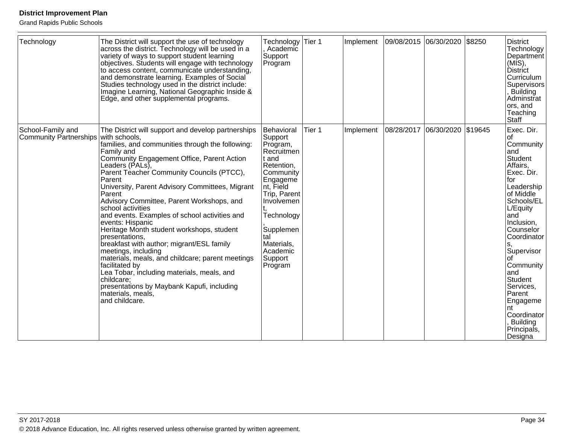Grand Rapids Public Schools

| Technology                                  | The District will support the use of technology<br>across the district. Technology will be used in a<br>variety of ways to support student learning<br>objectives. Students will engage with technology<br>to access content, communicate understanding,<br>and demonstrate learning. Examples of Social                                                                                                                                                                                                                                                                                                                                                                                                                                                                                                                    | Technology Tier 1<br>Academic<br>Support<br>Program                                                                                                                                                                          |        | Implement | 09/08/2015 06/30/2020 |            | \$8250  | <b>District</b><br>Technology<br>Department<br>$(MIS)$ ,<br>District<br>Curriculum                                                                                                                                                                                                                                                   |
|---------------------------------------------|-----------------------------------------------------------------------------------------------------------------------------------------------------------------------------------------------------------------------------------------------------------------------------------------------------------------------------------------------------------------------------------------------------------------------------------------------------------------------------------------------------------------------------------------------------------------------------------------------------------------------------------------------------------------------------------------------------------------------------------------------------------------------------------------------------------------------------|------------------------------------------------------------------------------------------------------------------------------------------------------------------------------------------------------------------------------|--------|-----------|-----------------------|------------|---------|--------------------------------------------------------------------------------------------------------------------------------------------------------------------------------------------------------------------------------------------------------------------------------------------------------------------------------------|
|                                             | Studies technology used in the district include:<br>Imagine Learning, National Geographic Inside &<br>Edge, and other supplemental programs.                                                                                                                                                                                                                                                                                                                                                                                                                                                                                                                                                                                                                                                                                |                                                                                                                                                                                                                              |        |           |                       |            |         | Supervisors<br>Building<br>Adminstrat<br>ors, and<br>Teaching<br>Staff                                                                                                                                                                                                                                                               |
| School-Family and<br>Community Partnerships | The District will support and develop partnerships<br>with schools,<br>families, and communities through the following:<br>Family and<br>Community Engagement Office, Parent Action<br>Leaders (PALs),<br>Parent Teacher Community Councils (PTCC),<br>Parent<br>University, Parent Advisory Committees, Migrant<br>Parent<br>Advisory Committee, Parent Workshops, and<br>school activities<br>and events. Examples of school activities and<br>events: Hispanic<br>Heritage Month student workshops, student<br>presentations,<br>breakfast with author; migrant/ESL family<br>meetings, including<br>materials, meals, and childcare; parent meetings<br>facilitated by<br>Lea Tobar, including materials, meals, and<br>childcare;<br>presentations by Maybank Kapufi, including<br>materials, meals,<br>and childcare. | Behavioral<br>Support<br>Program,<br>Recruitmen<br>t and<br>Retention,<br>Community<br>Engageme<br>nt, Field<br>Trip, Parent<br>Involvemen<br>Technology<br>Supplemen<br>tal<br>Materials,<br>Academic<br>Support<br>Program | Tier 1 | Implement | 08/28/2017            | 06/30/2020 | \$19645 | Exec. Dir.<br>οt<br>Community<br>land<br>Student<br>Affairs,<br>Exec. Dir.<br>for<br>Leadership<br>of Middle<br>Schools/EL<br>L/Equity<br>land<br>Inclusion,<br>Counselor<br>Coordinator<br>Supervisor<br>Community<br>land<br>Student<br>Services,<br>Parent<br>Engageme<br>nt<br>Coordinator<br>Building<br>Principals,<br>Designa |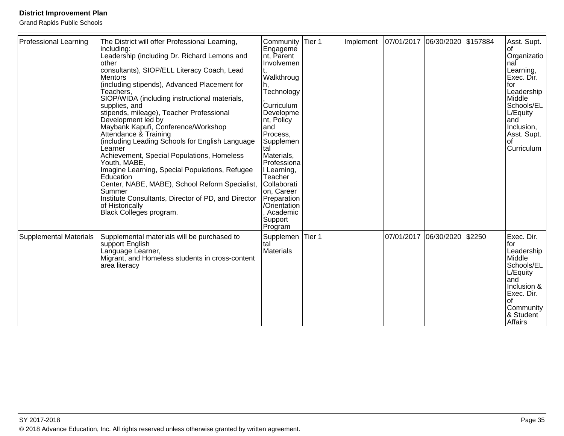| Professional Learning  | The District will offer Professional Learning,<br>including:<br>Leadership (including Dr. Richard Lemons and<br>other<br>consultants), SIOP/ELL Literacy Coach, Lead<br><b>Mentors</b><br>(including stipends), Advanced Placement for<br>Teachers,<br>SIOP/WIDA (including instructional materials,<br>supplies, and<br>stipends, mileage), Teacher Professional<br>Development led by<br>Maybank Kapufi, Conference/Workshop<br>Attendance & Training<br>(including Leading Schools for English Language<br>Learner<br>Achievement, Special Populations, Homeless<br>Youth, MABE,<br>Imagine Learning, Special Populations, Refugee<br>Education<br>Center, NABE, MABE), School Reform Specialist,<br>Summer<br>Institute Consultants, Director of PD, and Director<br>of Historically<br>Black Colleges program. | Community<br>Engageme<br>nt, Parent<br>Involvemen<br>Walkthroug<br>Technology<br>Curriculum<br>Developme<br>nt, Policy<br>and<br>Process,<br>Supplemen<br>tal<br>Materials,<br>Professiona<br>Learning,<br>Teacher<br>Collaborati<br>on, Career<br>Preparation<br>/Orientation<br>Academic<br>Support<br>Program | Tier 1 | Implement | 07/01/2017 06/30/2020 \$157884 |            |        | Asst. Supt.<br>Organizatio<br>nal<br>Learning,<br>Exec. Dir.<br>for<br>Leadership<br>Middle<br>Schools/EL<br>L/Equity<br>land<br>Inclusion,<br>Asst. Supt.<br>οf<br>Curriculum |
|------------------------|---------------------------------------------------------------------------------------------------------------------------------------------------------------------------------------------------------------------------------------------------------------------------------------------------------------------------------------------------------------------------------------------------------------------------------------------------------------------------------------------------------------------------------------------------------------------------------------------------------------------------------------------------------------------------------------------------------------------------------------------------------------------------------------------------------------------|------------------------------------------------------------------------------------------------------------------------------------------------------------------------------------------------------------------------------------------------------------------------------------------------------------------|--------|-----------|--------------------------------|------------|--------|--------------------------------------------------------------------------------------------------------------------------------------------------------------------------------|
| Supplemental Materials | Supplemental materials will be purchased to<br>support English<br>Language Learner,<br>Migrant, and Homeless students in cross-content<br>area literacy                                                                                                                                                                                                                                                                                                                                                                                                                                                                                                                                                                                                                                                             | Supplemen<br>tal<br><b>Materials</b>                                                                                                                                                                                                                                                                             | Tier 1 |           | 07/01/2017                     | 06/30/2020 | \$2250 | Exec. Dir.<br>tor<br>Leadership<br>Middle<br>Schools/EL<br>L/Equity<br>and<br>Inclusion &<br>Exec. Dir.<br>оf<br>Community<br>& Student<br>Affairs                             |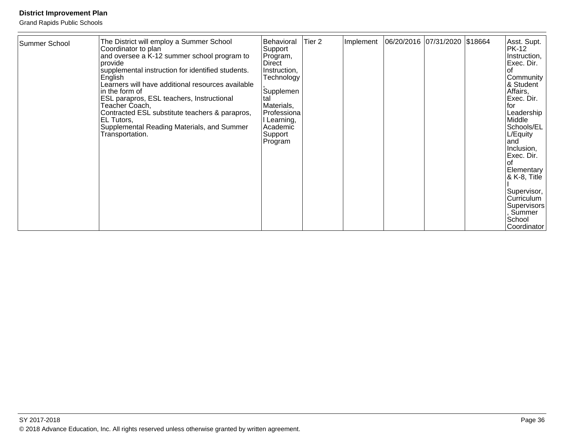| Summer School | The District will employ a Summer School<br>Coordinator to plan<br>and oversee a K-12 summer school program to<br>provide<br>supplemental instruction for identified students.<br>English<br>Learners will have additional resources available<br>in the form of<br>ESL parapros, ESL teachers, Instructional<br>Teacher Coach,<br>Contracted ESL substitute teachers & parapros,<br>EL Tutors,<br>Supplemental Reading Materials, and Summer<br>Transportation. | <b>Behavioral</b><br>Support<br>Program,<br>Direct<br>Instruction,<br>Technology<br>Supplemen<br>tal<br>Materials,<br>Professiona<br>Learning,<br>Academic<br>Support<br>Program | Tier 2 | Implement | 06/20/2016  07/31/2020   \$18664 |  |  | Asst. Supt.<br>PK-12<br>Instruction,<br>Exec. Dir.<br>l of<br>Community<br> & Student <sup>∶</sup><br>Affairs,<br>Exec. Dir.<br>l for<br>Leadership<br>Middle<br>Schools/EL<br>L/Equity<br>land<br>Inclusion,<br>Exec. Dir.<br>Ωf<br>Elementary<br>& K-8, Title<br>Supervisor,<br>Curriculum<br>Supervisors<br>Summer |
|---------------|------------------------------------------------------------------------------------------------------------------------------------------------------------------------------------------------------------------------------------------------------------------------------------------------------------------------------------------------------------------------------------------------------------------------------------------------------------------|----------------------------------------------------------------------------------------------------------------------------------------------------------------------------------|--------|-----------|----------------------------------|--|--|-----------------------------------------------------------------------------------------------------------------------------------------------------------------------------------------------------------------------------------------------------------------------------------------------------------------------|
|---------------|------------------------------------------------------------------------------------------------------------------------------------------------------------------------------------------------------------------------------------------------------------------------------------------------------------------------------------------------------------------------------------------------------------------------------------------------------------------|----------------------------------------------------------------------------------------------------------------------------------------------------------------------------------|--------|-----------|----------------------------------|--|--|-----------------------------------------------------------------------------------------------------------------------------------------------------------------------------------------------------------------------------------------------------------------------------------------------------------------------|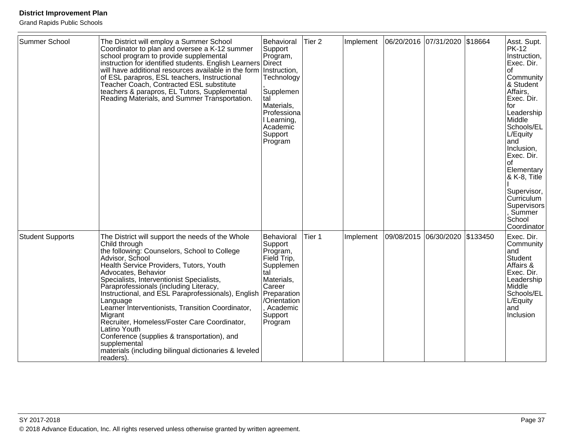| Summer School           | The District will employ a Summer School<br>Coordinator to plan and oversee a K-12 summer<br>school program to provide supplemental   Program<br>instruction for identified students. English Learners   Direct<br>will have additional resources available in the form Instruction,<br>of ESL parapros, ESL teachers, Instructional<br>Teacher Coach, Contracted ESL substitute<br>teachers & parapros, EL Tutors, Supplemental<br>Reading Materials, and Summer Transportation.                                                                                                                                                    | Behavioral<br>Support<br>Program,<br>Technology<br>Supplemen<br>tal<br>Materials,<br>Professiona<br>l Learning,<br>Academic<br>Support<br>Program             | Tier <sub>2</sub> | Implement | 06/20/2016 07/31/2020 |            | \$18664  | Asst. Supt.<br><b>PK-12</b><br>Instruction,<br>Exec. Dir.<br>οf<br>Community<br>& Student<br>Affairs,<br>Exec. Dir.<br>for<br>Leadership<br>Middle<br>Schools/EL<br>L/Equity<br>and<br>Inclusion,<br>Exec. Dir.<br>Ωf<br>Elementary<br>& K-8, Title<br>Supervisor,<br>Curriculum<br>Supervisors<br>, Summer<br>School<br>Coordinator |
|-------------------------|--------------------------------------------------------------------------------------------------------------------------------------------------------------------------------------------------------------------------------------------------------------------------------------------------------------------------------------------------------------------------------------------------------------------------------------------------------------------------------------------------------------------------------------------------------------------------------------------------------------------------------------|---------------------------------------------------------------------------------------------------------------------------------------------------------------|-------------------|-----------|-----------------------|------------|----------|--------------------------------------------------------------------------------------------------------------------------------------------------------------------------------------------------------------------------------------------------------------------------------------------------------------------------------------|
| <b>Student Supports</b> | The District will support the needs of the Whole<br>Child through<br>the following: Counselors, School to College<br>Advisor, School<br>Health Service Providers, Tutors, Youth<br>Advocates, Behavior<br>Specialists, Interventionist Specialists,<br>Paraprofessionals (including Literacy,<br>Instructional, and ESL Paraprofessionals), English<br>Language<br>Learner Interventionists, Transition Coordinator,<br>Migrant<br>Recruiter, Homeless/Foster Care Coordinator,<br>Latino Youth<br>Conference (supplies & transportation), and<br>supplemental<br>materials (including bilingual dictionaries & leveled<br>readers). | Behavioral<br>Support<br>Program,<br>Field Trip,<br>Supplemen<br>tal<br>Materials,<br>Career<br>Preparation<br>/Orientation<br>Academic<br>Support<br>Program | Tier 1            | Implement | 09/08/2015            | 06/30/2020 | \$133450 | Exec. Dir.<br>Community<br>and<br>Student<br>Affairs &<br>Exec. Dir.<br>Leadership<br>Middle<br>Schools/EL<br>L/Equity<br>and<br>Inclusion                                                                                                                                                                                           |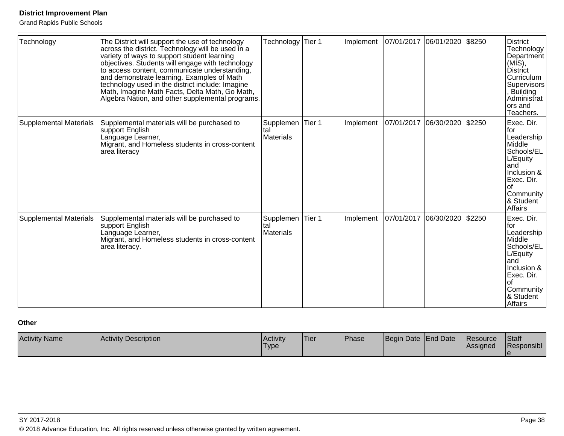Grand Rapids Public Schools

| Technology                    | The District will support the use of technology<br>across the district. Technology will be used in a<br>variety of ways to support student learning<br>objectives. Students will engage with technology<br>to access content, communicate understanding,<br>and demonstrate learning. Examples of Math<br>technology used in the district include: Imagine<br>Math, Imagine Math Facts, Delta Math, Go Math,<br>Algebra Nation, and other supplemental programs. | Technology                    | Tier 1 | Implement | 07/01/2017 06/01/2020 |            | \$8250 | <b>District</b><br>Technology<br>Department<br>$(MIS)$ ,<br><b>District</b><br>Curriculum<br>Supervisors<br>, Building<br>Administrat<br>ors and<br>Teachers. |
|-------------------------------|------------------------------------------------------------------------------------------------------------------------------------------------------------------------------------------------------------------------------------------------------------------------------------------------------------------------------------------------------------------------------------------------------------------------------------------------------------------|-------------------------------|--------|-----------|-----------------------|------------|--------|---------------------------------------------------------------------------------------------------------------------------------------------------------------|
| <b>Supplemental Materials</b> | Supplemental materials will be purchased to<br>support English<br>Language Learner,<br>Migrant, and Homeless students in cross-content<br>area literacy                                                                                                                                                                                                                                                                                                          | Supplemen<br>tal<br>Materials | Tier 1 | Implement | 07/01/2017            | 06/30/2020 | \$2250 | Exec. Dir.<br>lfor<br>Leadership<br>Middle<br>Schools/EL<br>L/Equity<br>and<br>Inclusion &<br>Exec. Dir.<br>lof<br>Community<br>& Student<br>Affairs          |
| <b>Supplemental Materials</b> | Supplemental materials will be purchased to<br>support English<br>Language Learner,<br>Migrant, and Homeless students in cross-content<br>area literacy.                                                                                                                                                                                                                                                                                                         | Supplemen<br>Materials        | Tier 1 | Implement | 07/01/2017            | 06/30/2020 | \$2250 | Exec. Dir.<br>lfor<br>Leadership<br>Middle<br>Schools/EL<br>L/Equity<br>land<br>Inclusion &<br>Exec. Dir.<br>Ωf<br>Community<br>& Student<br><b>Affairs</b>   |

**Other** 

| <b>Activity Name</b> | <b>Activity Description</b> | Activity<br><b>Type</b> | Tier | Phase | Begin Date End Date | <b>IResource</b><br>Assigned | Staff<br>Responsibl |
|----------------------|-----------------------------|-------------------------|------|-------|---------------------|------------------------------|---------------------|
|                      |                             |                         |      |       |                     |                              |                     |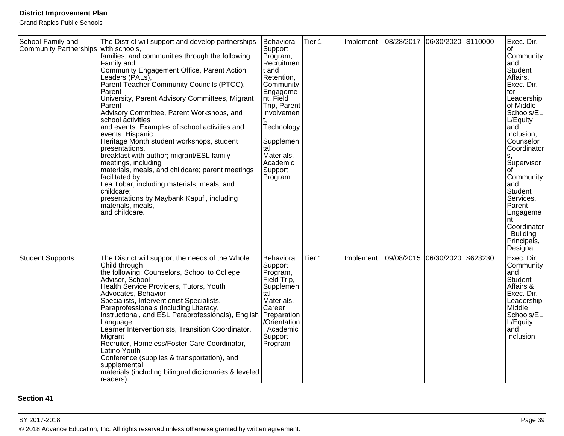Grand Rapids Public Schools

| School-Family and<br>Community Partnerships | The District will support and develop partnerships<br>with schools,<br>families, and communities through the following:<br>Family and<br>Community Engagement Office, Parent Action<br>Leaders (PALs),<br>Parent Teacher Community Councils (PTCC),<br>Parent<br>University, Parent Advisory Committees, Migrant<br>Parent<br>Advisory Committee, Parent Workshops, and<br>school activities<br>and events. Examples of school activities and<br>events: Hispanic<br>Heritage Month student workshops, student<br>presentations,<br>breakfast with author; migrant/ESL family<br>meetings, including<br>materials, meals, and childcare; parent meetings<br>facilitated by<br>Lea Tobar, including materials, meals, and<br>childcare;<br>presentations by Maybank Kapufi, including<br>materials, meals,<br>and childcare. | Behavioral<br>Support<br>Program,<br>Recruitmen<br>t and<br>Retention,<br>Community<br>Engageme<br>nt, Field<br>Trip, Parent<br>Involvemen<br>Technology<br>Supplemen<br>tal<br>Materials,<br>Academic<br>Support<br>Program | Tier 1 | Implement | 08/28/2017 06/30/2020 | \$110000 | Exec. Dir.<br>οf<br>Community<br>and<br>Student<br>Affairs,<br>Exec. Dir.<br>for<br>Leadership<br>of Middle<br>Schools/EL<br>L/Equity<br>and<br>Inclusion,<br>Counselor<br>Coordinator<br>Supervisor<br>Ωt<br>Community<br>and<br>Student<br>Services,<br>Parent<br>Engageme<br>nt<br>Coordinator<br><b>Building</b><br>Principals,<br>Designa |
|---------------------------------------------|-----------------------------------------------------------------------------------------------------------------------------------------------------------------------------------------------------------------------------------------------------------------------------------------------------------------------------------------------------------------------------------------------------------------------------------------------------------------------------------------------------------------------------------------------------------------------------------------------------------------------------------------------------------------------------------------------------------------------------------------------------------------------------------------------------------------------------|------------------------------------------------------------------------------------------------------------------------------------------------------------------------------------------------------------------------------|--------|-----------|-----------------------|----------|------------------------------------------------------------------------------------------------------------------------------------------------------------------------------------------------------------------------------------------------------------------------------------------------------------------------------------------------|
| <b>Student Supports</b>                     | The District will support the needs of the Whole<br>Child through<br>the following: Counselors, School to College<br>Advisor, School<br>Health Service Providers, Tutors, Youth<br>Advocates, Behavior<br>Specialists, Interventionist Specialists,<br>Paraprofessionals (including Literacy,<br>Instructional, and ESL Paraprofessionals), English<br>Language<br>Learner Interventionists, Transition Coordinator,<br>Migrant<br>Recruiter, Homeless/Foster Care Coordinator,<br>Latino Youth<br>Conference (supplies & transportation), and<br>supplemental<br>materials (including bilingual dictionaries & leveled<br>readers).                                                                                                                                                                                        | Behavioral<br>Support<br>Program,<br>Field Trip,<br>Supplemen<br>tal<br>Materials,<br>Career<br>Preparation<br>/Orientation<br>Academic<br>Support<br>Program                                                                | Tier 1 | Implement | 09/08/2015 06/30/2020 | \$623230 | Exec. Dir.<br>Community<br>and<br>Student<br>Affairs &<br>Exec. Dir.<br>Leadership<br>Middle<br>Schools/EL<br>L/Equity<br>and<br>Inclusion                                                                                                                                                                                                     |

#### **Section 41**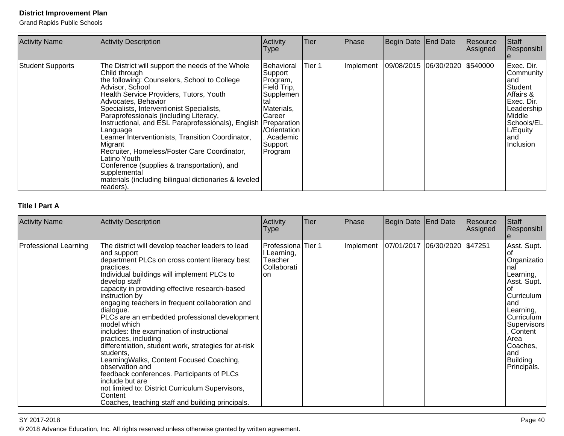Grand Rapids Public Schools

| <b>Activity Name</b>    | <b>Activity Description</b>                                                                                                                                                                                                                                                                                                                                                                                                                                                                                                                                                                                                          | Activity<br><b>Type</b>                                                                                                                                          | Tier   | Phase     | Begin Date End Date            | Resource<br>Assigned | Staff<br>Responsibl                                                                                                                          |
|-------------------------|--------------------------------------------------------------------------------------------------------------------------------------------------------------------------------------------------------------------------------------------------------------------------------------------------------------------------------------------------------------------------------------------------------------------------------------------------------------------------------------------------------------------------------------------------------------------------------------------------------------------------------------|------------------------------------------------------------------------------------------------------------------------------------------------------------------|--------|-----------|--------------------------------|----------------------|----------------------------------------------------------------------------------------------------------------------------------------------|
| <b>Student Supports</b> | The District will support the needs of the Whole<br>Child through<br>the following: Counselors, School to College<br>Advisor, School<br>Health Service Providers, Tutors, Youth<br>Advocates, Behavior<br>Specialists, Interventionist Specialists,<br>Paraprofessionals (including Literacy,<br>Instructional, and ESL Paraprofessionals), English<br>Language<br>Learner Interventionists, Transition Coordinator,<br>Migrant<br>Recruiter, Homeless/Foster Care Coordinator,<br>Latino Youth<br>Conference (supplies & transportation), and<br>supplemental<br>materials (including bilingual dictionaries & leveled<br>readers). | lBehavioral<br>Support<br>Program,<br>Field Trip,<br>Supplemen<br>Materials,<br><b>ICareer</b><br>Preparation<br>/Orientation<br>Academic<br>Support<br> Program | Tier 1 | Implement | 09/08/2015 06/30/2020 \$540000 |                      | Exec. Dir.<br>Community<br>land<br>Student<br>Affairs &<br>Exec. Dir.<br>Leadership<br>Middle<br>Schools/EL<br>L/Equity<br>land<br>Inclusion |

## **Title I Part A**

| <b>Activity Name</b>         | <b>Activity Description</b>                                                                                                                                                                                                                                                                                                                                                                                                                                                                                                                                                                                                                                                                                                                                                                           | <b>Activity</b><br><b>Type</b>                                          | Tier | Phase     | Begin Date End Date |                                 | Resource<br>Assigned | Staff<br>Responsibl                                                                                                                                                                             |
|------------------------------|-------------------------------------------------------------------------------------------------------------------------------------------------------------------------------------------------------------------------------------------------------------------------------------------------------------------------------------------------------------------------------------------------------------------------------------------------------------------------------------------------------------------------------------------------------------------------------------------------------------------------------------------------------------------------------------------------------------------------------------------------------------------------------------------------------|-------------------------------------------------------------------------|------|-----------|---------------------|---------------------------------|----------------------|-------------------------------------------------------------------------------------------------------------------------------------------------------------------------------------------------|
| <b>Professional Learning</b> | The district will develop teacher leaders to lead<br>and support<br>department PLCs on cross content literacy best<br>practices.<br>Individual buildings will implement PLCs to<br>develop staff<br>capacity in providing effective research-based<br>instruction by<br>engaging teachers in frequent collaboration and<br>dialogue.<br>PLCs are an embedded professional development<br>model which<br>includes: the examination of instructional<br>practices, including<br>differentiation, student work, strategies for at-risk<br>Istudents.<br>Learning Walks, Content Focused Coaching,<br>observation and<br>feedback conferences. Participants of PLCs<br>include but are<br>not limited to: District Curriculum Supervisors,<br>Content<br>Coaches, teaching staff and building principals. | <b>Professiona</b> Tier 1<br>Learning,<br>Teacher<br>Collaborati<br>lon |      | Implement |                     | 07/01/2017  06/30/2020  \$47251 |                      | Asst. Supt.<br>Organizatio<br>nal<br>Learning,<br>Asst. Supt.<br>Curriculum<br>land<br>Learning,<br>Curriculum<br>Supervisors<br>Content<br>Area<br>Coaches,<br>land<br>Building<br>Principals. |

© 2018 Advance Education, Inc. All rights reserved unless otherwise granted by written agreement.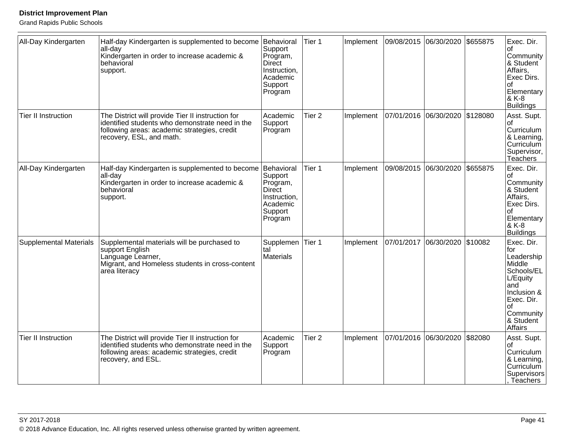| All-Day Kindergarten       | Half-day Kindergarten is supplemented to become<br>all-day<br>Kindergarten in order to increase academic &<br>behavioral<br>support.                                             | Behavioral<br>Support<br>Program,<br>Direct<br>Instruction,<br>Academic<br>Support<br>Program        | Tier 1            | Implement | 09/08/2015 06/30/2020 |                                 | \$655875 | Exec. Dir.<br>οf<br>Community<br>& Student<br>Affairs,<br>Exec Dirs.<br>οf<br>Elementary<br>& K-8<br><b>Buildings</b>                              |
|----------------------------|----------------------------------------------------------------------------------------------------------------------------------------------------------------------------------|------------------------------------------------------------------------------------------------------|-------------------|-----------|-----------------------|---------------------------------|----------|----------------------------------------------------------------------------------------------------------------------------------------------------|
| <b>Tier II Instruction</b> | The District will provide Tier II instruction for<br>identified students who demonstrate need in the<br>following areas: academic strategies, credit<br>recovery, ESL, and math. | Academic<br>Support<br>Program                                                                       | Tier <sub>2</sub> | Implement |                       | 07/01/2016 06/30/2020 \$128080  |          | Asst. Supt.<br>of<br>Curriculum<br>& Learning,<br>Curriculum<br>Supervisor,<br><b>Teachers</b>                                                     |
| All-Day Kindergarten       | Half-day Kindergarten is supplemented to become<br>all-day<br>Kindergarten in order to increase academic &<br>behavioral<br>support.                                             | Behavioral<br>Support<br>Program,<br><b>Direct</b><br>Instruction,<br>Academic<br>Support<br>Program | Tier 1            | Implement | 09/08/2015            | 06/30/2020 \$655875             |          | Exec. Dir.<br>of<br>Community<br>& Student<br>Affairs,<br>Exec Dirs.<br>Ωf<br>Elementary<br>& K-8<br><b>Buildings</b>                              |
| Supplemental Materials     | Supplemental materials will be purchased to<br>support English<br>Language Learner,<br>Migrant, and Homeless students in cross-content<br>area literacy                          | Supplemen<br>tal<br><b>Materials</b>                                                                 | Tier 1            | Implement | 07/01/2017            | 06/30/2020                      | \$10082  | Exec. Dir.<br>for<br>Leadership<br>Middle<br>Schools/EL<br>L/Equity<br>and<br>Inclusion &<br>Exec. Dir.<br>οf<br>Community<br>& Student<br>Affairs |
| <b>Tier II Instruction</b> | The District will provide Tier II instruction for<br>identified students who demonstrate need in the<br>following areas: academic strategies, credit<br>recovery, and ESL.       | Academic<br>Support<br>Program                                                                       | Tier <sub>2</sub> | Implement |                       | 07/01/2016  06/30/2020  \$82080 |          | Asst. Supt.<br>of<br>Curriculum<br>& Learning,<br>Curriculum<br>Supervisors<br>, Teachers                                                          |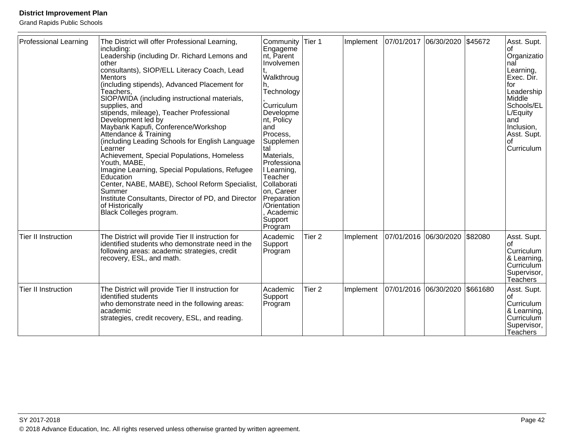| <b>Professional Learning</b> | The District will offer Professional Learning,<br>including:<br>Leadership (including Dr. Richard Lemons and<br>other<br>consultants), SIOP/ELL Literacy Coach, Lead<br><b>Mentors</b><br>(including stipends), Advanced Placement for<br>Teachers,<br>SIOP/WIDA (including instructional materials,<br>supplies, and<br>stipends, mileage), Teacher Professional<br>Development led by<br>Maybank Kapufi, Conference/Workshop<br>Attendance & Training<br>(including Leading Schools for English Language<br>Learner<br>Achievement, Special Populations, Homeless<br>Youth. MABE.<br>Imagine Learning, Special Populations, Refugee<br>Education<br>Center, NABE, MABE), School Reform Specialist,<br>Summer<br>Institute Consultants, Director of PD, and Director<br>of Historically<br>Black Colleges program. | Community<br>Engageme<br>nt, Parent<br>Involvemen<br>Walkthroug<br>Technology<br>Curriculum<br>Developme<br>nt, Policy<br>and<br>Process,<br>Supplemen<br>tal<br>Materials,<br><b>IProfessiona</b><br>I Learning,<br>Teacher<br>Collaborati<br>on, Career<br>Preparation<br>/Orientation<br>Academic<br>Support<br>Program | Tier 1            | Implement | 07/01/2017 06/30/2020 | \$45672  | Asst. Supt.<br>Organizatio<br>nal<br>Learning,<br>Exec. Dir.<br>for<br>Leadership<br>Middle<br>Schools/EL<br>L/Equity<br>and<br>Inclusion,<br>Asst. Supt.<br>Ωf<br>Curriculum |
|------------------------------|---------------------------------------------------------------------------------------------------------------------------------------------------------------------------------------------------------------------------------------------------------------------------------------------------------------------------------------------------------------------------------------------------------------------------------------------------------------------------------------------------------------------------------------------------------------------------------------------------------------------------------------------------------------------------------------------------------------------------------------------------------------------------------------------------------------------|----------------------------------------------------------------------------------------------------------------------------------------------------------------------------------------------------------------------------------------------------------------------------------------------------------------------------|-------------------|-----------|-----------------------|----------|-------------------------------------------------------------------------------------------------------------------------------------------------------------------------------|
| Tier II Instruction          | The District will provide Tier II instruction for<br>identified students who demonstrate need in the<br>following areas: academic strategies, credit<br>recovery, ESL, and math.                                                                                                                                                                                                                                                                                                                                                                                                                                                                                                                                                                                                                                    | Academic<br>Support<br>Program                                                                                                                                                                                                                                                                                             | Tier <sub>2</sub> | Implement | 07/01/2016 06/30/2020 | \$82080  | Asst. Supt.<br>Ωf<br>Curriculum<br>& Learning,<br>Curriculum<br>Supervisor,<br><b>Teachers</b>                                                                                |
| Tier II Instruction          | The District will provide Tier II instruction for<br>identified students<br>who demonstrate need in the following areas:<br>academic<br>strategies, credit recovery, ESL, and reading.                                                                                                                                                                                                                                                                                                                                                                                                                                                                                                                                                                                                                              | Academic<br>Support<br>Program                                                                                                                                                                                                                                                                                             | Tier <sub>2</sub> | Implement | 07/01/2016 06/30/2020 | \$661680 | Asst. Supt.<br>Ωt<br>Curriculum<br>& Learning,<br>Curriculum<br>Supervisor,<br><b>Teachers</b>                                                                                |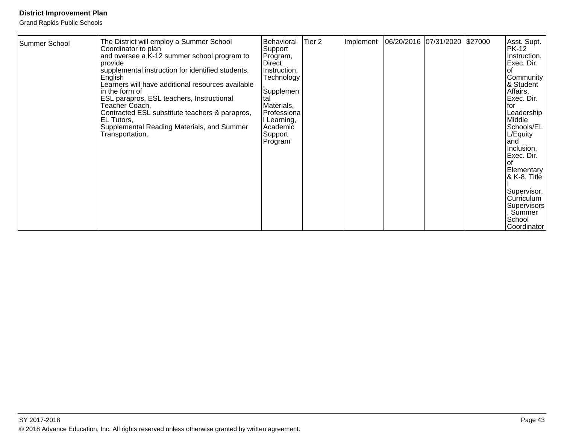| Summer School<br>Coordinator to plan<br>provide<br>English<br>in the form of<br>Teacher Coach,<br>EL Tutors,<br>Transportation. | The District will employ a Summer School<br>and oversee a K-12 summer school program to<br>supplemental instruction for identified students.<br>Learners will have additional resources available<br>ESL parapros, ESL teachers, Instructional<br>Contracted ESL substitute teachers & parapros,<br>Supplemental Reading Materials, and Summer | Behavioral<br>Support<br>Program,<br>Direct<br>Instruction,<br>Technology<br>Supplemen<br>tal<br>Materials,<br>Professiona<br>Learning,<br>Academic<br>Support<br>Program | Tier <sub>2</sub> | Implement | 06/20/2016 07/31/2020 \$27000 |  |  | Asst. Supt.<br> PK-12<br>Instruction,<br> Exec. Dir.<br>Ωf<br>Community<br> & Student <sup>∶</sup><br>Affairs,<br>Exec. Dir.<br>l for<br>Leadership<br>Middle<br>Schools/EL<br>L/Equity<br>land<br>Inclusion,<br>Exec. Dir.<br>Ωf<br>Elementary<br>& K-8, Title<br>Supervisor,<br>Curriculum<br>Supervisors<br>Summer |
|---------------------------------------------------------------------------------------------------------------------------------|------------------------------------------------------------------------------------------------------------------------------------------------------------------------------------------------------------------------------------------------------------------------------------------------------------------------------------------------|---------------------------------------------------------------------------------------------------------------------------------------------------------------------------|-------------------|-----------|-------------------------------|--|--|-----------------------------------------------------------------------------------------------------------------------------------------------------------------------------------------------------------------------------------------------------------------------------------------------------------------------|
|---------------------------------------------------------------------------------------------------------------------------------|------------------------------------------------------------------------------------------------------------------------------------------------------------------------------------------------------------------------------------------------------------------------------------------------------------------------------------------------|---------------------------------------------------------------------------------------------------------------------------------------------------------------------------|-------------------|-----------|-------------------------------|--|--|-----------------------------------------------------------------------------------------------------------------------------------------------------------------------------------------------------------------------------------------------------------------------------------------------------------------------|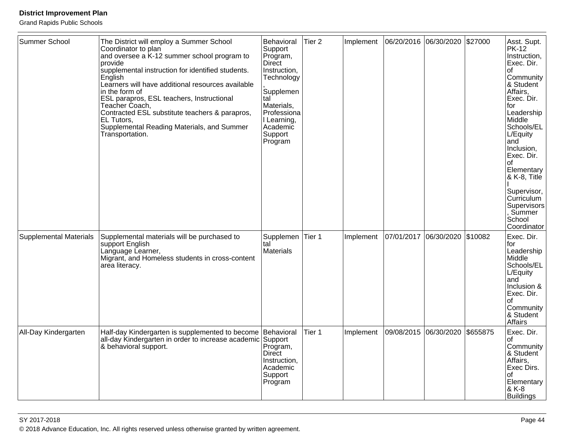| Summer School          | The District will employ a Summer School<br>Coordinator to plan<br>and oversee a K-12 summer school program to<br>provide<br>supplemental instruction for identified students.<br>English<br>Learners will have additional resources available<br>in the form of<br>ESL parapros, ESL teachers, Instructional<br>Teacher Coach,<br>Contracted ESL substitute teachers & parapros,<br>EL Tutors,<br>Supplemental Reading Materials, and Summer<br>Transportation. | Behavioral<br>Support<br>Program,<br>Direct<br>Instruction,<br>Technology<br>Supplemen<br>tal<br>Materials,<br>Professiona<br>I Learning,<br>Academic<br>Support<br>Program | Tier 2 | Implement | 06/20/2016 06/30/2020 \$27000  |         | Asst. Supt.<br><b>PK-12</b><br>Instruction,<br>Exec. Dir.<br>0f<br>Community<br>& Student<br>Affairs,<br>Exec. Dir.<br>for<br>Leadership<br>Middle<br>Schools/EL<br>L/Equity<br>and<br>Inclusion,<br>Exec. Dir.<br>0f<br><b>Elementary</b><br>& K-8, Title<br>Supervisor,<br>Curriculum<br>Supervisors<br>, Summer<br>School<br>Coordinator |
|------------------------|------------------------------------------------------------------------------------------------------------------------------------------------------------------------------------------------------------------------------------------------------------------------------------------------------------------------------------------------------------------------------------------------------------------------------------------------------------------|-----------------------------------------------------------------------------------------------------------------------------------------------------------------------------|--------|-----------|--------------------------------|---------|---------------------------------------------------------------------------------------------------------------------------------------------------------------------------------------------------------------------------------------------------------------------------------------------------------------------------------------------|
| Supplemental Materials | Supplemental materials will be purchased to<br>support English<br>Language Learner,<br>Migrant, and Homeless students in cross-content<br>area literacy.                                                                                                                                                                                                                                                                                                         | Supplemen<br>tal<br><b>Materials</b>                                                                                                                                        | Tier 1 | Implement | 07/01/2017 06/30/2020          | \$10082 | Exec. Dir.<br>for<br>Leadership<br>Middle<br>Schools/EL<br>L/Equity<br>and<br>Inclusion &<br>Exec. Dir.<br>of<br>Community<br>& Student<br><b>Affairs</b>                                                                                                                                                                                   |
| All-Day Kindergarten   | Half-day Kindergarten is supplemented to become   Behavioral<br>all-day Kindergarten in order to increase academic Support<br>& behavioral support.                                                                                                                                                                                                                                                                                                              | Program,<br>Direct<br>Instruction,<br>Academic<br>Support<br>Program                                                                                                        | Tier 1 | Implement | 09/08/2015 06/30/2020 \$655875 |         | Exec. Dir.<br><b>of</b><br>Community<br>& Student<br>Affairs,<br>Exec Dirs.<br>0f<br>Elementary<br>& K-8<br><b>Buildings</b>                                                                                                                                                                                                                |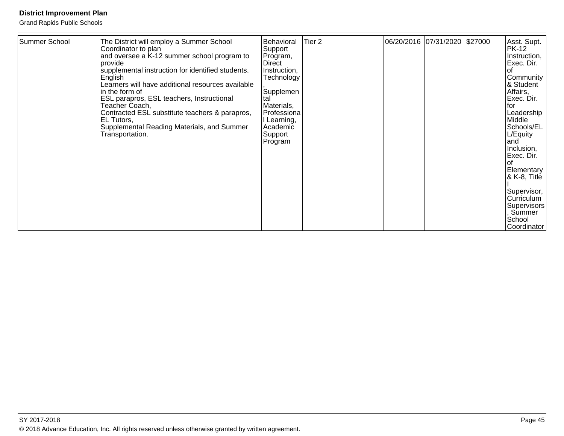| Summer School | The District will employ a Summer School<br>Coordinator to plan<br>and oversee a K-12 summer school program to<br>provide<br>supplemental instruction for identified students.<br>English<br>Learners will have additional resources available<br>lin the form of<br><b>ESL parapros, ESL teachers, Instructional</b><br>Teacher Coach,<br>Contracted ESL substitute teachers & parapros,<br>EL Tutors,<br>Supplemental Reading Materials, and Summer<br>Transportation. | Behavioral<br>Support<br>Program,<br>Direct<br>Instruction,<br>Technology<br>Supplemen<br>tal<br>Materials,<br>Professiona<br>l Learning,<br>Academic<br>Support<br>Program | Tier <sub>2</sub> |  |  | 06/20/2016 07/31/2020 \$27000 |  | Asst. Supt.<br><b>PK-12</b><br>Instruction,<br> Exec. Dir. .<br>of<br>Community<br>& Student<br>Affairs,<br>Exec. Dir.<br>l for<br>Leadership<br>Middle<br>Schools/EL<br>L/Equity<br>land<br>Inclusion,<br>Exec. Dir.<br>lof<br>Elementary<br> & K-8, Title_<br>Supervisor,<br>Curriculum<br>Supervisors<br>Summer<br>School<br>Coordinator |
|---------------|--------------------------------------------------------------------------------------------------------------------------------------------------------------------------------------------------------------------------------------------------------------------------------------------------------------------------------------------------------------------------------------------------------------------------------------------------------------------------|-----------------------------------------------------------------------------------------------------------------------------------------------------------------------------|-------------------|--|--|-------------------------------|--|---------------------------------------------------------------------------------------------------------------------------------------------------------------------------------------------------------------------------------------------------------------------------------------------------------------------------------------------|
|---------------|--------------------------------------------------------------------------------------------------------------------------------------------------------------------------------------------------------------------------------------------------------------------------------------------------------------------------------------------------------------------------------------------------------------------------------------------------------------------------|-----------------------------------------------------------------------------------------------------------------------------------------------------------------------------|-------------------|--|--|-------------------------------|--|---------------------------------------------------------------------------------------------------------------------------------------------------------------------------------------------------------------------------------------------------------------------------------------------------------------------------------------------|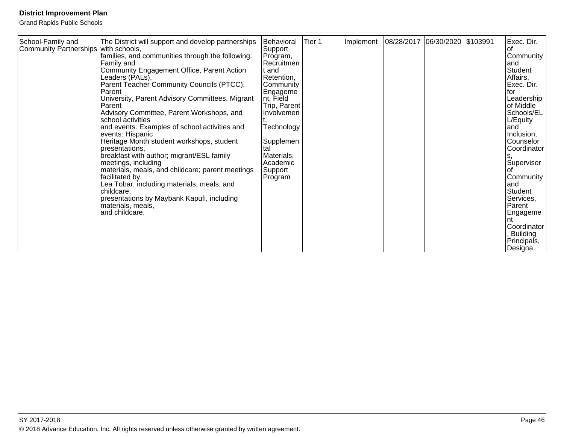| School-Family and<br>Community Partnerships with schools, | The District will support and develop partnerships<br>families, and communities through the following:<br>Family and<br>Community Engagement Office, Parent Action<br>Leaders (PALs),<br>Parent Teacher Community Councils (PTCC),<br>Parent<br>University, Parent Advisory Committees, Migrant<br>Parent<br>Advisory Committee, Parent Workshops, and<br>school activities<br>and events. Examples of school activities and<br>events: Hispanic<br>Heritage Month student workshops, student<br>presentations,<br>breakfast with author; migrant/ESL family<br>meetings, including<br>materials, meals, and childcare; parent meetings<br>facilitated by<br>Lea Tobar, including materials, meals, and<br>childcare;<br>presentations by Maybank Kapufi, including<br>materials, meals,<br>and childcare. | Behavioral<br>Support<br>Program,<br>Recruitmen<br>t and<br>Retention,<br>Community<br>Engageme<br>nt, Field<br>Trip, Parent<br>Involvemen<br>Technology<br>Supplemen<br>Materials,<br>Academic<br>Support<br>Program | Tier 1 | Implement | 08/28/2017 | 06/30/2020 | \$103991 | Exec. Dir.<br>Ωt<br>Community<br>land<br>Student<br>Affairs,<br>Exec. Dir.<br>for<br>Leadership<br>of Middle<br>Schools/EL<br>L/Equity<br>land<br>Inclusion,<br>Counselor<br>Coordinator<br>Supervisor<br>Community<br>land<br>Student<br>Services,<br>Parent<br>Engageme<br>nt<br>Coordinator<br>Building<br>Principals,<br>Designa |
|-----------------------------------------------------------|------------------------------------------------------------------------------------------------------------------------------------------------------------------------------------------------------------------------------------------------------------------------------------------------------------------------------------------------------------------------------------------------------------------------------------------------------------------------------------------------------------------------------------------------------------------------------------------------------------------------------------------------------------------------------------------------------------------------------------------------------------------------------------------------------------|-----------------------------------------------------------------------------------------------------------------------------------------------------------------------------------------------------------------------|--------|-----------|------------|------------|----------|--------------------------------------------------------------------------------------------------------------------------------------------------------------------------------------------------------------------------------------------------------------------------------------------------------------------------------------|
|-----------------------------------------------------------|------------------------------------------------------------------------------------------------------------------------------------------------------------------------------------------------------------------------------------------------------------------------------------------------------------------------------------------------------------------------------------------------------------------------------------------------------------------------------------------------------------------------------------------------------------------------------------------------------------------------------------------------------------------------------------------------------------------------------------------------------------------------------------------------------------|-----------------------------------------------------------------------------------------------------------------------------------------------------------------------------------------------------------------------|--------|-----------|------------|------------|----------|--------------------------------------------------------------------------------------------------------------------------------------------------------------------------------------------------------------------------------------------------------------------------------------------------------------------------------------|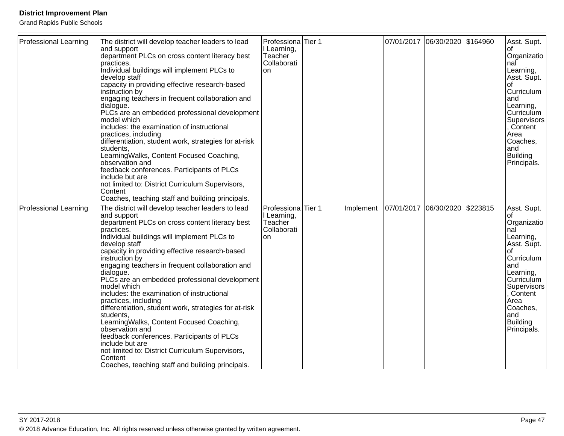| Professional Learning        | The district will develop teacher leaders to lead<br>and support<br>department PLCs on cross content literacy best<br>practices.<br>Individual buildings will implement PLCs to<br>develop staff<br>capacity in providing effective research-based<br>instruction by<br>engaging teachers in frequent collaboration and<br>dialogue.<br>PLCs are an embedded professional development<br>model which<br>includes: the examination of instructional<br>practices, including<br>differentiation, student work, strategies for at-risk<br>students.<br>LearningWalks, Content Focused Coaching,<br>observation and<br>feedback conferences. Participants of PLCs<br>include but are<br>not limited to: District Curriculum Supervisors,<br>Content<br>Coaches, teaching staff and building principals. | Professiona <sup>Tier</sup> 1<br>I Learning,<br>Teacher<br>Collaborati<br>on |           | 07/01/2017 06/30/2020 | \$164960 | Asst. Supt.  <br>Ωf<br>Organizatio<br>nal<br>Learning,<br>Asst. Supt.  <br>Curriculum<br>and<br>Learning,<br>Curriculum<br>Supervisors<br>Content<br>Area<br>Coaches,<br>land<br><b>Building</b><br>Principals.    |
|------------------------------|-----------------------------------------------------------------------------------------------------------------------------------------------------------------------------------------------------------------------------------------------------------------------------------------------------------------------------------------------------------------------------------------------------------------------------------------------------------------------------------------------------------------------------------------------------------------------------------------------------------------------------------------------------------------------------------------------------------------------------------------------------------------------------------------------------|------------------------------------------------------------------------------|-----------|-----------------------|----------|--------------------------------------------------------------------------------------------------------------------------------------------------------------------------------------------------------------------|
| <b>Professional Learning</b> | The district will develop teacher leaders to lead<br>and support<br>department PLCs on cross content literacy best<br>practices.<br>Individual buildings will implement PLCs to<br>develop staff<br>capacity in providing effective research-based<br>instruction by<br>engaging teachers in frequent collaboration and<br>dialogue.<br>PLCs are an embedded professional development<br>model which<br>includes: the examination of instructional<br>practices, including<br>differentiation, student work, strategies for at-risk<br>students,<br>LearningWalks, Content Focused Coaching,<br>observation and<br>feedback conferences. Participants of PLCs<br>include but are<br>not limited to: District Curriculum Supervisors,<br>Content<br>Coaches, teaching staff and building principals. | Professiona <sup>Tier</sup> 1<br>I Learning,<br>Teacher<br>Collaborati<br>on | Implement | 07/01/2017 06/30/2020 | \$223815 | Asst. Supt.<br>lof<br>Organizatio<br>nal<br>Learning,<br>Asst. Supt.<br>lof<br>Curriculum<br>and<br>Learning,<br>Curriculum<br>Supervisors<br>Content<br>Area<br>Coaches,<br>and<br><b>Building</b><br>Principals. |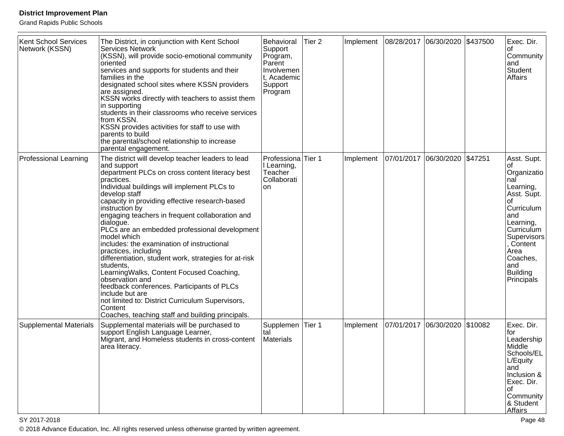Grand Rapids Public Schools

| <b>Kent School Services</b><br>Network (KSSN) | The District, in conjunction with Kent School<br><b>Services Network</b><br>(KSSN), will provide socio-emotional community<br>oriented<br>services and supports for students and their<br>families in the<br>designated school sites where KSSN providers<br>are assigned.<br>KSSN works directly with teachers to assist them<br>in supporting<br>students in their classrooms who receive services<br>from KSSN.<br>KSSN provides activities for staff to use with<br>parents to build<br>the parental/school relationship to increase<br>parental engagement.                                                                                                                                                                                                                                    | Behavioral<br>Support<br>Program,<br>Parent<br>Involvemen<br>t, Academic<br>Support<br>Program | Tier <sub>2</sub> | Implement | 08/28/2017 06/30/2020 \$437500 |            |         | Exec. Dir.<br>οf<br>Community<br>and<br>Student<br>Affairs                                                                                                                                          |
|-----------------------------------------------|-----------------------------------------------------------------------------------------------------------------------------------------------------------------------------------------------------------------------------------------------------------------------------------------------------------------------------------------------------------------------------------------------------------------------------------------------------------------------------------------------------------------------------------------------------------------------------------------------------------------------------------------------------------------------------------------------------------------------------------------------------------------------------------------------------|------------------------------------------------------------------------------------------------|-------------------|-----------|--------------------------------|------------|---------|-----------------------------------------------------------------------------------------------------------------------------------------------------------------------------------------------------|
| <b>Professional Learning</b>                  | The district will develop teacher leaders to lead<br>and support<br>department PLCs on cross content literacy best<br>practices.<br>Individual buildings will implement PLCs to<br>develop staff<br>capacity in providing effective research-based<br>instruction by<br>engaging teachers in frequent collaboration and<br>dialogue.<br>PLCs are an embedded professional development<br>model which<br>includes: the examination of instructional<br>practices, including<br>differentiation, student work, strategies for at-risk<br>students.<br>LearningWalks, Content Focused Coaching,<br>observation and<br>feedback conferences. Participants of PLCs<br>include but are<br>not limited to: District Curriculum Supervisors,<br>Content<br>Coaches, teaching staff and building principals. | Professiona <sup>Tier</sup> 1<br>I Learning,<br>Teacher<br>Collaborati<br>on                   |                   | Implement | 07/01/2017 06/30/2020          |            | \$47251 | Asst. Supt.<br>Organizatio<br>nal<br>Learning,<br>Asst. Supt.<br>Curriculum<br>and<br>Learning,<br>Curriculum<br>Supervisors<br>Content<br>Area<br>Coaches,<br>and<br><b>Building</b><br>Principals |
| <b>Supplemental Materials</b>                 | Supplemental materials will be purchased to<br>support English Language Learner,<br>Migrant, and Homeless students in cross-content<br>area literacy.                                                                                                                                                                                                                                                                                                                                                                                                                                                                                                                                                                                                                                               | Supplemen<br>tal<br><b>Materials</b>                                                           | Tier 1            | Implement | 07/01/2017                     | 06/30/2020 | \$10082 | Exec. Dir.<br>for<br>Leadership<br>Middle<br>Schools/EL<br>L/Equity<br>and<br>Inclusion &<br>Exec. Dir.<br>οf<br>Community<br>& Student<br><b>Affairs</b>                                           |

SY 2017-2018 Page 48

© 2018 Advance Education, Inc. All rights reserved unless otherwise granted by written agreement.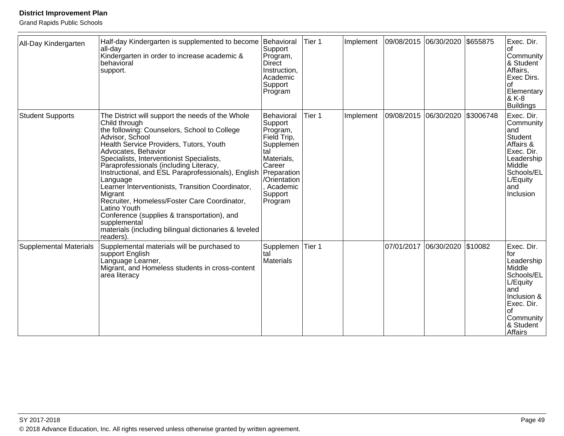| All-Day Kindergarten    | Half-day Kindergarten is supplemented to become Behavioral<br>all-day<br>Kindergarten in order to increase academic &<br>behavioral<br>support.                                                                                                                                                                                                                                                                                                                                                                                                                                                                                      | Support<br>Program,<br><b>Direct</b><br>Instruction,<br>Academic<br>Support<br>Program                                                                        | Tier 1 | Implement |            | 09/08/2015 06/30/2020 | \$655875  | Exec. Dir.<br>Ωf<br>Community<br>& Student<br>Affairs,<br>Exec Dirs.<br>l of<br>Elementary<br>& K-8<br><b>Buildings</b>                                   |
|-------------------------|--------------------------------------------------------------------------------------------------------------------------------------------------------------------------------------------------------------------------------------------------------------------------------------------------------------------------------------------------------------------------------------------------------------------------------------------------------------------------------------------------------------------------------------------------------------------------------------------------------------------------------------|---------------------------------------------------------------------------------------------------------------------------------------------------------------|--------|-----------|------------|-----------------------|-----------|-----------------------------------------------------------------------------------------------------------------------------------------------------------|
| <b>Student Supports</b> | The District will support the needs of the Whole<br>Child through<br>the following: Counselors, School to College<br>Advisor, School<br>Health Service Providers, Tutors, Youth<br>Advocates, Behavior<br>Specialists, Interventionist Specialists,<br>Paraprofessionals (including Literacy,<br>Instructional, and ESL Paraprofessionals), English<br>Language<br>Learner Interventionists, Transition Coordinator,<br>Migrant<br>Recruiter, Homeless/Foster Care Coordinator,<br>Latino Youth<br>Conference (supplies & transportation), and<br>supplemental<br>materials (including bilingual dictionaries & leveled<br>readers). | Behavioral<br>Support<br>Program,<br>Field Trip,<br>Supplemen<br>tal<br>Materials,<br>Career<br>Preparation<br>/Orientation<br>Academic<br>Support<br>Program | Tier 1 | Implement | 09/08/2015 | 06/30/2020            | \$3006748 | Exec. Dir.<br>Community<br>and<br>Student<br>Affairs &<br>Exec. Dir.<br>Leadership<br>Middle<br>Schools/EL<br>L/Equity<br>and<br>Inclusion                |
| Supplemental Materials  | Supplemental materials will be purchased to<br>support English<br>Language Learner,<br>Migrant, and Homeless students in cross-content<br>area literacy                                                                                                                                                                                                                                                                                                                                                                                                                                                                              | Supplemen Tier 1<br>tal<br><b>Materials</b>                                                                                                                   |        |           | 07/01/2017 | 06/30/2020 \$10082    |           | Exec. Dir.<br>for<br>Leadership<br>Middle<br>Schools/EL<br>L/Equity<br>and<br>Inclusion &<br>Exec. Dir.<br>Ωf<br>Community<br>& Student<br><b>Affairs</b> |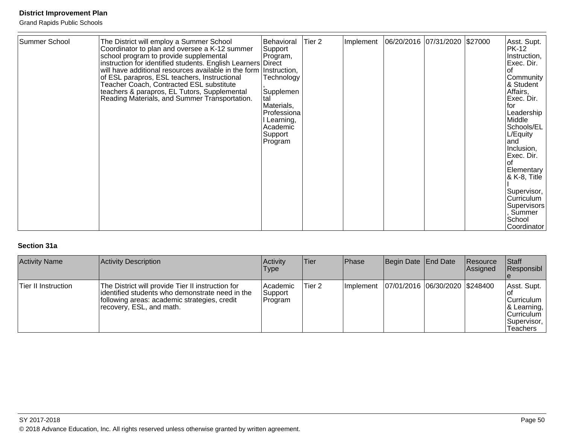Grand Rapids Public Schools

| Summer School<br>The District will employ a Summer School<br>Coordinator to plan and oversee a K-12 summer<br>school program to provide supplemental<br>instruction for identified students. English Learners Direct<br>will have additional resources available in the form Instruction,<br>of ESL parapros, ESL teachers, Instructional<br>Teacher Coach, Contracted ESL substitute<br>teachers & parapros, EL Tutors, Supplemental<br>Reading Materials, and Summer Transportation. | Behavioral<br>Support<br>Program,<br>Technology<br>Supplemen<br>tal<br>Materials,<br>Professiona<br>Learning,<br>Academic<br>Support<br>Program | Tier 2 | Implement |  | 06/20/2016 07/31/2020 \$27000 |  | Asst. Supt.<br>PK-12<br>Instruction,<br> Exec. Dir. .<br>l of<br> Community  <br> & Student<br>Affairs,<br>Exec. Dir.<br>lfor<br>Leadership<br>Middle<br>Schools/EL<br>L/Equity<br>land<br>Inclusion,<br>Exec. Dir.<br>l of<br> Elementary  <br>& K-8, Title<br>Supervisor,<br>Curriculum<br>Supervisors<br>Summer<br>School<br>Coordinator |
|----------------------------------------------------------------------------------------------------------------------------------------------------------------------------------------------------------------------------------------------------------------------------------------------------------------------------------------------------------------------------------------------------------------------------------------------------------------------------------------|-------------------------------------------------------------------------------------------------------------------------------------------------|--------|-----------|--|-------------------------------|--|---------------------------------------------------------------------------------------------------------------------------------------------------------------------------------------------------------------------------------------------------------------------------------------------------------------------------------------------|
|----------------------------------------------------------------------------------------------------------------------------------------------------------------------------------------------------------------------------------------------------------------------------------------------------------------------------------------------------------------------------------------------------------------------------------------------------------------------------------------|-------------------------------------------------------------------------------------------------------------------------------------------------|--------|-----------|--|-------------------------------|--|---------------------------------------------------------------------------------------------------------------------------------------------------------------------------------------------------------------------------------------------------------------------------------------------------------------------------------------------|

#### **Section 31a**

| <b>Activity Name</b> | <b>Activity Description</b>                                                                                                                                                      | Activity<br>Type                 | Tier   | <b>Phase</b> | Begin Date End Date            | Resource<br><b>Assigned</b> | <b>Staff</b><br>Responsibl                                                                         |
|----------------------|----------------------------------------------------------------------------------------------------------------------------------------------------------------------------------|----------------------------------|--------|--------------|--------------------------------|-----------------------------|----------------------------------------------------------------------------------------------------|
| ∣Tier Ⅱ Instruction  | The District will provide Tier II instruction for<br>identified students who demonstrate need in the<br>following areas: academic strategies, credit<br>recovery, ESL, and math. | l Academic<br>Support<br>Program | Tier 2 | Implement    | 07/01/2016 06/30/2020 \$248400 |                             | Asst. Supt.<br>Curriculum<br>$ &$ Learning, $ &$<br>Curriculum<br>Supervisor, I<br><b>Teachers</b> |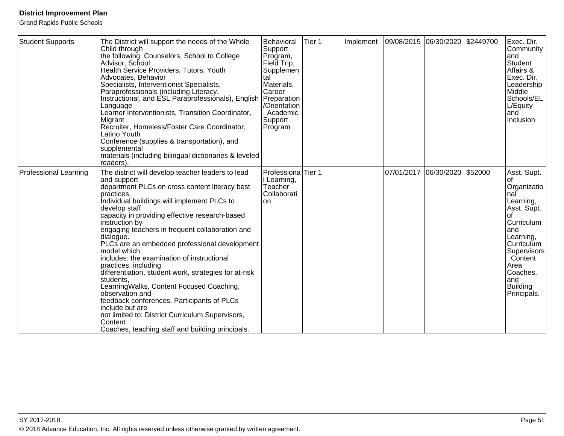| <b>Student Supports</b>      | The District will support the needs of the Whole<br>Child through<br>the following: Counselors, School to College<br>Advisor, School<br>Health Service Providers, Tutors, Youth<br>Advocates, Behavior<br>Specialists, Interventionist Specialists,<br>Paraprofessionals (including Literacy,<br>Instructional, and ESL Paraprofessionals), English<br>Language<br>Learner Interventionists, Transition Coordinator,<br>Migrant<br>Recruiter, Homeless/Foster Care Coordinator,<br>Latino Youth<br>Conference (supplies & transportation), and<br>supplemental<br>materials (including bilingual dictionaries & leveled<br>readers).                                                                                                                                                                | Behavioral<br>Support<br>Program,<br>Field Trip,<br>Supplemen<br>tal<br>Materials,<br>Career<br>Preparation<br>/Orientation<br>Academic<br>Support<br>Program | Tier 1 | Implement | 09/08/2015 06/30/2020 \$2449700 |            |         | Exec. Dir.<br>Community<br>and<br>Student<br>Affairs &<br>Exec. Dir.<br>Leadership<br>Middle<br>Schools/EL<br>L/Equity<br>and<br>Inclusion                                                                         |
|------------------------------|-----------------------------------------------------------------------------------------------------------------------------------------------------------------------------------------------------------------------------------------------------------------------------------------------------------------------------------------------------------------------------------------------------------------------------------------------------------------------------------------------------------------------------------------------------------------------------------------------------------------------------------------------------------------------------------------------------------------------------------------------------------------------------------------------------|---------------------------------------------------------------------------------------------------------------------------------------------------------------|--------|-----------|---------------------------------|------------|---------|--------------------------------------------------------------------------------------------------------------------------------------------------------------------------------------------------------------------|
| <b>Professional Learning</b> | The district will develop teacher leaders to lead<br>and support<br>department PLCs on cross content literacy best<br>practices.<br>Individual buildings will implement PLCs to<br>develop staff<br>capacity in providing effective research-based<br>instruction by<br>engaging teachers in frequent collaboration and<br>dialogue.<br>PLCs are an embedded professional development<br>model which<br>includes: the examination of instructional<br>practices, including<br>differentiation, student work, strategies for at-risk<br>students,<br>LearningWalks, Content Focused Coaching,<br>observation and<br>feedback conferences. Participants of PLCs<br>include but are<br>not limited to: District Curriculum Supervisors,<br>Content<br>Coaches, teaching staff and building principals. | Professiona Tier 1<br>I Learning,<br>Teacher<br>Collaborati<br>on                                                                                             |        |           | 07/01/2017                      | 06/30/2020 | \$52000 | Asst. Supt.<br>Ωf<br>Organizatio<br>nal<br>Learning,<br>Asst. Supt.<br>Ωf<br>Curriculum<br>land<br>Learning,<br>Curriculum<br>Supervisors<br>Content<br>Area<br>Coaches,<br>land<br><b>Building</b><br>Principals. |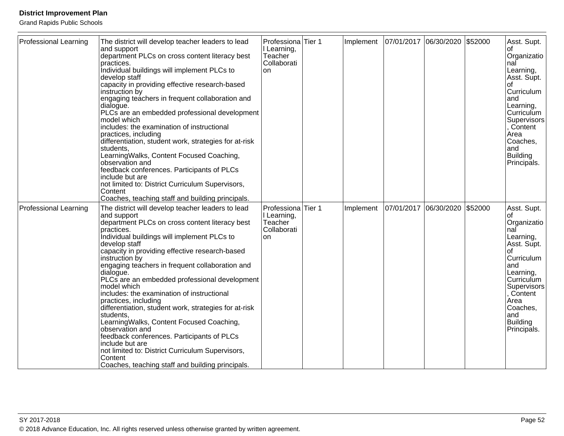| <b>Professional Learning</b> | The district will develop teacher leaders to lead<br>and support<br>department PLCs on cross content literacy best<br>practices.<br>Individual buildings will implement PLCs to<br>develop staff<br>capacity in providing effective research-based<br>instruction by<br>engaging teachers in frequent collaboration and<br>dialogue.<br>PLCs are an embedded professional development<br>model which<br>includes: the examination of instructional<br>practices, including<br>differentiation, student work, strategies for at-risk<br>students.<br>LearningWalks, Content Focused Coaching,<br>observation and<br>feedback conferences. Participants of PLCs<br>include but are<br>not limited to: District Curriculum Supervisors,<br>Content<br>Coaches, teaching staff and building principals. | Professiona <sup>Tier</sup> 1<br>I Learning,<br>Teacher<br>Collaborati<br>on | Implement | 07/01/2017 06/30/2020 |                               | \$52000 | Asst. Supt.  <br>Ωt<br>Organizatio<br>nal<br>Learning,<br>Asst. Supt.  <br>Curriculum<br>and<br>Learning,<br>Curriculum<br>Supervisors<br>Content<br>Area<br>Coaches,<br>land<br><b>Building</b><br>Principals.  |
|------------------------------|-----------------------------------------------------------------------------------------------------------------------------------------------------------------------------------------------------------------------------------------------------------------------------------------------------------------------------------------------------------------------------------------------------------------------------------------------------------------------------------------------------------------------------------------------------------------------------------------------------------------------------------------------------------------------------------------------------------------------------------------------------------------------------------------------------|------------------------------------------------------------------------------|-----------|-----------------------|-------------------------------|---------|------------------------------------------------------------------------------------------------------------------------------------------------------------------------------------------------------------------|
| <b>Professional Learning</b> | The district will develop teacher leaders to lead<br>and support<br>department PLCs on cross content literacy best<br>practices.<br>Individual buildings will implement PLCs to<br>develop staff<br>capacity in providing effective research-based<br>instruction by<br>engaging teachers in frequent collaboration and<br>dialogue.<br>PLCs are an embedded professional development<br>model which<br>includes: the examination of instructional<br>practices, including<br>differentiation, student work, strategies for at-risk<br>students,<br>LearningWalks, Content Focused Coaching,<br>observation and<br>feedback conferences. Participants of PLCs<br>include but are<br>not limited to: District Curriculum Supervisors,<br>Content<br>Coaches, teaching staff and building principals. | Professiona <sup>Tier</sup> 1<br>I Learning,<br>Teacher<br>Collaborati<br>on | Implement |                       | 07/01/2017 06/30/2020 \$52000 |         | Asst. Supt.<br>of<br>Organizatio<br>nal<br>Learning,<br>Asst. Supt.<br>of<br>Curriculum<br>and<br>Learning,<br>Curriculum<br>Supervisors<br>Content<br>Area<br>Coaches,<br>and<br><b>Building</b><br>Principals. |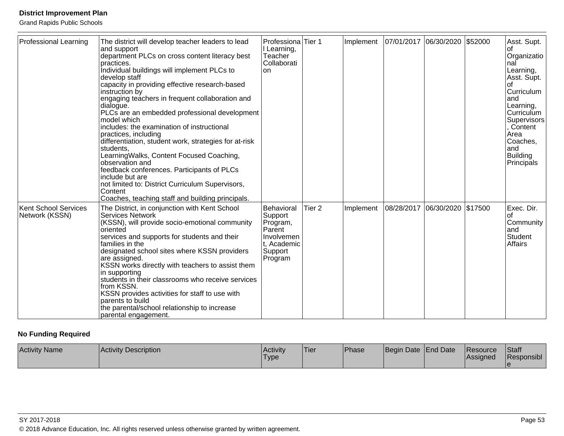Grand Rapids Public Schools

| <b>Professional Learning</b> | The district will develop teacher leaders to lead            | Professiona <sup>Tier</sup> 1 |                   | Implement |            | 07/01/2017 06/30/2020 | \$52000 | Asst. Supt.       |
|------------------------------|--------------------------------------------------------------|-------------------------------|-------------------|-----------|------------|-----------------------|---------|-------------------|
|                              | and support                                                  | I Learning,                   |                   |           |            |                       |         | οt                |
|                              | department PLCs on cross content literacy best               | Teacher                       |                   |           |            |                       |         | Organizatio       |
|                              | practices.                                                   | Collaborati                   |                   |           |            |                       |         | nal               |
|                              | Individual buildings will implement PLCs to                  | lon                           |                   |           |            |                       |         | Learning,         |
|                              | develop staff                                                |                               |                   |           |            |                       |         | Asst. Supt.       |
|                              | capacity in providing effective research-based               |                               |                   |           |            |                       |         |                   |
|                              | instruction by                                               |                               |                   |           |            |                       |         | Curriculum        |
|                              | engaging teachers in frequent collaboration and<br>dialogue. |                               |                   |           |            |                       |         | land<br>Learning, |
|                              | PLCs are an embedded professional development                |                               |                   |           |            |                       |         | Curriculum        |
|                              | model which                                                  |                               |                   |           |            |                       |         | Supervisors       |
|                              | includes: the examination of instructional                   |                               |                   |           |            |                       |         | Content           |
|                              | practices, including                                         |                               |                   |           |            |                       |         | Area              |
|                              | differentiation, student work, strategies for at-risk        |                               |                   |           |            |                       |         | Coaches,          |
|                              | students,                                                    |                               |                   |           |            |                       |         | land              |
|                              | LearningWalks, Content Focused Coaching,                     |                               |                   |           |            |                       |         | <b>Building</b>   |
|                              | observation and                                              |                               |                   |           |            |                       |         | Principals        |
|                              | feedback conferences. Participants of PLCs                   |                               |                   |           |            |                       |         |                   |
|                              | linclude but are                                             |                               |                   |           |            |                       |         |                   |
|                              | not limited to: District Curriculum Supervisors,             |                               |                   |           |            |                       |         |                   |
|                              | Content                                                      |                               |                   |           |            |                       |         |                   |
|                              | Coaches, teaching staff and building principals.             |                               |                   |           |            |                       |         |                   |
| Kent School Services         | The District, in conjunction with Kent School                | <b>Behavioral</b>             | Tier <sub>2</sub> | Implement | 08/28/2017 | 06/30/2020            | \$17500 | Exec. Dir.        |
| Network (KSSN)               | <b>Services Network</b>                                      | Support                       |                   |           |            |                       |         | Ωf                |
|                              | (KSSN), will provide socio-emotional community               | Program,                      |                   |           |            |                       |         | Community         |
|                              | oriented                                                     | Parent                        |                   |           |            |                       |         | land              |
|                              | services and supports for students and their                 | Involvemen                    |                   |           |            |                       |         | Student           |
|                              | families in the                                              | t, Academic                   |                   |           |            |                       |         | Affairs           |
|                              | designated school sites where KSSN providers                 | Support                       |                   |           |            |                       |         |                   |
|                              | are assigned.                                                | Program                       |                   |           |            |                       |         |                   |
|                              | KSSN works directly with teachers to assist them             |                               |                   |           |            |                       |         |                   |
|                              | in supporting                                                |                               |                   |           |            |                       |         |                   |
|                              | students in their classrooms who receive services            |                               |                   |           |            |                       |         |                   |
|                              | from KSSN.                                                   |                               |                   |           |            |                       |         |                   |
|                              | KSSN provides activities for staff to use with               |                               |                   |           |            |                       |         |                   |
|                              | parents to build                                             |                               |                   |           |            |                       |         |                   |
|                              | the parental/school relationship to increase                 |                               |                   |           |            |                       |         |                   |
|                              | parental engagement.                                         |                               |                   |           |            |                       |         |                   |

## **No Funding Required**

| <b>Activity Name</b> | Activity Description | <b>Activity</b><br><sup>1</sup> Type | 'Tier | <b>Phase</b> | Begin Date End Date | <b>IResource</b><br><b>IAssigned</b> | Staff<br>Responsibl |
|----------------------|----------------------|--------------------------------------|-------|--------------|---------------------|--------------------------------------|---------------------|
|                      |                      |                                      |       |              |                     |                                      |                     |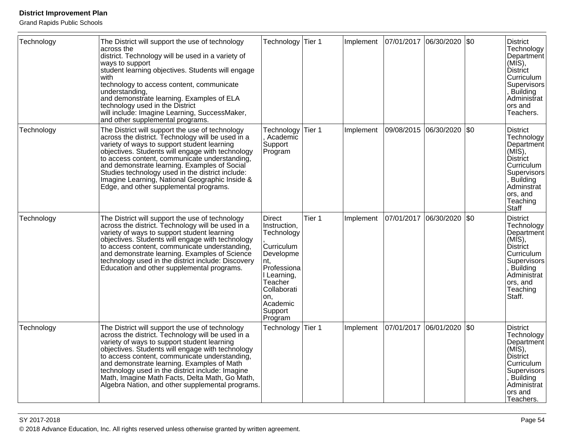| Technology | The District will support the use of technology<br>across the<br>district. Technology will be used in a variety of<br>ways to support<br>student learning objectives. Students will engage<br>with<br>technology to access content, communicate<br>understanding,<br>and demonstrate learning. Examples of ELA<br>technology used in the District<br>will include: Imagine Learning, SuccessMaker,<br>and other supplemental programs.                           | Technology                                                                                                                                                              | Tier 1 | Implement | 07/01/2017 | $ 06/30/2020 $ \$0    |     | <b>District</b><br>Technology<br>Department<br>$(MIS)$ ,<br><b>District</b><br>Curriculum<br>Supervisors<br>, Building<br>Administrat<br>ors and<br>Teachers.              |
|------------|------------------------------------------------------------------------------------------------------------------------------------------------------------------------------------------------------------------------------------------------------------------------------------------------------------------------------------------------------------------------------------------------------------------------------------------------------------------|-------------------------------------------------------------------------------------------------------------------------------------------------------------------------|--------|-----------|------------|-----------------------|-----|----------------------------------------------------------------------------------------------------------------------------------------------------------------------------|
| Technology | The District will support the use of technology<br>across the district. Technology will be used in a<br>variety of ways to support student learning<br>objectives. Students will engage with technology<br>to access content, communicate understanding,<br>and demonstrate learning. Examples of Social<br>Studies technology used in the district include:<br>Imagine Learning, National Geographic Inside &<br>Edge, and other supplemental programs.         | Technology<br>Academic<br>Support<br>Program                                                                                                                            | Tier 1 | Implement |            | 09/08/2015 06/30/2020 | \$0 | <b>District</b><br>Technology<br>Department<br>$(MIS)$ ,<br><b>District</b><br>Curriculum<br><b>Supervisors</b><br>Building<br>Adminstrat<br>ors, and<br>Teaching<br>Staff |
| Technology | The District will support the use of technology<br>across the district. Technology will be used in a<br>variety of ways to support student learning<br>objectives. Students will engage with technology<br>to access content, communicate understanding,<br>and demonstrate learning. Examples of Science<br>technology used in the district include: Discovery<br>Education and other supplemental programs.                                                    | Direct<br>Instruction,<br>Technology<br>Curriculum<br>Developme<br>nt,<br>Professiona<br>I Learning,<br>Teacher<br>Collaborati<br>on,<br>Academic<br>Support<br>Program | Tier 1 | Implement | 07/01/2017 | 06/30/2020            | \$0 | <b>District</b><br>Technology<br>Department<br>$(MIS)$ ,<br>District<br>Curriculum<br>Supervisors<br>, Building<br>Administrat<br>ors, and<br>Teaching<br>Staff.           |
| Technology | The District will support the use of technology<br>across the district. Technology will be used in a<br>variety of ways to support student learning<br>objectives. Students will engage with technology<br>to access content, communicate understanding,<br>and demonstrate learning. Examples of Math<br>technology used in the district include: Imagine<br>Math, Imagine Math Facts, Delta Math, Go Math,<br>Algebra Nation, and other supplemental programs. | Technology                                                                                                                                                              | Tier 1 | Implement | 07/01/2017 | 06/01/2020            | \$0 | <b>District</b><br>Technology<br>Department<br>$(MIS)$ ,<br><b>District</b><br>Curriculum<br>Supervisors<br>, Building<br>Administrat<br>ors and<br>Teachers.              |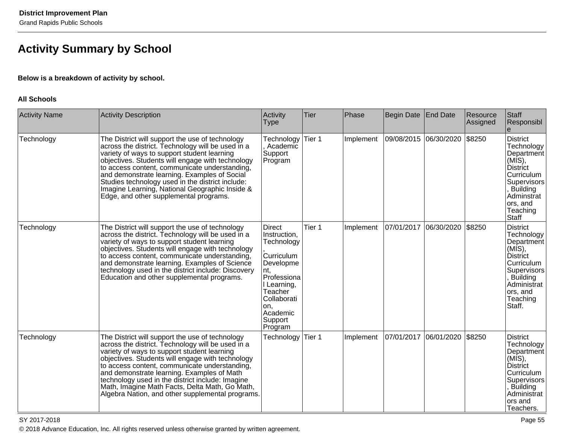# **Activity Summary by School**

## **Below is a breakdown of activity by school.**

#### **All Schools**

| <b>Activity Name</b> | <b>Activity Description</b>                                                                                                                                                                                                                                                                                                                                                                                                                                      | Activity<br><b>Type</b>                                                                                                                                                  | <b>Tier</b>       | Phase     | Begin Date End Date |                       | Resource<br>Assigned | Staff<br>Responsibl                                                                                                                                                   |
|----------------------|------------------------------------------------------------------------------------------------------------------------------------------------------------------------------------------------------------------------------------------------------------------------------------------------------------------------------------------------------------------------------------------------------------------------------------------------------------------|--------------------------------------------------------------------------------------------------------------------------------------------------------------------------|-------------------|-----------|---------------------|-----------------------|----------------------|-----------------------------------------------------------------------------------------------------------------------------------------------------------------------|
| Technology           | The District will support the use of technology<br>across the district. Technology will be used in a<br>variety of ways to support student learning<br>objectives. Students will engage with technology<br>to access content, communicate understanding,<br>and demonstrate learning. Examples of Social<br>Studies technology used in the district include:<br>Imagine Learning, National Geographic Inside &<br>Edge, and other supplemental programs.         | <b>Technology</b><br>Academic<br>Support<br>Program                                                                                                                      | Tier 1            | Implement |                     | 09/08/2015 06/30/2020 | \$8250               | <b>District</b><br>Technology<br>Department<br>$(MIS)$ ,<br>District<br>Curriculum<br>Supervisors<br>, Building<br>Adminstrat<br>ors, and<br>Teaching<br><b>Staff</b> |
| Technology           | The District will support the use of technology<br>across the district. Technology will be used in a<br>variety of ways to support student learning<br>objectives. Students will engage with technology<br>to access content, communicate understanding,<br>and demonstrate learning. Examples of Science<br>technology used in the district include: Discovery<br>Education and other supplemental programs.                                                    | Direct<br>Instruction,<br>Technology<br>Curriculum<br>Developme<br>Int.<br>Professiona<br>I Learning,<br>Teacher<br>Collaborati<br>on,<br>Academic<br>Support<br>Program | Tier <sub>1</sub> | Implement | 07/01/2017          | 06/30/2020            | \$8250               | <b>District</b><br>Technology<br>Department<br>$(MIS)$ ,<br><b>District</b><br>Curriculum<br>Supervisors<br>Building<br>Administrat<br>ors, and<br>Teaching<br>Staff. |
| Technology           | The District will support the use of technology<br>across the district. Technology will be used in a<br>variety of ways to support student learning<br>objectives. Students will engage with technology<br>to access content, communicate understanding,<br>and demonstrate learning. Examples of Math<br>technology used in the district include: Imagine<br>Math, Imagine Math Facts, Delta Math, Go Math,<br>Algebra Nation, and other supplemental programs. | Technology                                                                                                                                                               | Tier 1            | Implement | 07/01/2017          | 06/01/2020            | \$8250               | <b>District</b><br>Technology<br>Department<br>$(MIS)$ ,<br>District<br>Curriculum<br>Supervisors<br>Building<br>Administrat<br>ors and<br>Teachers.                  |

SY 2017-2018 Page 55

© 2018 Advance Education, Inc. All rights reserved unless otherwise granted by written agreement.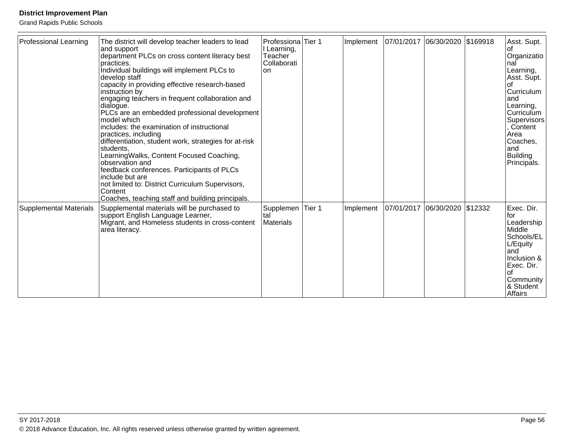| <b>Professional Learning</b> | The district will develop teacher leaders to lead<br>and support<br>department PLCs on cross content literacy best<br>practices.<br>Individual buildings will implement PLCs to<br>develop staff<br>capacity in providing effective research-based<br>instruction by<br>engaging teachers in frequent collaboration and<br>dialogue.<br>PLCs are an embedded professional development<br>lmodel which<br>includes: the examination of instructional<br>practices, including<br>differentiation, student work, strategies for at-risk<br>students.<br>LearningWalks, Content Focused Coaching,<br>observation and<br>feedback conferences. Participants of PLCs<br>include but are<br>not limited to: District Curriculum Supervisors,<br>Content<br>Coaches, teaching staff and building principals. | Professiona Tier 1<br>I Learning,<br>Teacher<br>Collaborati<br>on |        | Implement |            | 07/01/2017 06/30/2020 \$169918 |         | Asst. Supt.<br>lot<br>Organizatio<br>nal<br>Learning,<br>Asst. Supt.<br>l Of<br>Curriculum<br>land<br>Learning,<br>Curriculum<br>Supervisors<br>Content<br>Area<br>Coaches,<br>land<br>Building<br>Principals. |
|------------------------------|------------------------------------------------------------------------------------------------------------------------------------------------------------------------------------------------------------------------------------------------------------------------------------------------------------------------------------------------------------------------------------------------------------------------------------------------------------------------------------------------------------------------------------------------------------------------------------------------------------------------------------------------------------------------------------------------------------------------------------------------------------------------------------------------------|-------------------------------------------------------------------|--------|-----------|------------|--------------------------------|---------|----------------------------------------------------------------------------------------------------------------------------------------------------------------------------------------------------------------|
| Supplemental Materials       | Supplemental materials will be purchased to<br>support English Language Learner,<br>Migrant, and Homeless students in cross-content<br>area literacy.                                                                                                                                                                                                                                                                                                                                                                                                                                                                                                                                                                                                                                                | Supplemen<br>tal<br>Materials                                     | Tier 1 | Implement | 07/01/2017 | 06/30/2020                     | \$12332 | Exec. Dir.<br>for<br>Leadership<br>Middle<br>Schools/EL<br>L/Equity<br>land<br>Inclusion &<br>Exec. Dir.<br>l of<br>Community<br>& Student<br><b>Affairs</b>                                                   |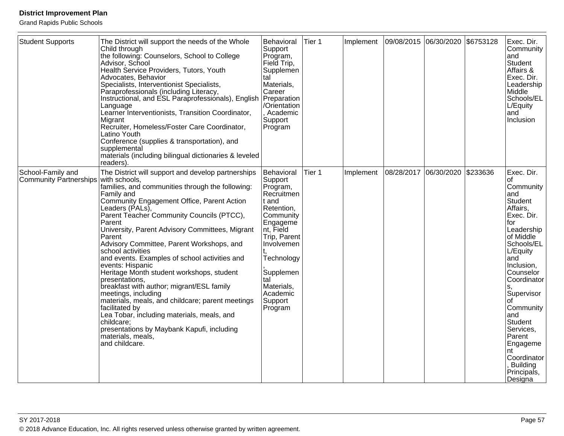| <b>Student Supports</b>                            | The District will support the needs of the Whole<br>Child through<br>the following: Counselors, School to College<br>Advisor, School<br>Health Service Providers, Tutors, Youth<br>Advocates, Behavior<br>Specialists, Interventionist Specialists,<br>Paraprofessionals (including Literacy,<br>Instructional, and ESL Paraprofessionals), English<br>Language<br>Learner Interventionists, Transition Coordinator,<br>Migrant<br>Recruiter, Homeless/Foster Care Coordinator,<br>Latino Youth<br>Conference (supplies & transportation), and<br>supplemental<br>materials (including bilingual dictionaries & leveled<br>readers).                                                                                                                                                                                        | Behavioral<br>Support<br>Program,<br>Field Trip,<br>Supplemen<br>tal<br>Materials,<br>Career<br>Preparation<br>/Orientation<br>Academic<br>Support<br>Program                                                                | Tier 1 | Implement | 09/08/2015 06/30/2020 |            | \$6753128 | Exec. Dir.<br>Community<br>and<br>Student<br>Affairs &<br>Exec. Dir.<br>Leadership<br>Middle<br>Schools/EL<br>L/Equity<br>and<br>Inclusion                                                                                                                                                                                              |
|----------------------------------------------------|-----------------------------------------------------------------------------------------------------------------------------------------------------------------------------------------------------------------------------------------------------------------------------------------------------------------------------------------------------------------------------------------------------------------------------------------------------------------------------------------------------------------------------------------------------------------------------------------------------------------------------------------------------------------------------------------------------------------------------------------------------------------------------------------------------------------------------|------------------------------------------------------------------------------------------------------------------------------------------------------------------------------------------------------------------------------|--------|-----------|-----------------------|------------|-----------|-----------------------------------------------------------------------------------------------------------------------------------------------------------------------------------------------------------------------------------------------------------------------------------------------------------------------------------------|
| School-Family and<br><b>Community Partnerships</b> | The District will support and develop partnerships<br>with schools,<br>families, and communities through the following:<br>Family and<br>Community Engagement Office, Parent Action<br>Leaders (PALs),<br>Parent Teacher Community Councils (PTCC),<br>Parent<br>University, Parent Advisory Committees, Migrant<br>Parent<br>Advisory Committee, Parent Workshops, and<br>school activities<br>and events. Examples of school activities and<br>events: Hispanic<br>Heritage Month student workshops, student<br>presentations,<br>breakfast with author; migrant/ESL family<br>meetings, including<br>materials, meals, and childcare; parent meetings<br>facilitated by<br>Lea Tobar, including materials, meals, and<br>childcare;<br>presentations by Maybank Kapufi, including<br>materials, meals,<br>and childcare. | Behavioral<br>Support<br>Program,<br>Recruitmen<br>t and<br>Retention,<br>Community<br>Engageme<br>nt, Field<br>Trip, Parent<br>Involvemen<br>Technology<br>Supplemen<br>tal<br>Materials,<br>Academic<br>Support<br>Program | Tier 1 | Implement | 08/28/2017            | 06/30/2020 | \$233636  | Exec. Dir.<br>οt<br>Community<br>and<br>Student<br>Affairs,<br>Exec. Dir.<br>for<br>Leadership<br>of Middle<br>Schools/EL<br>L/Equity<br>and<br>Inclusion,<br>Counselor<br>Coordinator<br>Supervisor<br>оf<br>Community<br>and<br>Student<br>Services,<br>Parent<br>Engageme<br>nt<br>Coordinator<br>Building<br>Principals,<br>Designa |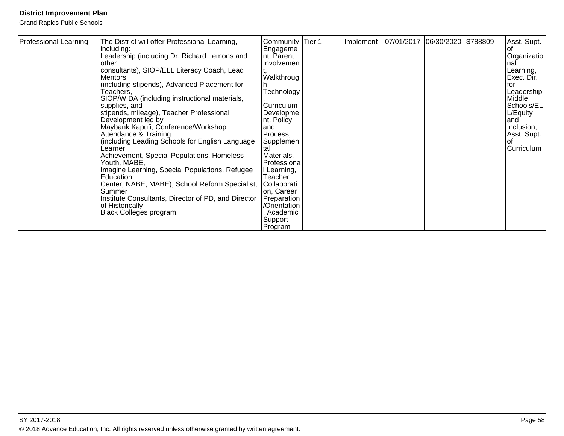| <b>Professional Learning</b> | The District will offer Professional Learning,<br>including:                         | Community<br>Engageme       | Tier 1 | Implement | 07/01/2017 06/30/2020 \$788809 | Asst. Supt.                      |
|------------------------------|--------------------------------------------------------------------------------------|-----------------------------|--------|-----------|--------------------------------|----------------------------------|
|                              | Leadership (including Dr. Richard Lemons and<br>other                                | nt, Parent<br>Involvemen    |        |           |                                | Organizatio<br>nal               |
|                              | consultants), SIOP/ELL Literacy Coach, Lead<br><b>Mentors</b>                        | Walkthroug                  |        |           |                                | Learning,<br>Exec. Dir.          |
|                              | (including stipends), Advanced Placement for<br>Teachers.                            | Technology                  |        |           |                                | l for<br>Leadership              |
|                              | SIOP/WIDA (including instructional materials,                                        |                             |        |           |                                | Middle                           |
|                              | supplies, and<br>stipends, mileage), Teacher Professional                            | Curriculum<br>Developme     |        |           |                                | Schools/EL<br>L/Equity           |
|                              | Development led by<br>Maybank Kapufi, Conference/Workshop                            | nt, Policy<br>and           |        |           |                                | land<br>Inclusion,               |
|                              | Attendance & Training<br>(including Leading Schools for English Language)<br>Learner | Process,<br>Supplemen       |        |           |                                | Asst. Supt.<br>lof<br>Curriculum |
|                              | Achievement, Special Populations, Homeless<br>Youth. MABE.                           | Materials,<br>Professiona   |        |           |                                |                                  |
|                              | Imagine Learning, Special Populations, Refugee<br>Education                          | l Learning,<br>Teacher      |        |           |                                |                                  |
|                              | Center, NABE, MABE), School Reform Specialist,<br>Summer                             | Collaborati<br>on, Career   |        |           |                                |                                  |
|                              | Institute Consultants, Director of PD, and Director<br>of Historically               | Preparation<br>/Orientation |        |           |                                |                                  |
|                              | Black Colleges program.                                                              | Academic<br>Support         |        |           |                                |                                  |
|                              |                                                                                      | Program                     |        |           |                                |                                  |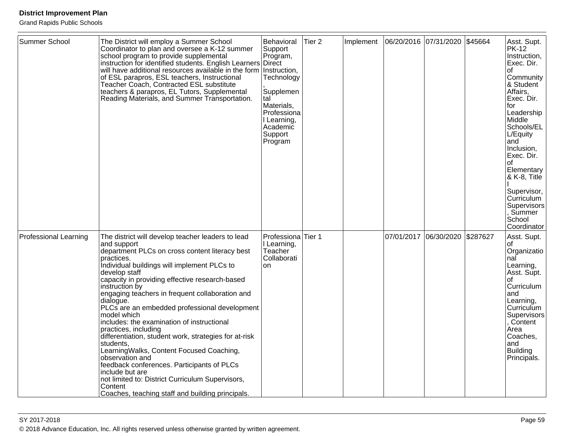| Summer School                | The District will employ a Summer School<br>Coordinator to plan and oversee a K-12 summer<br>school program to provide supplemental<br>instruction for identified students. English Learners Direct<br>will have additional resources available in the form<br>of ESL parapros, ESL teachers, Instructional<br>Teacher Coach, Contracted ESL substitute<br>teachers & parapros, EL Tutors, Supplemental<br>Reading Materials, and Summer Transportation.                                                                                                                                                                                                                                                                                                                                            | Behavioral<br>Support<br>Program,<br>Instruction,<br>Technology<br>Supplemen<br>tal<br>Materials,<br>Professiona<br>I Learning,<br>Academic<br>Support<br>Program | Tier <sub>2</sub> | Implement | 06/20/2016 07/31/2020 | \$45664  | Asst. Supt.<br><b>PK-12</b><br>Instruction,<br>Exec. Dir.<br>of<br>Community<br>& Student<br>Affairs,<br>Exec. Dir.<br>for<br>Leadership<br>Middle<br>Schools/EL<br>L/Equity<br>and<br>Inclusion,<br>Exec. Dir.<br>of<br>Elementary<br>& K-8, Title<br>Supervisor,<br>Curriculum<br><b>Supervisors</b><br>, Summer<br>School |
|------------------------------|-----------------------------------------------------------------------------------------------------------------------------------------------------------------------------------------------------------------------------------------------------------------------------------------------------------------------------------------------------------------------------------------------------------------------------------------------------------------------------------------------------------------------------------------------------------------------------------------------------------------------------------------------------------------------------------------------------------------------------------------------------------------------------------------------------|-------------------------------------------------------------------------------------------------------------------------------------------------------------------|-------------------|-----------|-----------------------|----------|------------------------------------------------------------------------------------------------------------------------------------------------------------------------------------------------------------------------------------------------------------------------------------------------------------------------------|
| <b>Professional Learning</b> | The district will develop teacher leaders to lead<br>and support<br>department PLCs on cross content literacy best<br>practices.<br>Individual buildings will implement PLCs to<br>develop staff<br>capacity in providing effective research-based<br>instruction by<br>engaging teachers in frequent collaboration and<br>dialogue.<br>PLCs are an embedded professional development<br>model which<br>includes: the examination of instructional<br>practices, including<br>differentiation, student work, strategies for at-risk<br>students.<br>LearningWalks, Content Focused Coaching,<br>observation and<br>feedback conferences. Participants of PLCs<br>include but are<br>not limited to: District Curriculum Supervisors,<br>Content<br>Coaches, teaching staff and building principals. | Professiona Tier 1<br>I Learning,<br>Teacher<br>Collaborati<br>on                                                                                                 |                   |           | 07/01/2017 06/30/2020 | \$287627 | Coordinator<br>Asst. Supt.<br>οf<br>Organizatio<br>nal<br>Learning,<br>Asst. Supt.<br>of<br>Curriculum<br>and<br>Learning,<br>Curriculum<br>Supervisors<br>Content<br>Area<br>Coaches,<br>and<br><b>Building</b><br>Principals.                                                                                              |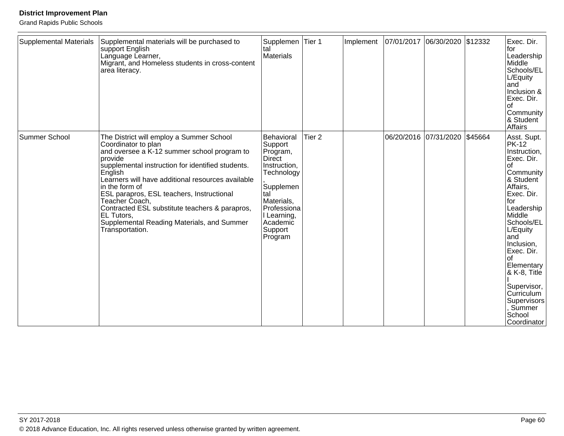| Supplemental Materials | Supplemental materials will be purchased to<br>support English<br>Language Learner,<br>Migrant, and Homeless students in cross-content<br>area literacy.                                                                                                                                                                                                                                                                                                                | Supplemen<br>tal<br>Materials                                                                                                                                             | Tier 1            | Implement | 07/01/2017 06/30/2020 \$12332 |         | Exec. Dir.<br>for<br>Leadership<br>Middle<br>Schools/EL<br>L/Equity<br>and<br>Inclusion &<br>Exec. Dir.<br>lof<br>Community<br>& Student<br><b>Affairs</b>                                                                                                                                                                             |
|------------------------|-------------------------------------------------------------------------------------------------------------------------------------------------------------------------------------------------------------------------------------------------------------------------------------------------------------------------------------------------------------------------------------------------------------------------------------------------------------------------|---------------------------------------------------------------------------------------------------------------------------------------------------------------------------|-------------------|-----------|-------------------------------|---------|----------------------------------------------------------------------------------------------------------------------------------------------------------------------------------------------------------------------------------------------------------------------------------------------------------------------------------------|
| Summer School          | The District will employ a Summer School<br>Coordinator to plan<br>and oversee a K-12 summer school program to<br>provide<br>supplemental instruction for identified students.<br>English<br>Learners will have additional resources available<br>in the form of<br>ESL parapros, ESL teachers, Instructional<br>Teacher Coach,<br>Contracted ESL substitute teachers & parapros,<br><b>EL Tutors,</b><br>Supplemental Reading Materials, and Summer<br>Transportation. | Behavioral<br>Support<br>Program,<br>Direct<br>Instruction,<br>Technology<br>Supplemen<br>tal<br>Materials,<br>Professiona<br>Learning,<br>Academic<br>Support<br>Program | Tier <sub>2</sub> |           | 06/20/2016 07/31/2020         | \$45664 | Asst. Supt.<br><b>PK-12</b><br>Instruction,<br>Exec. Dir.<br>l of<br>Community<br>& Student<br>Affairs,<br>Exec. Dir.<br>for<br>Leadership<br>Middle<br>Schools/EL<br>L/Equity<br>and<br>Inclusion,<br>Exec. Dir.<br>l of<br>Elementary<br>& K-8, Title<br>Supervisor,<br>Curriculum<br>Supervisors<br>Summer<br>School<br>Coordinator |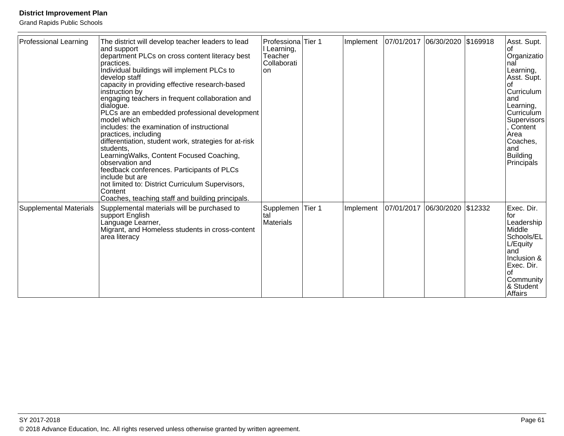| <b>Professional Learning</b> | The district will develop teacher leaders to lead<br>and support<br>department PLCs on cross content literacy best<br>practices.<br>Individual buildings will implement PLCs to<br>develop staff<br>capacity in providing effective research-based<br>instruction by<br>engaging teachers in frequent collaboration and<br>dialogue.<br>PLCs are an embedded professional development<br>lmodel which<br>includes: the examination of instructional<br>practices, including<br>differentiation, student work, strategies for at-risk<br>students.<br>LearningWalks, Content Focused Coaching,<br>observation and<br>feedback conferences. Participants of PLCs<br>include but are<br>not limited to: District Curriculum Supervisors,<br>Content<br>Coaches, teaching staff and building principals. | Professiona Tier 1<br>I Learning,<br>Teacher<br>Collaborati<br>on |        | Implement |            | 07/01/2017 06/30/2020 \$169918 |         | Asst. Supt.<br>lot<br>Organizatio<br>nal<br>Learning,<br>Asst. Supt.<br>l Of<br>Curriculum<br>land<br>Learning,<br>Curriculum<br>Supervisors<br>Content<br>Area<br>Coaches,<br>land<br>Building<br>Principals |
|------------------------------|------------------------------------------------------------------------------------------------------------------------------------------------------------------------------------------------------------------------------------------------------------------------------------------------------------------------------------------------------------------------------------------------------------------------------------------------------------------------------------------------------------------------------------------------------------------------------------------------------------------------------------------------------------------------------------------------------------------------------------------------------------------------------------------------------|-------------------------------------------------------------------|--------|-----------|------------|--------------------------------|---------|---------------------------------------------------------------------------------------------------------------------------------------------------------------------------------------------------------------|
| Supplemental Materials       | Supplemental materials will be purchased to<br>support English<br>Language Learner,<br>Migrant, and Homeless students in cross-content<br>area literacy                                                                                                                                                                                                                                                                                                                                                                                                                                                                                                                                                                                                                                              | Supplemen<br>tal<br><b>Materials</b>                              | Tier 1 | Implement | 07/01/2017 | 06/30/2020                     | \$12332 | Exec. Dir.<br>for<br>Leadership<br>Middle<br>Schools/EL<br>L/Equity<br>land<br>Inclusion &<br>Exec. Dir.<br>l of<br>Community<br>& Student<br><b>Affairs</b>                                                  |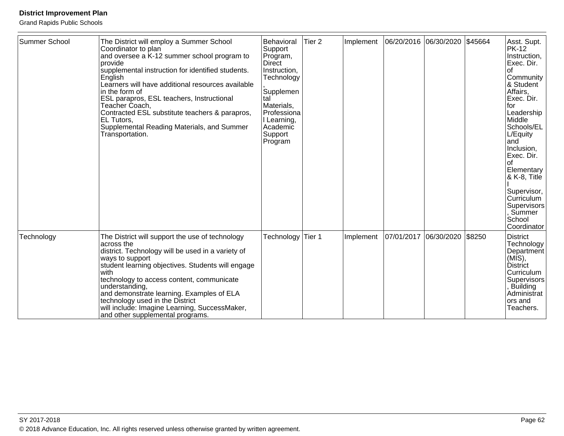| Summer School | The District will employ a Summer School<br>Coordinator to plan<br>and oversee a K-12 summer school program to<br>provide<br>supplemental instruction for identified students.<br>l Enalish<br>Learners will have additional resources available<br>in the form of<br><b>ESL parapros, ESL teachers, Instructional</b><br>Teacher Coach,<br>Contracted ESL substitute teachers & parapros,<br><b>EL Tutors,</b><br>Supplemental Reading Materials, and Summer<br>Transportation. | Behavioral<br>Support<br>Program,<br>Direct<br>Instruction,<br>Technology<br>Supplemen<br>tal<br>Materials,<br>Professiona<br>Learning,<br>Academic<br>Support<br>Program | Tier <sub>2</sub> | Implement |            | 06/20/2016 06/30/2020 \$45664 |        | Asst. Supt.<br><b>PK-12</b><br>Instruction,<br>Exec. Dir.<br>l of<br>Community<br>& Student<br>Affairs,<br>Exec. Dir.<br>for<br>Leadership<br>Middle<br>Schools/EL<br>L/Equity<br>and<br>Inclusion,<br>Exec. Dir.<br>l of<br>Elementary<br>& K-8, Title<br>Supervisor,<br>Curriculum<br>Supervisors<br>Summer<br>School<br>Coordinator |
|---------------|----------------------------------------------------------------------------------------------------------------------------------------------------------------------------------------------------------------------------------------------------------------------------------------------------------------------------------------------------------------------------------------------------------------------------------------------------------------------------------|---------------------------------------------------------------------------------------------------------------------------------------------------------------------------|-------------------|-----------|------------|-------------------------------|--------|----------------------------------------------------------------------------------------------------------------------------------------------------------------------------------------------------------------------------------------------------------------------------------------------------------------------------------------|
| Technology    | The District will support the use of technology<br>across the<br>district. Technology will be used in a variety of<br>ways to support<br>student learning objectives. Students will engage<br>with<br>technology to access content, communicate<br>understanding,<br>and demonstrate learning. Examples of ELA<br>technology used in the District<br>will include: Imagine Learning, SuccessMaker,<br>and other supplemental programs.                                           | Technology                                                                                                                                                                | Tier 1            | Implement | 07/01/2017 | 06/30/2020                    | \$8250 | <b>District</b><br>Technology<br>Department<br>$(MIS)$ ,<br><b>District</b><br>Curriculum<br>Supervisors<br>Building<br>Administrat<br>ors and<br>Teachers.                                                                                                                                                                            |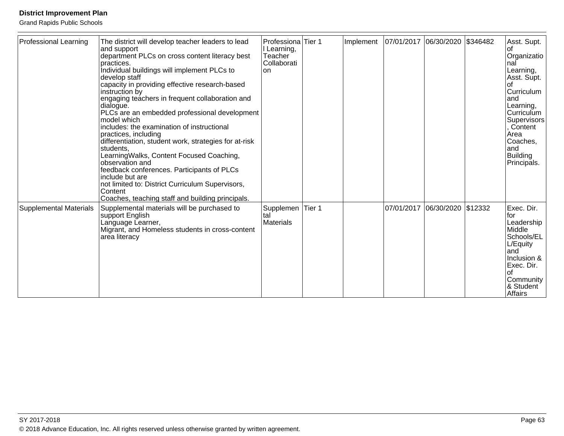| <b>Professional Learning</b> | The district will develop teacher leaders to lead<br>and support<br>department PLCs on cross content literacy best<br>practices.<br>Individual buildings will implement PLCs to<br>develop staff<br>capacity in providing effective research-based<br>instruction by<br>engaging teachers in frequent collaboration and<br>dialogue.<br>PLCs are an embedded professional development<br>lmodel which<br>includes: the examination of instructional<br>practices, including<br>differentiation, student work, strategies for at-risk<br>students.<br>LearningWalks, Content Focused Coaching,<br>observation and<br>feedback conferences. Participants of PLCs<br>include but are<br>not limited to: District Curriculum Supervisors,<br>Content<br>Coaches, teaching staff and building principals. | Professiona Tier 1<br>I Learning,<br>Teacher<br>Collaborati<br><b>on</b> | Implement |            | 07/01/2017 06/30/2020 \$346482 |         | Asst. Supt.<br>lot<br>Organizatio<br>nal<br>Learning,<br>Asst. Supt.<br>l Of<br>Curriculum<br>land<br>Learning,<br>Curriculum<br>Supervisors<br>Content<br>Area<br>Coaches,<br>land<br>Building<br>Principals. |
|------------------------------|------------------------------------------------------------------------------------------------------------------------------------------------------------------------------------------------------------------------------------------------------------------------------------------------------------------------------------------------------------------------------------------------------------------------------------------------------------------------------------------------------------------------------------------------------------------------------------------------------------------------------------------------------------------------------------------------------------------------------------------------------------------------------------------------------|--------------------------------------------------------------------------|-----------|------------|--------------------------------|---------|----------------------------------------------------------------------------------------------------------------------------------------------------------------------------------------------------------------|
| Supplemental Materials       | Supplemental materials will be purchased to<br>support English<br>Language Learner,<br>Migrant, and Homeless students in cross-content<br>area literacy                                                                                                                                                                                                                                                                                                                                                                                                                                                                                                                                                                                                                                              | Supplemen Tier 1<br>tal<br><b>Materials</b>                              |           | 07/01/2017 | 06/30/2020                     | \$12332 | Exec. Dir.<br>for<br>Leadership<br>Middle<br>Schools/EL<br>L/Equity<br>land<br>Inclusion &<br>Exec. Dir.<br>l of<br>Community<br>& Student<br><b>Affairs</b>                                                   |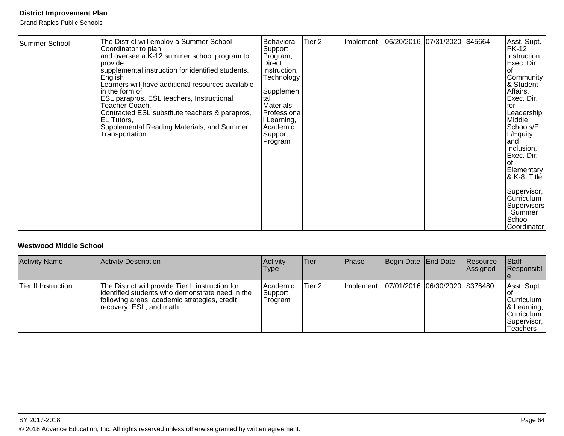Grand Rapids Public Schools

| Summer School | The District will employ a Summer School<br>Coordinator to plan<br>and oversee a K-12 summer school program to<br>provide<br>supplemental instruction for identified students.<br>English<br>Learners will have additional resources available<br>In the form of<br>ESL parapros, ESL teachers, Instructional<br>Teacher Coach,<br>Contracted ESL substitute teachers & parapros,<br>EL Tutors,<br>Supplemental Reading Materials, and Summer<br>Transportation. | <b>Behavioral</b><br>Support<br>Program,<br>Direct<br>Instruction,<br>Technology<br>Supplemen<br>tal<br>Materials,<br>Professiona<br>I Learning,<br>Academic<br>Support<br>Program | Tier 2 | Implement | 06/20/2016  07/31/2020   \$45664 |  |  | Asst. Supt.<br>PK-12<br>Instruction,<br>Exec. Dir.<br>Ωf<br> Community  <br>& Student<br>Affairs,<br>Exec. Dir.<br>l for<br>Leadership<br>Middle<br>Schools/EL<br>L/Equity<br>land<br>Inclusion,<br>Exec. Dir.<br>Ωf<br>Elementary<br>& K-8, Title<br>Supervisor,<br>Curriculum<br>Supervisors<br>Summer<br>School<br>Coordinator |
|---------------|------------------------------------------------------------------------------------------------------------------------------------------------------------------------------------------------------------------------------------------------------------------------------------------------------------------------------------------------------------------------------------------------------------------------------------------------------------------|------------------------------------------------------------------------------------------------------------------------------------------------------------------------------------|--------|-----------|----------------------------------|--|--|-----------------------------------------------------------------------------------------------------------------------------------------------------------------------------------------------------------------------------------------------------------------------------------------------------------------------------------|
|---------------|------------------------------------------------------------------------------------------------------------------------------------------------------------------------------------------------------------------------------------------------------------------------------------------------------------------------------------------------------------------------------------------------------------------------------------------------------------------|------------------------------------------------------------------------------------------------------------------------------------------------------------------------------------|--------|-----------|----------------------------------|--|--|-----------------------------------------------------------------------------------------------------------------------------------------------------------------------------------------------------------------------------------------------------------------------------------------------------------------------------------|

#### **Westwood Middle School**

| <b>Activity Name</b> | <b>Activity Description</b>                                                                                                                                                      | Activity<br>Type                      | <b>Tier</b> | Phase             | Begin Date End Date |                                | Resource<br>Assigned | Staff<br>Responsibl                                                                      |
|----------------------|----------------------------------------------------------------------------------------------------------------------------------------------------------------------------------|---------------------------------------|-------------|-------------------|---------------------|--------------------------------|----------------------|------------------------------------------------------------------------------------------|
| Tier II Instruction  | The District will provide Tier II instruction for<br>identified students who demonstrate need in the<br>following areas: academic strategies, credit<br>recovery, ESL, and math. | <b>Academic</b><br>Support<br>Program | Tier 2      | <b>Ilmplement</b> |                     | 07/01/2016 06/30/2020 \$376480 |                      | Asst. Supt.<br>Curriculum<br>& Learning,<br>Curriculum<br>Supervisor,<br><b>Teachers</b> |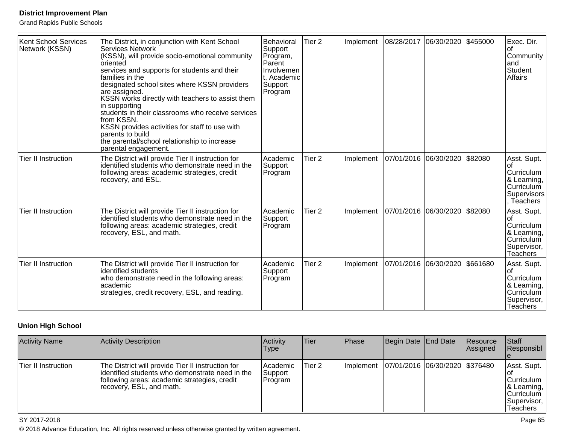Grand Rapids Public Schools

| <b>Kent School Services</b><br>Network (KSSN) | The District, in conjunction with Kent School<br><b>Services Network</b><br>(KSSN), will provide socio-emotional community<br>loriented<br>services and supports for students and their<br>lfamilies in the<br>designated school sites where KSSN providers<br>are assigned.<br>KSSN works directly with teachers to assist them<br>in supporting<br>students in their classrooms who receive services<br>lfrom KSSN.<br>KSSN provides activities for staff to use with<br>parents to build<br>the parental/school relationship to increase<br>parental engagement. | Behavioral<br>Support<br>Program,<br>Parent<br>Involvemen<br>t. Academic<br>Support<br>Program | Tier <sub>2</sub> | Implement |                       | 08/28/2017 06/30/2020 \$455000 |          | Exec. Dir.<br>l of<br>Community<br>and<br>Student<br><b>Affairs</b>                             |
|-----------------------------------------------|---------------------------------------------------------------------------------------------------------------------------------------------------------------------------------------------------------------------------------------------------------------------------------------------------------------------------------------------------------------------------------------------------------------------------------------------------------------------------------------------------------------------------------------------------------------------|------------------------------------------------------------------------------------------------|-------------------|-----------|-----------------------|--------------------------------|----------|-------------------------------------------------------------------------------------------------|
| <b>Tier II Instruction</b>                    | The District will provide Tier II instruction for<br>identified students who demonstrate need in the<br>following areas: academic strategies, credit<br>recovery, and ESL.                                                                                                                                                                                                                                                                                                                                                                                          | Academic<br>Support<br>Program                                                                 | Tier <sub>2</sub> | Implement | 07/01/2016 06/30/2020 |                                | \$82080  | Asst. Supt.<br>Οt<br>Curriculum<br>& Learning,<br>Curriculum<br>Supervisors<br>Teachers         |
| <b>Tier II Instruction</b>                    | The District will provide Tier II instruction for<br>identified students who demonstrate need in the<br>following areas: academic strategies, credit<br>recovery, ESL, and math.                                                                                                                                                                                                                                                                                                                                                                                    | Academic<br>Support<br>Program                                                                 | Tier <sub>2</sub> | Implement |                       | 07/01/2016 06/30/2020          | \$82080  | Asst. Supt.<br>lof<br>Curriculum<br>& Learning,<br>Curriculum<br>Supervisor,<br><b>Teachers</b> |
| <b>Tier II Instruction</b>                    | The District will provide Tier II instruction for<br>identified students<br>who demonstrate need in the following areas:<br>academic<br>strategies, credit recovery, ESL, and reading.                                                                                                                                                                                                                                                                                                                                                                              | Academic<br>Support<br>Program                                                                 | Tier <sub>2</sub> | Implement | 07/01/2016            | 06/30/2020                     | \$661680 | Asst. Supt.<br>l of<br>Curriculum<br>& Learning,<br>Curriculum<br>Supervisor,<br>Teachers       |

## **Union High School**

| <b>Activity Name</b> | <b>Activity Description</b>                                                                                                                                                       | Activity<br>Type               | Tier   | Phase            | Begin Date End Date            | Resource<br>Assigned | Staff<br>Responsibl                                                                             |
|----------------------|-----------------------------------------------------------------------------------------------------------------------------------------------------------------------------------|--------------------------------|--------|------------------|--------------------------------|----------------------|-------------------------------------------------------------------------------------------------|
| Tier II Instruction  | The District will provide Tier II instruction for<br>lidentified students who demonstrate need in the<br>following areas: academic strategies, credit<br>recovery, ESL, and math. | Academic<br>Support<br>Program | Tier 2 | <b>Implement</b> | 07/01/2016 06/30/2020 \$376480 |                      | Asst. Supt.<br>Curriculum<br>$ &$ Learning, $ $<br>Curriculum<br>Supervisor,<br><b>Teachers</b> |

#### SY 2017-2018 Page 65

© 2018 Advance Education, Inc. All rights reserved unless otherwise granted by written agreement.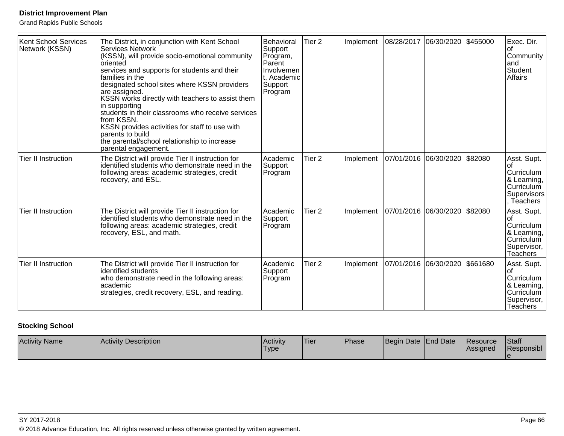Grand Rapids Public Schools

| <b>Kent School Services</b><br>Network (KSSN) | The District, in conjunction with Kent School<br>Services Network<br>(KSSN), will provide socio-emotional community<br>oriented<br>services and supports for students and their<br>families in the<br>designated school sites where KSSN providers<br>are assigned.<br>KSSN works directly with teachers to assist them<br>in supporting<br>students in their classrooms who receive services<br>from KSSN.<br>KSSN provides activities for staff to use with<br>parents to build<br>the parental/school relationship to increase<br>parental engagement. | Behavioral<br>Support<br>Program,<br>Parent<br>Involvemen<br>t. Academic<br>Support<br>Program | Tier <sub>2</sub> | Implement |                       | 08/28/2017 06/30/2020 \$455000 |          | Exec. Dir.<br>lof<br>Community<br>and<br>Student<br><b>Affairs</b>                              |
|-----------------------------------------------|-----------------------------------------------------------------------------------------------------------------------------------------------------------------------------------------------------------------------------------------------------------------------------------------------------------------------------------------------------------------------------------------------------------------------------------------------------------------------------------------------------------------------------------------------------------|------------------------------------------------------------------------------------------------|-------------------|-----------|-----------------------|--------------------------------|----------|-------------------------------------------------------------------------------------------------|
| <b>Tier II Instruction</b>                    | The District will provide Tier II instruction for<br>identified students who demonstrate need in the<br>following areas: academic strategies, credit<br>recovery, and ESL.                                                                                                                                                                                                                                                                                                                                                                                | Academic<br>Support<br>Program                                                                 | Tier <sub>2</sub> | Implement | 07/01/2016 06/30/2020 |                                | \$82080  | Asst. Supt.<br>οt<br>Curriculum<br>& Learning,<br>Curriculum<br><b>Supervisors</b><br>Teachers  |
| <b>Tier II Instruction</b>                    | The District will provide Tier II instruction for<br>identified students who demonstrate need in the<br>following areas: academic strategies, credit<br>recovery, ESL, and math.                                                                                                                                                                                                                                                                                                                                                                          | Academic<br>Support<br> Program                                                                | Tier <sub>2</sub> | Implement |                       | 07/01/2016 06/30/2020  \$82080 |          | Asst. Supt.<br>lof<br>Curriculum<br>& Learning,<br>Curriculum<br>Supervisor,<br>Teachers        |
| <b>Tier II Instruction</b>                    | The District will provide Tier II instruction for<br>identified students<br>who demonstrate need in the following areas:<br>academic<br>strategies, credit recovery, ESL, and reading.                                                                                                                                                                                                                                                                                                                                                                    | Academic<br>Support<br> Program                                                                | Tier <sub>2</sub> | Implement | 07/01/2016            | 06/30/2020                     | \$661680 | Asst. Supt.<br>lof<br>Curriculum<br>& Learning,<br>Curriculum<br>Supervisor,<br><b>Teachers</b> |

## **Stocking School**

| <b>Activity Name</b> | <b>Activity Description</b> | Activity<br><b>Type</b> | Tier | Phase | Begin Date End Date | Resource<br>Assigned | Staff<br>Responsibl |
|----------------------|-----------------------------|-------------------------|------|-------|---------------------|----------------------|---------------------|
|                      |                             |                         |      |       |                     |                      |                     |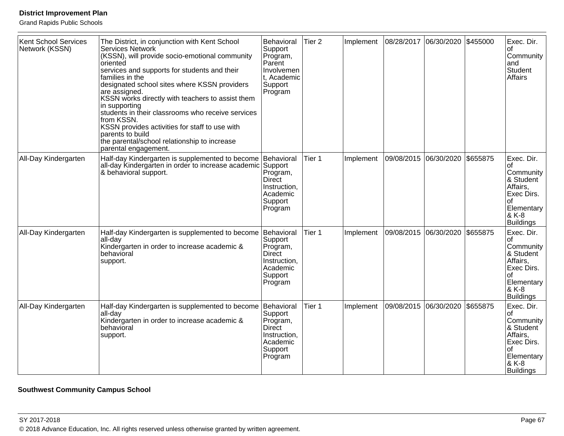Grand Rapids Public Schools

| <b>Kent School Services</b><br>Network (KSSN) | The District, in conjunction with Kent School<br><b>Services Network</b><br>(KSSN), will provide socio-emotional community<br>oriented<br>services and supports for students and their<br>families in the<br>designated school sites where KSSN providers<br>are assigned.<br>KSSN works directly with teachers to assist them<br>in supporting<br>students in their classrooms who receive services<br>from KSSN.<br>KSSN provides activities for staff to use with<br>parents to build<br>the parental/school relationship to increase<br>parental engagement. | Behavioral<br>Support<br>Program,<br>Parent<br>Involvemen<br>t, Academic<br>Support<br>Program       | Tier <sub>2</sub> | Implement | 08/28/2017 | 06/30/2020 \$455000 |          | Exec. Dir.<br>l of<br>Community<br>and<br>Student<br>Affairs                                                                 |
|-----------------------------------------------|------------------------------------------------------------------------------------------------------------------------------------------------------------------------------------------------------------------------------------------------------------------------------------------------------------------------------------------------------------------------------------------------------------------------------------------------------------------------------------------------------------------------------------------------------------------|------------------------------------------------------------------------------------------------------|-------------------|-----------|------------|---------------------|----------|------------------------------------------------------------------------------------------------------------------------------|
| All-Day Kindergarten                          | Half-day Kindergarten is supplemented to become<br>all-day Kindergarten in order to increase academic Support<br>& behavioral support.                                                                                                                                                                                                                                                                                                                                                                                                                           | Behavioral<br>Program,<br><b>Direct</b><br>Instruction,<br>Academic<br>Support<br>Program            | Tier 1            | Implement | 09/08/2015 | 06/30/2020          | \$655875 | Exec. Dir.<br>Ωf<br>Community<br>& Student<br>Affairs,<br>Exec Dirs.<br>l of<br>Elementary<br>& K-8<br><b>Buildings</b>      |
| All-Day Kindergarten                          | Half-day Kindergarten is supplemented to become<br>all-day<br>Kindergarten in order to increase academic &<br>behavioral<br>support.                                                                                                                                                                                                                                                                                                                                                                                                                             | Behavioral<br>Support<br>Program,<br><b>Direct</b><br>Instruction,<br>Academic<br>Support<br>Program | Tier 1            | Implement | 09/08/2015 | 06/30/2020          | \$655875 | Exec. Dir.<br>l of<br>Community<br>& Student<br>Affairs,<br>Exec Dirs.<br>οf<br>Elementary<br>& K-8<br><b>Buildings</b>      |
| All-Day Kindergarten                          | Half-day Kindergarten is supplemented to become<br>all-day<br>Kindergarten in order to increase academic &<br>behavioral<br>support.                                                                                                                                                                                                                                                                                                                                                                                                                             | Behavioral<br>Support<br>Program,<br>Direct<br>Instruction,<br>Academic<br>Support<br>Program        | Tier 1            | Implement | 09/08/2015 | 06/30/2020 \$655875 |          | Exec. Dir.<br><b>of</b><br>Community<br>& Student<br>Affairs,<br>Exec Dirs.<br>Ωf<br>Elementary<br>& K-8<br><b>Buildings</b> |

**Southwest Community Campus School**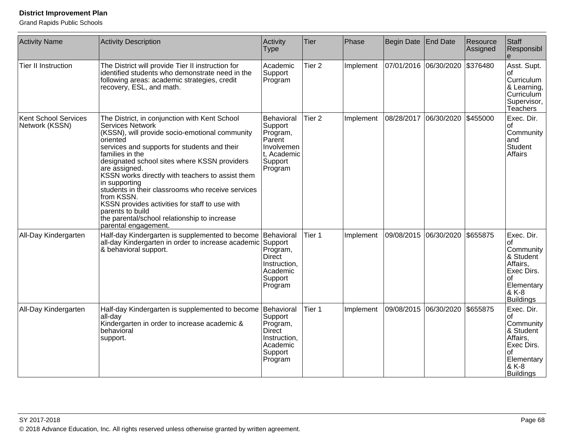| <b>Activity Name</b>                          | <b>Activity Description</b>                                                                                                                                                                                                                                                                                                                                                                                                                                                                                                                                      | Activity<br><b>Type</b>                                                                              | Tier              | Phase     | Begin Date | End Date                         | Resource<br>Assigned | Staff<br>Responsibl                                                                                                     |
|-----------------------------------------------|------------------------------------------------------------------------------------------------------------------------------------------------------------------------------------------------------------------------------------------------------------------------------------------------------------------------------------------------------------------------------------------------------------------------------------------------------------------------------------------------------------------------------------------------------------------|------------------------------------------------------------------------------------------------------|-------------------|-----------|------------|----------------------------------|----------------------|-------------------------------------------------------------------------------------------------------------------------|
| <b>Tier II Instruction</b>                    | The District will provide Tier II instruction for<br>identified students who demonstrate need in the<br>following areas: academic strategies, credit<br>recovery, ESL, and math.                                                                                                                                                                                                                                                                                                                                                                                 | Academic<br>Support<br>Program                                                                       | Tier <sub>2</sub> | Implement |            | 07/01/2016  06/30/2020  \$376480 |                      | Asst. Supt.<br>lof<br>Curriculum<br>& Learning,<br>Curriculum<br>Supervisor,<br>Teachers                                |
| <b>Kent School Services</b><br>Network (KSSN) | The District, in conjunction with Kent School<br><b>Services Network</b><br>(KSSN), will provide socio-emotional community<br>oriented<br>services and supports for students and their<br>families in the<br>designated school sites where KSSN providers<br>are assigned.<br>KSSN works directly with teachers to assist them<br>in supporting<br>students in their classrooms who receive services<br>from KSSN.<br>KSSN provides activities for staff to use with<br>parents to build<br>the parental/school relationship to increase<br>parental engagement. | Behavioral<br>Support<br>Program,<br>Parent<br>Involvemen<br>t, Academic<br>Support<br>Program       | Tier <sub>2</sub> | Implement | 08/28/2017 | 06/30/2020                       | \$455000             | Exec. Dir.<br>l of<br>Community<br>and<br>Student<br><b>Affairs</b>                                                     |
| All-Day Kindergarten                          | Half-day Kindergarten is supplemented to become Behavioral<br>all-day Kindergarten in order to increase academic Support<br>& behavioral support.                                                                                                                                                                                                                                                                                                                                                                                                                | Program,<br><b>Direct</b><br>Instruction,<br>Academic<br>Support<br>Program                          | Tier 1            | Implement | 09/08/2015 | 06/30/2020                       | \$655875             | Exec. Dir.<br>l of<br>Community<br>& Student<br>Affairs,<br>Exec Dirs.<br>οf<br>Elementary<br>& K-8<br><b>Buildings</b> |
| All-Day Kindergarten                          | Half-day Kindergarten is supplemented to become<br>all-day<br>Kindergarten in order to increase academic &<br>behavioral<br>support.                                                                                                                                                                                                                                                                                                                                                                                                                             | Behavioral<br>Support<br>Program,<br><b>Direct</b><br>Instruction,<br>Academic<br>Support<br>Program | Tier 1            | Implement | 09/08/2015 | 06/30/2020                       | \$655875             | Exec. Dir.<br>l of<br>Community<br>& Student<br>Affairs,<br>Exec Dirs.<br>οf<br>Elementary<br>& K-8<br><b>Buildings</b> |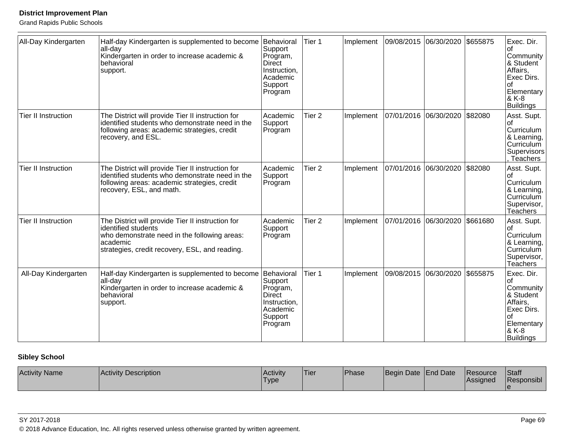Grand Rapids Public Schools

| All-Day Kindergarten       | Half-day Kindergarten is supplemented to become<br>all-day<br>Kindergarten in order to increase academic &<br>behavioral<br>support.                                                   | Behavioral<br>Support<br>Program,<br>Direct<br>Instruction,<br>Academic<br>Support<br>Program        | Tier 1            | Implement | 09/08/2015 | 06/30/2020                     | \$655875 | Exec. Dir.<br>Community<br>& Student<br>Affairs,<br>Exec Dirs.<br>οf<br>Elementary<br>& K-8<br><b>Buildings</b>         |
|----------------------------|----------------------------------------------------------------------------------------------------------------------------------------------------------------------------------------|------------------------------------------------------------------------------------------------------|-------------------|-----------|------------|--------------------------------|----------|-------------------------------------------------------------------------------------------------------------------------|
| <b>Tier II Instruction</b> | The District will provide Tier II instruction for<br>identified students who demonstrate need in the<br>following areas: academic strategies, credit<br>recovery, and ESL.             | Academic<br>Support<br>Program                                                                       | Tier <sub>2</sub> | Implement |            | 07/01/2016 06/30/2020  \$82080 |          | Asst. Supt.<br>Ωf<br>Curriculum<br>& Learning,<br>Curriculum<br>Supervisors<br>Teachers                                 |
| <b>Tier II Instruction</b> | The District will provide Tier II instruction for<br>identified students who demonstrate need in the<br>following areas: academic strategies, credit<br>recovery, ESL, and math.       | Academic<br>Support<br>Program                                                                       | Tier 2            | Implement | 07/01/2016 | 06/30/2020                     | \$82080  | Asst. Supt.<br>l of<br>Curriculum<br>& Learning,<br>Curriculum<br>Supervisor,<br>Teachers                               |
| <b>Tier II Instruction</b> | The District will provide Tier II instruction for<br>identified students<br>who demonstrate need in the following areas:<br>academic<br>strategies, credit recovery, ESL, and reading. | Academic<br>Support<br>Program                                                                       | Tier <sub>2</sub> | Implement | 07/01/2016 | 06/30/2020                     | \$661680 | Asst. Supt.<br>οt<br>Curriculum<br>& Learning,<br>Curriculum<br>Supervisor,<br><b>Teachers</b>                          |
| All-Day Kindergarten       | Half-day Kindergarten is supplemented to become<br>all-day<br>Kindergarten in order to increase academic &<br>behavioral<br>support.                                                   | Behavioral<br>Support<br>Program,<br><b>Direct</b><br>Instruction,<br>Academic<br>Support<br>Program | Tier 1            | Implement | 09/08/2015 | 06/30/2020                     | \$655875 | Exec. Dir.<br>l of<br>Community<br>& Student<br>Affairs,<br>Exec Dirs.<br>Ωf<br>Elementary<br>& K-8<br><b>Buildings</b> |

# **Sibley School**

| <b>Activity Name</b> | Activity Description | <b>Activity</b><br><b>Type</b> | 'Tier | 'Phase | Begin Date   End Date |  | <b>IResource</b><br><b>Assigned</b> | Staff<br><b>Responsibl</b> |
|----------------------|----------------------|--------------------------------|-------|--------|-----------------------|--|-------------------------------------|----------------------------|
|----------------------|----------------------|--------------------------------|-------|--------|-----------------------|--|-------------------------------------|----------------------------|

SY 2017-2018 Page 69

© 2018 Advance Education, Inc. All rights reserved unless otherwise granted by written agreement.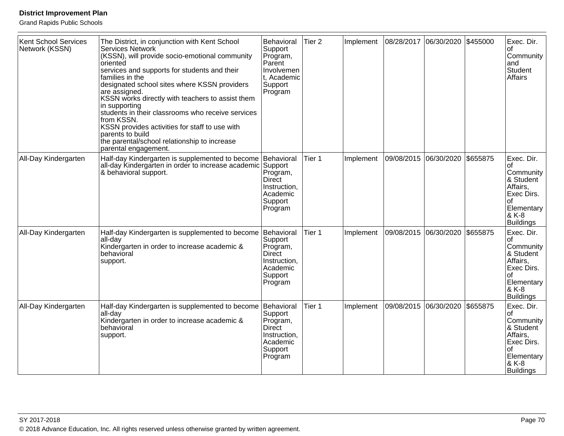| <b>Kent School Services</b><br>Network (KSSN) | The District, in conjunction with Kent School<br><b>Services Network</b><br>(KSSN), will provide socio-emotional community<br>oriented<br>services and supports for students and their<br>families in the<br>designated school sites where KSSN providers<br>are assigned.<br>KSSN works directly with teachers to assist them<br>in supporting<br>students in their classrooms who receive services<br>from KSSN.<br>KSSN provides activities for staff to use with<br>parents to build<br>the parental/school relationship to increase<br>parental engagement. | Behavioral<br>Support<br>Program,<br>Parent<br>Involvemen<br>t, Academic<br>Support<br>Program       | Tier <sub>2</sub> | Implement | 08/28/2017 | 06/30/2020 \$455000 |          | Exec. Dir.<br>l of<br>Community<br>and<br>Student<br>Affairs                                                                 |
|-----------------------------------------------|------------------------------------------------------------------------------------------------------------------------------------------------------------------------------------------------------------------------------------------------------------------------------------------------------------------------------------------------------------------------------------------------------------------------------------------------------------------------------------------------------------------------------------------------------------------|------------------------------------------------------------------------------------------------------|-------------------|-----------|------------|---------------------|----------|------------------------------------------------------------------------------------------------------------------------------|
| All-Day Kindergarten                          | Half-day Kindergarten is supplemented to become<br>all-day Kindergarten in order to increase academic Support<br>& behavioral support.                                                                                                                                                                                                                                                                                                                                                                                                                           | Behavioral<br>Program,<br><b>Direct</b><br>Instruction,<br>Academic<br>Support<br>Program            | Tier 1            | Implement | 09/08/2015 | 06/30/2020          | \$655875 | Exec. Dir.<br>Ωf<br>Community<br>& Student<br>Affairs,<br>Exec Dirs.<br>l of<br>Elementary<br>& K-8<br><b>Buildings</b>      |
| All-Day Kindergarten                          | Half-day Kindergarten is supplemented to become<br>all-day<br>Kindergarten in order to increase academic &<br>behavioral<br>support.                                                                                                                                                                                                                                                                                                                                                                                                                             | Behavioral<br>Support<br>Program,<br><b>Direct</b><br>Instruction,<br>Academic<br>Support<br>Program | Tier 1            | Implement | 09/08/2015 | 06/30/2020          | \$655875 | Exec. Dir.<br>l of<br>Community<br>& Student<br>Affairs,<br>Exec Dirs.<br>οf<br>Elementary<br>& K-8<br><b>Buildings</b>      |
| All-Day Kindergarten                          | Half-day Kindergarten is supplemented to become<br>all-day<br>Kindergarten in order to increase academic &<br>behavioral<br>support.                                                                                                                                                                                                                                                                                                                                                                                                                             | Behavioral<br>Support<br>Program,<br>Direct<br>Instruction,<br>Academic<br>Support<br>Program        | Tier 1            | Implement | 09/08/2015 | 06/30/2020 \$655875 |          | Exec. Dir.<br><b>of</b><br>Community<br>& Student<br>Affairs,<br>Exec Dirs.<br>Ωf<br>Elementary<br>& K-8<br><b>Buildings</b> |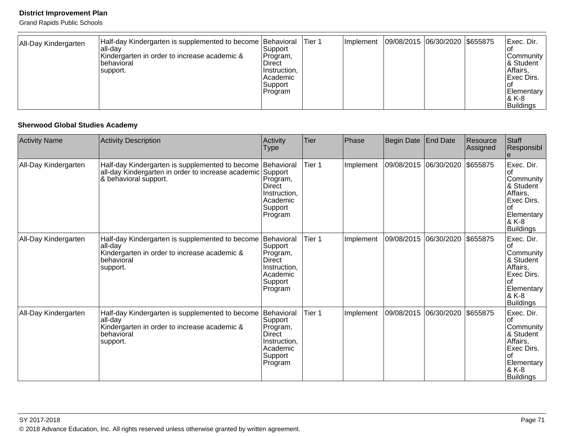Grand Rapids Public Schools

| All-Day Kindergarten | Half-day Kindergarten is supplemented to become Behavioral<br>lall-dav<br>Kindergarten in order to increase academic &<br>Ibehavioral<br>support. | Support<br>Program,<br><b>Direct</b><br>Instruction,<br>IAcademic<br>Support<br> Program | Tier 1 | <b>Implement</b> | 09/08/2015 06/30/2020 \$655875 |  | Exec. Dir.<br>ιoι<br>Community<br>8 Student<br>Affairs,<br><b>Exec Dirs.</b><br>l OT<br>Elementary<br>1& K-8 |
|----------------------|---------------------------------------------------------------------------------------------------------------------------------------------------|------------------------------------------------------------------------------------------|--------|------------------|--------------------------------|--|--------------------------------------------------------------------------------------------------------------|
|                      |                                                                                                                                                   |                                                                                          |        |                  |                                |  | Buildings                                                                                                    |

#### **Sherwood Global Studies Academy**

| <b>Activity Name</b> | <b>Activity Description</b>                                                                                                                       | Activity<br>Type                                                                              | Tier   | Phase     | <b>Begin Date</b> | <b>End Date</b> | Resource<br>Assigned | Staff<br>Responsibl<br>ıе                                                                                              |
|----------------------|---------------------------------------------------------------------------------------------------------------------------------------------------|-----------------------------------------------------------------------------------------------|--------|-----------|-------------------|-----------------|----------------------|------------------------------------------------------------------------------------------------------------------------|
| All-Day Kindergarten | Half-day Kindergarten is supplemented to become Behavioral<br>all-day Kindergarten in order to increase academic Support<br>& behavioral support. | Program,<br>Direct<br>Instruction,<br>Academic<br>Support<br>Program                          | Tier 1 | Implement | 09/08/2015        | 06/30/2020      | \$655875             | Exec. Dir.<br>οf<br>Community<br>& Student<br>Affairs,<br>Exec Dirs.<br>lof<br>Elementary<br>& K-8<br><b>Buildings</b> |
| All-Day Kindergarten | Half-day Kindergarten is supplemented to become<br>all-day<br>Kindergarten in order to increase academic &<br>behavioral<br>support.              | Behavioral<br>Support<br>Program,<br>Direct<br>Instruction,<br>Academic<br>Support<br>Program | Tier 1 | Implement | 09/08/2015        | 06/30/2020      | \$655875             | Exec. Dir.<br>lof<br>Community<br>& Student<br>Affairs,<br>Exec Dirs.<br>Ωf<br>Elementary<br>8 K-8<br><b>Buildings</b> |
| All-Day Kindergarten | Half-day Kindergarten is supplemented to become<br>all-day<br>Kindergarten in order to increase academic &<br>behavioral<br>support.              | Behavioral<br>Support<br>Program,<br>Direct<br>Instruction,<br>Academic<br>Support<br>Program | Tier 1 | Implement | 09/08/2015        | 06/30/2020      | \$655875             | Exec. Dir.<br>lof<br>Community<br>& Student<br>Affairs,<br>Exec Dirs.<br>Ωf<br>Elementary<br>8 K-8<br>Buildings        |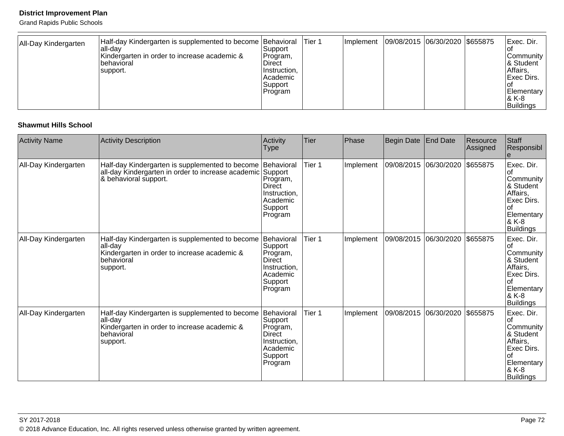Grand Rapids Public Schools

| Buildings | All-Day Kindergarten | Half-day Kindergarten is supplemented to become Behavioral<br>Iall-dav<br>Kindergarten in order to increase academic &<br>behavioral<br>support. | Support<br>Program,<br>Direct<br>Instruction,<br>Academic<br>Support<br>Program | lTier 1 | Implement | 09/08/2015 06/30/2020 \$655875 |  |  | Exec. Dir.<br>Community<br>1& Student<br>Affairs,<br>Exec Dirs.<br>Elementary<br>$8$ K-8 |
|-----------|----------------------|--------------------------------------------------------------------------------------------------------------------------------------------------|---------------------------------------------------------------------------------|---------|-----------|--------------------------------|--|--|------------------------------------------------------------------------------------------|
|-----------|----------------------|--------------------------------------------------------------------------------------------------------------------------------------------------|---------------------------------------------------------------------------------|---------|-----------|--------------------------------|--|--|------------------------------------------------------------------------------------------|

#### **Shawmut Hills School**

| <b>Activity Name</b> | <b>Activity Description</b>                                                                                                                       | Activity<br>Type                                                                                     | Tier   | Phase     | <b>Begin Date</b> | <b>End Date</b>       | Resource<br>Assigned | Staff<br>Responsibl<br>e                                                                                               |
|----------------------|---------------------------------------------------------------------------------------------------------------------------------------------------|------------------------------------------------------------------------------------------------------|--------|-----------|-------------------|-----------------------|----------------------|------------------------------------------------------------------------------------------------------------------------|
| All-Day Kindergarten | Half-day Kindergarten is supplemented to become Behavioral<br>all-day Kindergarten in order to increase academic Support<br>& behavioral support. | Program,<br><b>Direct</b><br>Instruction,<br>Academic<br>Support<br>Program                          | Tier 1 | Implement |                   | 09/08/2015 06/30/2020 | \$655875             | Exec. Dir.<br>οf<br>Community<br>& Student<br>Affairs,<br>Exec Dirs.<br>lof<br>Elementary<br>& K-8<br><b>Buildings</b> |
| All-Day Kindergarten | Half-day Kindergarten is supplemented to become<br>all-day<br>Kindergarten in order to increase academic &<br>behavioral<br>support.              | Behavioral<br>Support<br>Program,<br><b>Direct</b><br>Instruction,<br>Academic<br>Support<br>Program | Tier 1 | Implement | 09/08/2015        | 06/30/2020            | \$655875             | Exec. Dir.<br>lof<br>Community<br>& Student<br>Affairs,<br>Exec Dirs.<br>Ωf<br>Elementary<br>8 K-8<br>Buildings        |
| All-Day Kindergarten | Half-day Kindergarten is supplemented to become<br>all-day<br>Kindergarten in order to increase academic &<br>behavioral<br>support.              | Behavioral<br>Support<br>Program,<br><b>Direct</b><br>Instruction,<br>Academic<br>Support<br>Program | Tier 1 | Implement | 09/08/2015        | 06/30/2020            | \$655875             | Exec. Dir.<br>lof<br>Community<br>& Student<br>Affairs,<br>Exec Dirs.<br>Ωf<br>Elementary<br>8 K-8<br>Buildings        |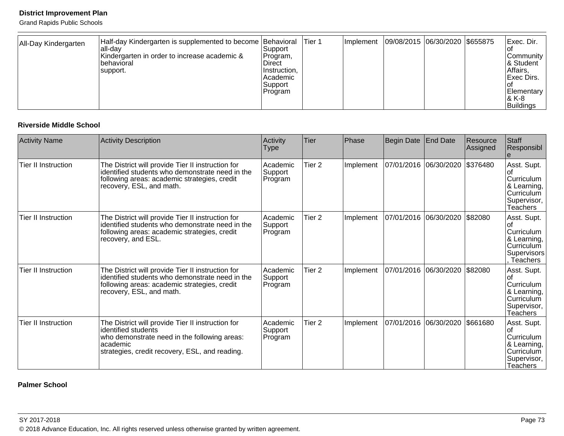Grand Rapids Public Schools

| Half-day Kindergarten is supplemented to become Behavioral<br>All-Day Kindergarten<br>lall-dav<br>Kindergarten in order to increase academic &<br>Ibehavioral<br>support. | Support<br>Program,<br><b>Direct</b><br>Instruction.<br>l Academic<br>Support<br> Program | Tier 1 | Ilmplement |  | 09/08/2015 06/30/2020 \$655875 |  | IExec. Dir.<br>ιuι<br>Community<br>8 Student<br>Affairs,<br><b>Exec Dirs.</b><br>l OT<br>Elementary<br>1& K-8<br><b>Buildings</b> |
|---------------------------------------------------------------------------------------------------------------------------------------------------------------------------|-------------------------------------------------------------------------------------------|--------|------------|--|--------------------------------|--|-----------------------------------------------------------------------------------------------------------------------------------|
|---------------------------------------------------------------------------------------------------------------------------------------------------------------------------|-------------------------------------------------------------------------------------------|--------|------------|--|--------------------------------|--|-----------------------------------------------------------------------------------------------------------------------------------|

#### **Riverside Middle School**

| <b>Activity Name</b>       | <b>Activity Description</b>                                                                                                                                                            | Activity<br><b>Type</b>        | Tier              | Phase     | Begin Date            | <b>End Date</b>       | Resource<br>Assigned | Staff<br>Responsibl                                                                      |
|----------------------------|----------------------------------------------------------------------------------------------------------------------------------------------------------------------------------------|--------------------------------|-------------------|-----------|-----------------------|-----------------------|----------------------|------------------------------------------------------------------------------------------|
| <b>Tier II Instruction</b> | The District will provide Tier II instruction for<br>identified students who demonstrate need in the<br>following areas: academic strategies, credit<br>recovery, ESL, and math.       | Academic<br>Support<br>Program | Tier <sub>2</sub> | Implement |                       | 07/01/2016 06/30/2020 | \$376480             | Asst. Supt.<br>Curriculum<br>& Learning,<br>Curriculum<br>Supervisor,<br><b>Teachers</b> |
| <b>Tier II Instruction</b> | The District will provide Tier II instruction for<br>identified students who demonstrate need in the<br>following areas: academic strategies, credit<br>recovery, and ESL.             | Academic<br>Support<br>Program | Tier 2            | Implement | 07/01/2016 06/30/2020 |                       | \$82080              | Asst. Supt.<br>Curriculum<br>& Learning,<br>Curriculum<br>Supervisors<br>Teachers        |
| <b>Tier II Instruction</b> | The District will provide Tier II instruction for<br>identified students who demonstrate need in the<br>following areas: academic strategies, credit<br>recovery, ESL, and math.       | Academic<br>Support<br>Program | Tier <sub>2</sub> | Implement |                       | 07/01/2016 06/30/2020 | \$82080              | Asst. Supt.<br>Curriculum<br>& Learning,<br>Curriculum<br>Supervisor,<br>Teachers        |
| <b>Tier II Instruction</b> | The District will provide Tier II instruction for<br>identified students<br>who demonstrate need in the following areas:<br>academic<br>strategies, credit recovery, ESL, and reading. | Academic<br>Support<br>Program | Tier <sub>2</sub> | Implement | 07/01/2016            | 06/30/2020            | \$661680             | Asst. Supt.<br>Curriculum<br>& Learning,<br>Curriculum<br>Supervisor,<br><b>Teachers</b> |

#### **Palmer School**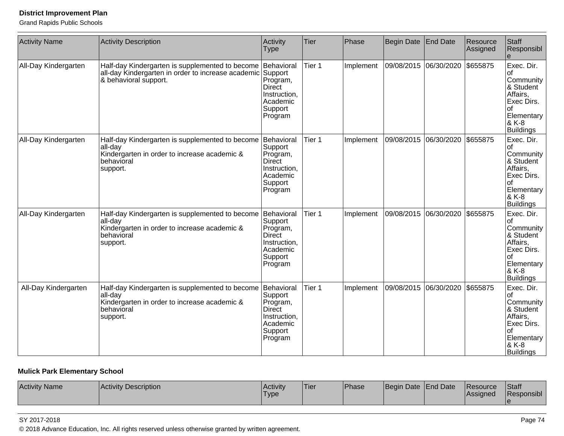Grand Rapids Public Schools

| <b>Activity Name</b> | <b>Activity Description</b>                                                                                                            | Activity<br><b>Type</b>                                                                              | <b>Tier</b> | Phase     | <b>Begin Date</b> | <b>End Date</b>     | Resource<br>Assigned | Staff<br>Responsibl<br>$\theta$                                                                                           |
|----------------------|----------------------------------------------------------------------------------------------------------------------------------------|------------------------------------------------------------------------------------------------------|-------------|-----------|-------------------|---------------------|----------------------|---------------------------------------------------------------------------------------------------------------------------|
| All-Day Kindergarten | Half-day Kindergarten is supplemented to become<br>all-day Kindergarten in order to increase academic Support<br>& behavioral support. | Behavioral<br>Program,<br><b>Direct</b><br>Instruction,<br>Academic<br>Support<br>Program            | Tier 1      | Implement | 09/08/2015        | 06/30/2020          | \$655875             | Exec. Dir.<br>οt<br>Community<br>& Student<br>Affairs,<br>Exec Dirs.<br>οf<br>Elementary<br>& K-8<br><b>Buildings</b>     |
| All-Day Kindergarten | Half-day Kindergarten is supplemented to become<br>all-day<br>Kindergarten in order to increase academic &<br>behavioral<br>support.   | Behavioral<br>Support<br>Program,<br><b>Direct</b><br>Instruction,<br>Academic<br>Support<br>Program | Tier 1      | Implement | 09/08/2015        | 06/30/2020          | \$655875             | Exec. Dir.<br>l of<br>Community<br>& Student<br>Affairs,<br>Exec Dirs.<br>l of<br>Elementary<br>8-K K<br><b>Buildings</b> |
| All-Day Kindergarten | Half-day Kindergarten is supplemented to become<br>all-day<br>Kindergarten in order to increase academic &<br>behavioral<br>support.   | Behavioral<br>Support<br>Program,<br><b>Direct</b><br>Instruction,<br>Academic<br>Support<br>Program | Tier 1      | Implement | 09/08/2015        | 06/30/2020          | \$655875             | Exec. Dir.<br>οf<br>Community<br>& Student<br>Affairs,<br>Exec Dirs.<br>l of<br>Elementary<br>& K-8<br><b>Buildings</b>   |
| All-Day Kindergarten | Half-day Kindergarten is supplemented to become<br>all-day<br>Kindergarten in order to increase academic &<br>behavioral<br>support.   | Behavioral<br>Support<br>Program,<br><b>Direct</b><br>Instruction,<br>Academic<br>Support<br>Program | Tier 1      | Implement | 09/08/2015        | 06/30/2020 \$655875 |                      | Exec. Dir.<br>l of<br>Community<br>& Student<br>Affairs,<br>Exec Dirs.<br>Ωf<br>Elementary<br>& K-8<br><b>Buildings</b>   |

# **Mulick Park Elementary School**

| <b>Activity Name</b><br><b>Activity Description</b> | <b>Activity</b><br><sup>1</sup> Type | 'Tier | <b>Phase</b> | Date<br> Begin | I End Date | IResource<br><b>Assigned</b> | Staff<br>Responsibl |
|-----------------------------------------------------|--------------------------------------|-------|--------------|----------------|------------|------------------------------|---------------------|
|-----------------------------------------------------|--------------------------------------|-------|--------------|----------------|------------|------------------------------|---------------------|

#### SY 2017-2018 Page 74

© 2018 Advance Education, Inc. All rights reserved unless otherwise granted by written agreement.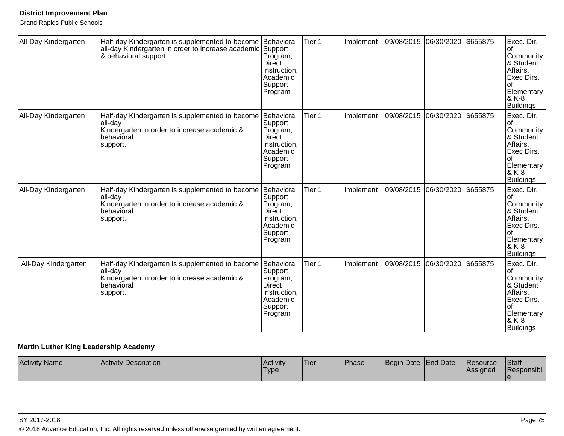Grand Rapids Public Schools

| All-Day Kindergarten | Half-day Kindergarten is supplemented to become Behavioral<br>all-day Kindergarten in order to increase academic Support<br>& behavioral support. | Program,<br><b>Direct</b><br>Instruction,<br>Academic<br>Support<br>Program                          | Tier 1 | Implement | 09/08/2015 | 06/30/2020 | \$655875 | Exec. Dir.<br>Community<br>& Student<br>Affairs,<br>Exec Dirs.<br>Ωf<br><b>Elementary</b><br>& K-8<br><b>Buildings</b>  |
|----------------------|---------------------------------------------------------------------------------------------------------------------------------------------------|------------------------------------------------------------------------------------------------------|--------|-----------|------------|------------|----------|-------------------------------------------------------------------------------------------------------------------------|
| All-Day Kindergarten | Half-day Kindergarten is supplemented to become<br>all-day<br>Kindergarten in order to increase academic &<br>behavioral<br>support.              | Behavioral<br>Support<br>Program,<br><b>Direct</b><br>Instruction,<br>Academic<br>Support<br>Program | Tier 1 | Implement | 09/08/2015 | 06/30/2020 | \$655875 | Exec. Dir.<br>οf<br>Community<br>& Student<br>Affairs,<br>Exec Dirs.<br>Ωf<br>Elementary<br>& K-8<br><b>Buildings</b>   |
| All-Day Kindergarten | Half-day Kindergarten is supplemented to become<br>all-day<br>Kindergarten in order to increase academic &<br>behavioral<br>support.              | Behavioral<br>Support<br>Program,<br><b>Direct</b><br>Instruction,<br>Academic<br>Support<br>Program | Tier 1 | Implement | 09/08/2015 | 06/30/2020 | \$655875 | Exec. Dir.<br>Ωf<br>Community<br>& Student<br>Affairs,<br>Exec Dirs.<br>οf<br>Elementary<br>& K-8<br><b>Buildings</b>   |
| All-Day Kindergarten | Half-day Kindergarten is supplemented to become<br>all-day<br>Kindergarten in order to increase academic &<br>behavioral<br>support.              | Behavioral<br>Support<br>Program,<br><b>Direct</b><br>Instruction,<br>Academic<br>Support<br>Program | Tier 1 | Implement | 09/08/2015 | 06/30/2020 | \$655875 | Exec. Dir.<br>Ωf<br>Community<br>& Student<br>Affairs,<br>Exec Dirs.<br>l of<br>Elementary<br>& K-8<br><b>Buildings</b> |

## **Martin Luther King Leadership Academy**

| <b>Activity Name</b> | Activity Description | <b>Activity</b><br>'Type | 'Tier | 'Phase | Begin Date End Date | <b>IResource</b><br><b>IAssianed</b> | <b>Staff</b><br>Responsibl |
|----------------------|----------------------|--------------------------|-------|--------|---------------------|--------------------------------------|----------------------------|
|                      |                      |                          |       |        |                     |                                      |                            |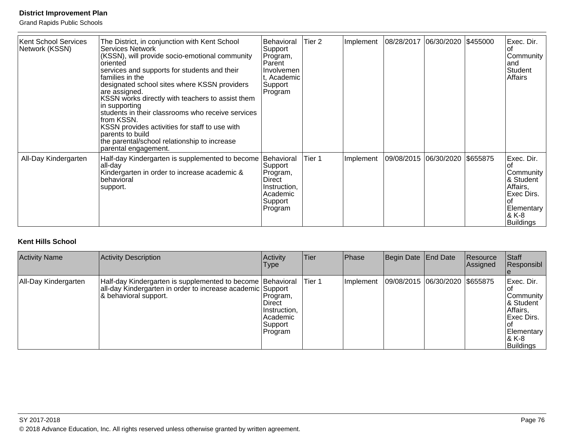Grand Rapids Public Schools

| <b>Kent School Services</b><br>Network (KSSN) | The District, in conjunction with Kent School<br>Services Network<br>(KSSN), will provide socio-emotional community<br>oriented<br>services and supports for students and their<br>families in the<br>designated school sites where KSSN providers<br>are assigned.<br>KSSN works directly with teachers to assist them<br>in supporting<br>students in their classrooms who receive services<br>from KSSN.<br>KSSN provides activities for staff to use with<br>parents to build<br>the parental/school relationship to increase | <b>Behavioral</b><br>Support<br>Program,<br>Parent<br>Involvemen<br>t, Academic<br>Support<br>Program | Tier 2 | Implement | 08/28/2017 06/30/2020 \$455000 |          | Exec. Dir.<br>οt<br>Community<br>and<br>Student<br>Affairs                                                      |
|-----------------------------------------------|-----------------------------------------------------------------------------------------------------------------------------------------------------------------------------------------------------------------------------------------------------------------------------------------------------------------------------------------------------------------------------------------------------------------------------------------------------------------------------------------------------------------------------------|-------------------------------------------------------------------------------------------------------|--------|-----------|--------------------------------|----------|-----------------------------------------------------------------------------------------------------------------|
| All-Day Kindergarten                          | parental engagement.<br>Half-day Kindergarten is supplemented to become<br>all-day<br>Kindergarten in order to increase academic &<br>behavioral<br>support.                                                                                                                                                                                                                                                                                                                                                                      | Behavioral<br>Support<br>Program,<br>Direct<br>Instruction,<br>Academic<br>Support<br>Program         | Tier 1 | Implement | 09/08/2015 06/30/2020          | \$655875 | Exec. Dir.<br>Community<br>& Student<br>Affairs,<br>Exec Dirs.<br>Ωf<br>Elementary<br>& K-8<br><b>Buildings</b> |

#### **Kent Hills School**

| <b>Activity Name</b> | <b>Activity Description</b>                                                                                                                       | Activity<br>Type                                                            | <b>Tier</b> | Phase     | Begin Date End Date            | Resource<br>Assigned | <b>Staff</b><br>Responsibl                                                                            |
|----------------------|---------------------------------------------------------------------------------------------------------------------------------------------------|-----------------------------------------------------------------------------|-------------|-----------|--------------------------------|----------------------|-------------------------------------------------------------------------------------------------------|
| All-Day Kindergarten | Half-day Kindergarten is supplemented to become Behavioral<br>all-day Kindergarten in order to increase academic Support<br>& behavioral support. | Program,<br>Direct<br>Instruction,<br>Academic<br>Support<br><b>Program</b> | Tier 1      | Implement | 09/08/2015 06/30/2020 \$655875 |                      | Exec. Dir.<br> Community<br>I& Student<br>Affairs,<br>lExec Dirs.<br>Elementary<br>8 K-8<br>Buildings |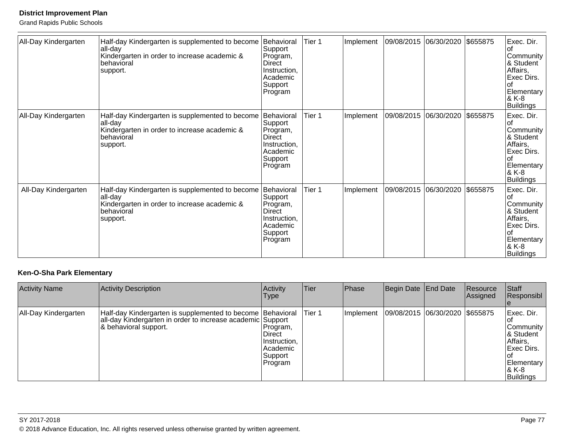Grand Rapids Public Schools

| All-Day Kindergarten | Half-day Kindergarten is supplemented to become                                                                                      | Behavioral                                                                                           | Tier 1 | Implement | 09/08/2015 06/30/2020 |                                | \$655875 | Exec. Dir.                                                                                                      |
|----------------------|--------------------------------------------------------------------------------------------------------------------------------------|------------------------------------------------------------------------------------------------------|--------|-----------|-----------------------|--------------------------------|----------|-----------------------------------------------------------------------------------------------------------------|
|                      | all-day<br>Kindergarten in order to increase academic &<br>behavioral<br>support.                                                    | Support<br>Program,<br>Direct<br>Instruction,<br>Academic<br>Support<br>Program                      |        |           |                       |                                |          | οt<br>Community<br>& Student<br>Affairs,<br>Exec Dirs.<br>of<br>Elementary<br>8 K-8<br>Buildings                |
| All-Day Kindergarten | Half-day Kindergarten is supplemented to become<br>all-day<br>Kindergarten in order to increase academic &<br>behavioral<br>support. | Behavioral<br>Support<br>Program,<br><b>Direct</b><br>Instruction,<br>Academic<br>Support<br>Program | Tier 1 | Implement |                       | 09/08/2015 06/30/2020 \$655875 |          | Exec. Dir.<br>οt<br>Community<br>& Student<br>Affairs,<br>Exec Dirs.<br>Ωf<br>Elementary<br>& K-8<br>Buildings  |
| All-Day Kindergarten | Half-day Kindergarten is supplemented to become<br>all-day<br>Kindergarten in order to increase academic &<br>behavioral<br>support. | Behavioral<br>Support<br>Program,<br><b>Direct</b><br>Instruction,<br>Academic<br>Support<br>Program | Tier 1 | Implement | 09/08/2015            | 06/30/2020                     | \$655875 | Exec. Dir.<br>Ωf<br>Community<br>& Student<br>Affairs,<br>Exec Dirs.<br>lof<br>Elementary<br>& K-8<br>Buildings |

# **Ken-O-Sha Park Elementary**

| <b>Activity Name</b> | <b>Activity Description</b>                                                                                                                       | Activity<br>Type                                                             | Tier    | Phase     | Begin Date End Date |                                | Resource<br>Assigned | <b>Staff</b><br>Responsibl                                                                                        |
|----------------------|---------------------------------------------------------------------------------------------------------------------------------------------------|------------------------------------------------------------------------------|---------|-----------|---------------------|--------------------------------|----------------------|-------------------------------------------------------------------------------------------------------------------|
| All-Day Kindergarten | Half-day Kindergarten is supplemented to become Behavioral<br>all-day Kindergarten in order to increase academic Support<br>& behavioral support. | Program,<br><b>IDirect</b><br>Instruction,<br>Academic<br>Support<br>Program | lTier 1 | Implement |                     | 09/08/2015 06/30/2020 \$655875 |                      | Exec. Dir.<br>Community<br>8. Student<br>Affairs,<br><b>Exec Dirs.</b><br><b>Elementary</b><br>8 K-8<br>Buildings |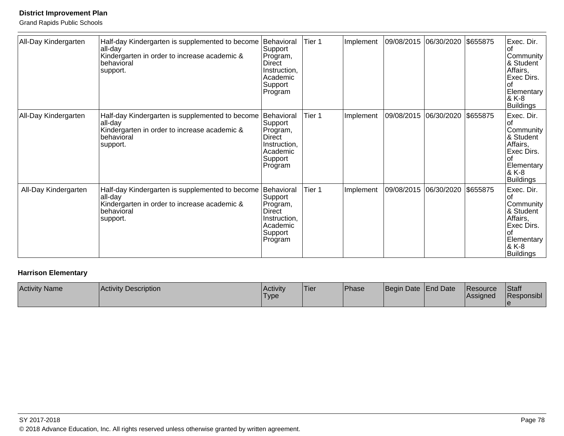Grand Rapids Public Schools

| All-Day Kindergarten | Half-day Kindergarten is supplemented to become<br>all-day<br>Kindergarten in order to increase academic &<br>behavioral<br>support. | Behavioral<br>Support<br>Program,<br>Direct<br>Instruction,<br>Academic<br>Support<br>Program        | Tier 1 | Implement | 09/08/2015            | 06/30/2020 | \$655875 | Exec. Dir.<br>οf<br>Community<br>& Student<br>Affairs,<br>Exec Dirs.<br>Ωf<br>Elementary<br>& K-8<br><b>Buildings</b>   |
|----------------------|--------------------------------------------------------------------------------------------------------------------------------------|------------------------------------------------------------------------------------------------------|--------|-----------|-----------------------|------------|----------|-------------------------------------------------------------------------------------------------------------------------|
| All-Day Kindergarten | Half-day Kindergarten is supplemented to become<br>all-day<br>Kindergarten in order to increase academic &<br>behavioral<br>support. | Behavioral<br>Support<br>Program,<br>Direct<br>Instruction,<br>Academic<br>Support<br>Program        | Tier 1 | Implement | 09/08/2015 06/30/2020 |            | \$655875 | Exec. Dir.<br>Ωt<br>Community<br>& Student<br>Affairs,<br>Exec Dirs.<br>Ωt<br>Elementary<br>& K-8<br>Buildings          |
| All-Day Kindergarten | Half-day Kindergarten is supplemented to become<br>all-day<br>Kindergarten in order to increase academic &<br>behavioral<br>support. | Behavioral<br>Support<br>Program,<br><b>Direct</b><br>Instruction,<br>Academic<br>Support<br>Program | Tier 1 | Implement | 09/08/2015            | 06/30/2020 | \$655875 | Exec. Dir.<br>Οf<br>Community<br>& Student<br>Affairs,<br><b>Exec Dirs.</b><br>lof<br>Elementary<br>$8K-8$<br>Buildings |

## **Harrison Elementary**

| <b>Activity Name</b> | Activity Description | <b>Activity</b><br><b>Type</b> | 'Tier | Phase | Begin Date End Date | <b>Resource</b><br><b>IAssigned</b> | Staff<br>Responsibl |
|----------------------|----------------------|--------------------------------|-------|-------|---------------------|-------------------------------------|---------------------|
|                      |                      |                                |       |       |                     |                                     |                     |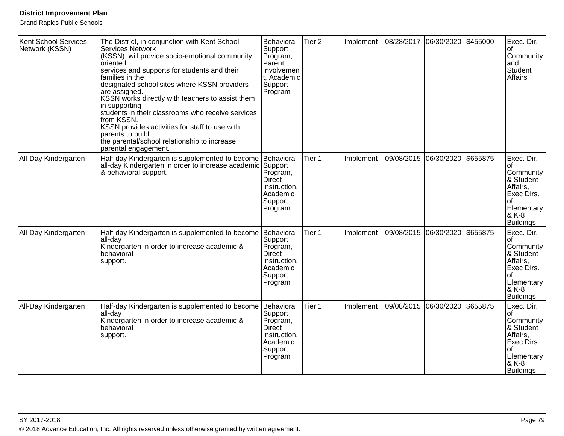| <b>Kent School Services</b><br>Network (KSSN) | The District, in conjunction with Kent School<br><b>Services Network</b><br>(KSSN), will provide socio-emotional community<br>oriented<br>services and supports for students and their<br>families in the<br>designated school sites where KSSN providers<br>are assigned.<br>KSSN works directly with teachers to assist them<br>in supporting<br>students in their classrooms who receive services<br>from KSSN.<br>KSSN provides activities for staff to use with<br>parents to build<br>the parental/school relationship to increase<br>parental engagement. | Behavioral<br>Support<br>Program,<br>Parent<br>Involvemen<br>t, Academic<br>Support<br>Program       | Tier <sub>2</sub> | Implement | 08/28/2017 | 06/30/2020 \$455000 |          | Exec. Dir.<br>l of<br>Community<br>and<br>Student<br>Affairs                                                                 |
|-----------------------------------------------|------------------------------------------------------------------------------------------------------------------------------------------------------------------------------------------------------------------------------------------------------------------------------------------------------------------------------------------------------------------------------------------------------------------------------------------------------------------------------------------------------------------------------------------------------------------|------------------------------------------------------------------------------------------------------|-------------------|-----------|------------|---------------------|----------|------------------------------------------------------------------------------------------------------------------------------|
| All-Day Kindergarten                          | Half-day Kindergarten is supplemented to become<br>all-day Kindergarten in order to increase academic Support<br>& behavioral support.                                                                                                                                                                                                                                                                                                                                                                                                                           | Behavioral<br>Program,<br><b>Direct</b><br>Instruction,<br>Academic<br>Support<br>Program            | Tier 1            | Implement | 09/08/2015 | 06/30/2020          | \$655875 | Exec. Dir.<br>Ωf<br>Community<br>& Student<br>Affairs,<br>Exec Dirs.<br>l of<br>Elementary<br>& K-8<br><b>Buildings</b>      |
| All-Day Kindergarten                          | Half-day Kindergarten is supplemented to become<br>all-day<br>Kindergarten in order to increase academic &<br>behavioral<br>support.                                                                                                                                                                                                                                                                                                                                                                                                                             | Behavioral<br>Support<br>Program,<br><b>Direct</b><br>Instruction,<br>Academic<br>Support<br>Program | Tier 1            | Implement | 09/08/2015 | 06/30/2020          | \$655875 | Exec. Dir.<br>l of<br>Community<br>& Student<br>Affairs,<br>Exec Dirs.<br>οf<br>Elementary<br>& K-8<br><b>Buildings</b>      |
| All-Day Kindergarten                          | Half-day Kindergarten is supplemented to become<br>all-day<br>Kindergarten in order to increase academic &<br>behavioral<br>support.                                                                                                                                                                                                                                                                                                                                                                                                                             | Behavioral<br>Support<br>Program,<br>Direct<br>Instruction,<br>Academic<br>Support<br>Program        | Tier 1            | Implement | 09/08/2015 | 06/30/2020 \$655875 |          | Exec. Dir.<br><b>of</b><br>Community<br>& Student<br>Affairs,<br>Exec Dirs.<br>Ωf<br>Elementary<br>& K-8<br><b>Buildings</b> |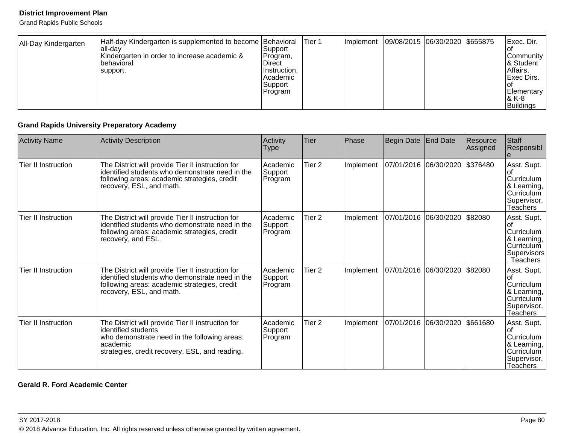Grand Rapids Public Schools

| All-Day Kindergarten | Half-day Kindergarten is supplemented to become Behavioral<br>lall-dav<br>Kindergarten in order to increase academic &<br>Ibehavioral<br>support. | Support<br>Program,<br><b>Direct</b><br>Instruction.<br>l Academic<br>Support<br> Program | Tier 1 | <b>Ilmplement</b> | 09/08/2015 06/30/2020 \$655875 |  | Exec. Dir.<br>ιoι<br>Community<br>8 Student<br>Affairs,<br><b>IExec Dirs.</b><br><b>Elementary</b><br>1& K-8 |
|----------------------|---------------------------------------------------------------------------------------------------------------------------------------------------|-------------------------------------------------------------------------------------------|--------|-------------------|--------------------------------|--|--------------------------------------------------------------------------------------------------------------|
|                      |                                                                                                                                                   |                                                                                           |        |                   |                                |  | Buildings                                                                                                    |

## **Grand Rapids University Preparatory Academy**

| <b>Activity Name</b>       | <b>Activity Description</b>                                                                                                                                                            | Activity<br><b>Type</b>        | Tier              | Phase     | Begin Date            | <b>End Date</b>       | Resource<br>Assigned | Staff<br>Responsibl                                                                      |
|----------------------------|----------------------------------------------------------------------------------------------------------------------------------------------------------------------------------------|--------------------------------|-------------------|-----------|-----------------------|-----------------------|----------------------|------------------------------------------------------------------------------------------|
| <b>Tier II Instruction</b> | The District will provide Tier II instruction for<br>identified students who demonstrate need in the<br>following areas: academic strategies, credit<br>recovery, ESL, and math.       | Academic<br>Support<br>Program | Tier <sub>2</sub> | Implement |                       | 07/01/2016 06/30/2020 | \$376480             | Asst. Supt.<br>Curriculum<br>& Learning,<br>Curriculum<br>Supervisor,<br><b>Teachers</b> |
| <b>Tier II Instruction</b> | The District will provide Tier II instruction for<br>identified students who demonstrate need in the<br>following areas: academic strategies, credit<br>recovery, and ESL.             | Academic<br>Support<br>Program | Tier 2            | Implement | 07/01/2016 06/30/2020 |                       | \$82080              | Asst. Supt.<br>Curriculum<br>& Learning,<br>Curriculum<br>Supervisors<br>Teachers        |
| <b>Tier II Instruction</b> | The District will provide Tier II instruction for<br>identified students who demonstrate need in the<br>following areas: academic strategies, credit<br>recovery, ESL, and math.       | Academic<br>Support<br>Program | Tier <sub>2</sub> | Implement |                       | 07/01/2016 06/30/2020 | \$82080              | Asst. Supt.<br>Curriculum<br>& Learning,<br>Curriculum<br>Supervisor,<br>Teachers        |
| <b>Tier II Instruction</b> | The District will provide Tier II instruction for<br>identified students<br>who demonstrate need in the following areas:<br>academic<br>strategies, credit recovery, ESL, and reading. | Academic<br>Support<br>Program | Tier <sub>2</sub> | Implement | 07/01/2016            | 06/30/2020            | \$661680             | Asst. Supt.<br>Curriculum<br>& Learning,<br>Curriculum<br>Supervisor,<br><b>Teachers</b> |

#### **Gerald R. Ford Academic Center**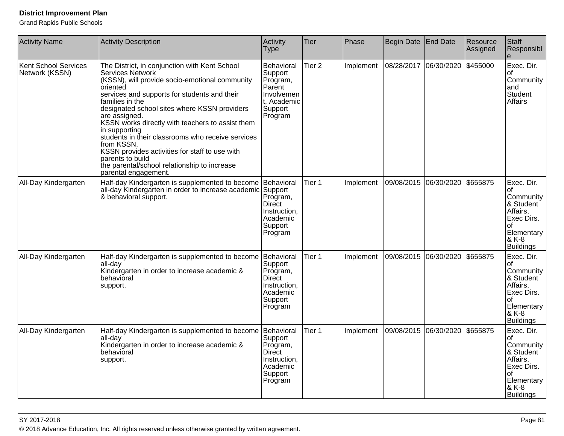| <b>Activity Name</b>                          | <b>Activity Description</b>                                                                                                                                                                                                                                                                                                                                                                                                                                                                                                                                      | Activity<br><b>Type</b>                                                                              | <b>Tier</b>       | Phase     | Begin Date | <b>End Date</b>       | Resource<br>Assigned | Staff<br>Responsibl                                                                                                   |
|-----------------------------------------------|------------------------------------------------------------------------------------------------------------------------------------------------------------------------------------------------------------------------------------------------------------------------------------------------------------------------------------------------------------------------------------------------------------------------------------------------------------------------------------------------------------------------------------------------------------------|------------------------------------------------------------------------------------------------------|-------------------|-----------|------------|-----------------------|----------------------|-----------------------------------------------------------------------------------------------------------------------|
| <b>Kent School Services</b><br>Network (KSSN) | The District, in conjunction with Kent School<br><b>Services Network</b><br>(KSSN), will provide socio-emotional community<br>oriented<br>services and supports for students and their<br>families in the<br>designated school sites where KSSN providers<br>are assigned.<br>KSSN works directly with teachers to assist them<br>in supporting<br>students in their classrooms who receive services<br>from KSSN.<br>KSSN provides activities for staff to use with<br>parents to build<br>the parental/school relationship to increase<br>parental engagement. | Behavioral<br>Support<br>Program,<br>Parent<br>Involvemen<br>t, Academic<br>Support<br>Program       | Tier <sub>2</sub> | Implement | 08/28/2017 | 06/30/2020            | \$455000             | Exec. Dir.<br>οf<br>Community<br>and<br>Student<br><b>Affairs</b>                                                     |
| All-Day Kindergarten                          | Half-day Kindergarten is supplemented to become<br>all-day Kindergarten in order to increase academic<br>& behavioral support.                                                                                                                                                                                                                                                                                                                                                                                                                                   | Behavioral<br>Support<br>Program,<br><b>Direct</b><br>Instruction,<br>Academic<br>Support<br>Program | Tier 1            | Implement | 09/08/2015 | 06/30/2020            | \$655875             | Exec. Dir.<br>οf<br>Community<br>& Student<br>Affairs,<br>Exec Dirs.<br>οf<br>Elementary<br>& K-8<br><b>Buildings</b> |
| All-Day Kindergarten                          | Half-day Kindergarten is supplemented to become<br>all-day<br>Kindergarten in order to increase academic &<br>behavioral<br>support.                                                                                                                                                                                                                                                                                                                                                                                                                             | Behavioral<br>Support<br>Program,<br><b>Direct</b><br>Instruction,<br>Academic<br>Support<br>Program | Tier 1            | Implement |            | 09/08/2015 06/30/2020 | \$655875             | Exec. Dir.<br>οf<br>Community<br>& Student<br>Affairs,<br>Exec Dirs.<br>οf<br>Elementary<br>& K-8<br><b>Buildings</b> |
| All-Day Kindergarten                          | Half-day Kindergarten is supplemented to become<br>all-day<br>Kindergarten in order to increase academic &<br>behavioral<br>support.                                                                                                                                                                                                                                                                                                                                                                                                                             | Behavioral<br>Support<br>Program,<br>Direct<br>Instruction,<br>Academic<br>Support<br>Program        | Tier 1            | Implement | 09/08/2015 | 06/30/2020            | \$655875             | Exec. Dir.<br>of<br>Community<br>& Student<br>Affairs,<br>Exec Dirs.<br>οf<br>Elementary<br>& K-8<br><b>Buildings</b> |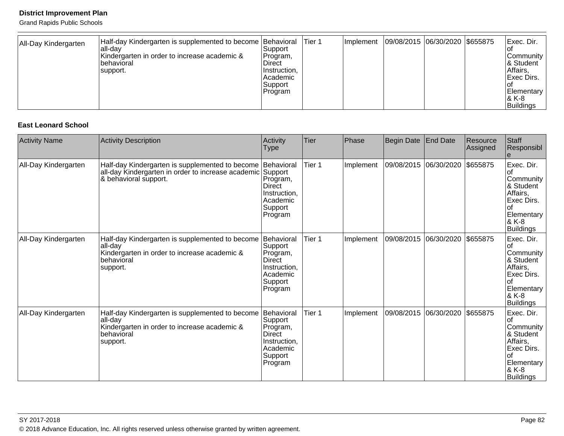Grand Rapids Public Schools

| All-Day Kindergarten | Half-day Kindergarten is supplemented to become Behavioral<br>lall-dav<br>Kindergarten in order to increase academic &<br>Ibehavioral<br>support. | Support<br>Program,<br>Direct<br>Instruction,<br>Academic<br>Support<br>Program | ITier 1 | <b>Ilmplement</b> | 09/08/2015 06/30/2020 \$655875 |  | Exec. Dir.<br>Community<br>1& Student<br>Affairs,<br><b>IExec Dirs.</b><br>Elementary<br>8 K-8 |
|----------------------|---------------------------------------------------------------------------------------------------------------------------------------------------|---------------------------------------------------------------------------------|---------|-------------------|--------------------------------|--|------------------------------------------------------------------------------------------------|
|                      |                                                                                                                                                   |                                                                                 |         |                   |                                |  | Buildings                                                                                      |

#### **East Leonard School**

| <b>Activity Name</b> | <b>Activity Description</b>                                                                                                                       | Activity<br>Type                                                                                     | Tier   | Phase     | <b>Begin Date</b> | <b>End Date</b>       | Resource<br>Assigned | Staff<br>Responsibl<br>e                                                                                               |
|----------------------|---------------------------------------------------------------------------------------------------------------------------------------------------|------------------------------------------------------------------------------------------------------|--------|-----------|-------------------|-----------------------|----------------------|------------------------------------------------------------------------------------------------------------------------|
| All-Day Kindergarten | Half-day Kindergarten is supplemented to become Behavioral<br>all-day Kindergarten in order to increase academic Support<br>& behavioral support. | Program,<br><b>Direct</b><br>Instruction,<br>Academic<br>Support<br>Program                          | Tier 1 | Implement |                   | 09/08/2015 06/30/2020 | \$655875             | Exec. Dir.<br>οf<br>Community<br>& Student<br>Affairs,<br>Exec Dirs.<br>lof<br>Elementary<br>& K-8<br><b>Buildings</b> |
| All-Day Kindergarten | Half-day Kindergarten is supplemented to become<br>all-day<br>Kindergarten in order to increase academic &<br>behavioral<br>support.              | Behavioral<br>Support<br>Program,<br><b>Direct</b><br>Instruction,<br>Academic<br>Support<br>Program | Tier 1 | Implement | 09/08/2015        | 06/30/2020            | \$655875             | Exec. Dir.<br>lof<br>Community<br>& Student<br>Affairs,<br>Exec Dirs.<br>Ωf<br>Elementary<br>8 K-8<br>Buildings        |
| All-Day Kindergarten | Half-day Kindergarten is supplemented to become<br>all-day<br>Kindergarten in order to increase academic &<br>behavioral<br>support.              | Behavioral<br>Support<br>Program,<br><b>Direct</b><br>Instruction,<br>Academic<br>Support<br>Program | Tier 1 | Implement | 09/08/2015        | 06/30/2020            | \$655875             | Exec. Dir.<br>lof<br>Community<br>& Student<br>Affairs,<br>Exec Dirs.<br>Ωf<br>Elementary<br>8 K-8<br>Buildings        |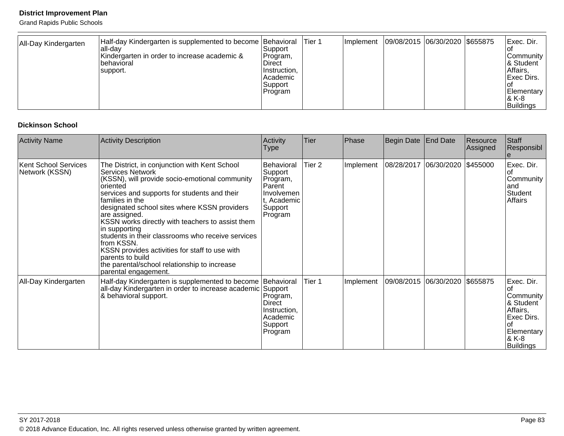Grand Rapids Public Schools

#### **Dickinson School**

| <b>Activity Name</b>                   | <b>Activity Description</b>                                                                                                                                                                                                                                                                                                                                                                                                                                                                                                                               | Activity<br>Type                                                                               | Tier              | Phase     | Begin Date | <b>End Date</b>       | Resource<br>Assigned | Staff<br>Responsibl                                                                                      |
|----------------------------------------|-----------------------------------------------------------------------------------------------------------------------------------------------------------------------------------------------------------------------------------------------------------------------------------------------------------------------------------------------------------------------------------------------------------------------------------------------------------------------------------------------------------------------------------------------------------|------------------------------------------------------------------------------------------------|-------------------|-----------|------------|-----------------------|----------------------|----------------------------------------------------------------------------------------------------------|
| Kent School Services<br>Network (KSSN) | The District, in conjunction with Kent School<br>Services Network<br>(KSSN), will provide socio-emotional community<br>oriented<br>services and supports for students and their<br>families in the<br>designated school sites where KSSN providers<br>are assigned.<br>KSSN works directly with teachers to assist them<br>in supporting<br>students in their classrooms who receive services<br>from KSSN.<br>KSSN provides activities for staff to use with<br>parents to build<br>the parental/school relationship to increase<br>parental engagement. | Behavioral<br>Support<br>Program,<br>Parent<br>Involvemen<br>t, Academic<br>Support<br>Program | Tier <sub>2</sub> | Implement | 08/28/2017 | 06/30/2020 \$455000   |                      | Exec. Dir.<br>Community<br>land<br>Student<br>Affairs                                                    |
| All-Day Kindergarten                   | Half-day Kindergarten is supplemented to become Behavioral<br>all-day Kindergarten in order to increase academic Support<br>& behavioral support.                                                                                                                                                                                                                                                                                                                                                                                                         | Program,<br><b>Direct</b><br>Instruction,<br>Academic<br>Support<br>Program                    | Tier 1            | Implement |            | 09/08/2015 06/30/2020 | \$655875             | Exec. Dir.<br>Community<br>& Student<br>Affairs,<br>Exec Dirs.<br>Ωt<br>Elementary<br>& K-8<br>Buildings |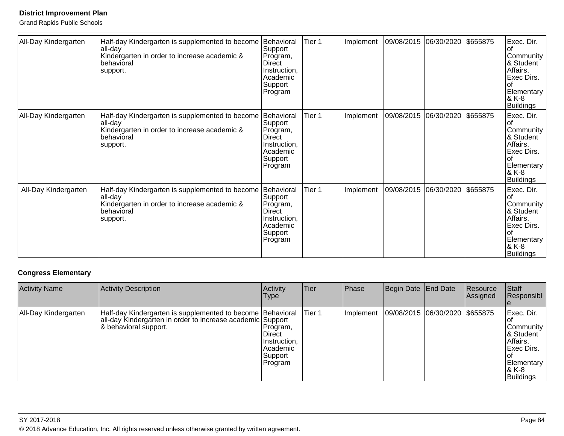Grand Rapids Public Schools

| All-Day Kindergarten | Half-day Kindergarten is supplemented to become<br>all-day<br>Kindergarten in order to increase academic &<br>behavioral<br>support. | Behavioral<br>Support<br>Program,<br>Direct<br>Instruction,<br>Academic<br>Support<br>Program        | Tier 1 | Implement | 09/08/2015 06/30/2020 |                       | \$655875 | Exec. Dir.<br>Community<br>& Student<br>Affairs,<br>Exec Dirs.<br>of<br>Elementary<br>& K-8<br>Buildings              |
|----------------------|--------------------------------------------------------------------------------------------------------------------------------------|------------------------------------------------------------------------------------------------------|--------|-----------|-----------------------|-----------------------|----------|-----------------------------------------------------------------------------------------------------------------------|
| All-Day Kindergarten | Half-day Kindergarten is supplemented to become<br>all-day<br>Kindergarten in order to increase academic &<br>behavioral<br>support. | Behavioral<br>Support<br>Program,<br><b>Direct</b><br>Instruction,<br>Academic<br>Support<br>Program | Tier 1 | Implement |                       | 09/08/2015 06/30/2020 | \$655875 | Exec. Dir.<br>Οt<br>Community<br>& Student<br>Affairs,<br>Exec Dirs.<br>Ωf<br>Elementary<br>8-X K<br><b>Buildings</b> |
| All-Day Kindergarten | Half-day Kindergarten is supplemented to become<br>all-day<br>Kindergarten in order to increase academic &<br>behavioral<br>support. | Behavioral<br>Support<br>Program,<br>Direct<br>Instruction,<br>Academic<br>Support<br>Program        | Tier 1 | Implement | 09/08/2015            | 06/30/2020            | \$655875 | Exec. Dir.<br>οf<br>Community<br>& Student<br>Affairs,<br>Exec Dirs.<br>lof<br>Elementary<br>& K-8<br>Buildings       |

# **Congress Elementary**

| <b>Activity Name</b> | <b>Activity Description</b>                                                                                                                              | Activity<br>Type                                                             | Tier | <b>Phase</b> | Begin Date End Date            | Resource<br>Assigned | Staff<br>Responsibl                                                                                       |
|----------------------|----------------------------------------------------------------------------------------------------------------------------------------------------------|------------------------------------------------------------------------------|------|--------------|--------------------------------|----------------------|-----------------------------------------------------------------------------------------------------------|
| All-Day Kindergarten | Half-day Kindergarten is supplemented to become Behavioral Tier 1<br>all-day Kindergarten in order to increase academic Support<br>& behavioral support. | Program,<br><b>IDirect</b><br>Instruction,<br>Academic<br>Support<br>Program |      | Implement    | 09/08/2015 06/30/2020 \$655875 |                      | Exec. Dir.<br>Community<br>& Student<br>Affairs,<br><b>Exec Dirs.</b><br>Elementary<br>8 K-8<br>Buildings |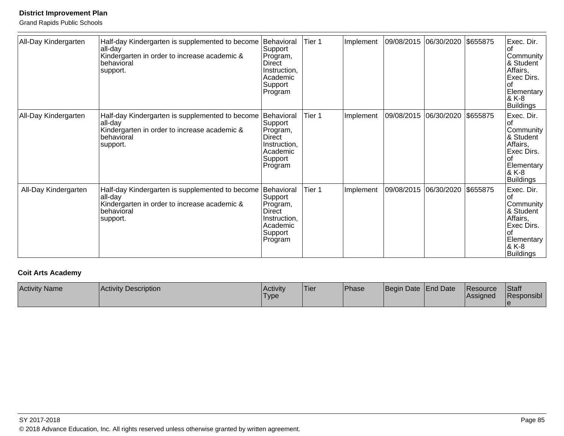Grand Rapids Public Schools

| All-Day Kindergarten | Half-day Kindergarten is supplemented to become<br>all-day<br>Kindergarten in order to increase academic &<br>behavioral<br>support. | Behavioral<br>Support<br>Program,<br>Direct<br>Instruction,<br>Academic<br>Support<br>Program | Tier 1 | Implement | 09/08/2015 06/30/2020 |            | \$655875 | Exec. Dir.<br>Ωt<br>Community<br>& Student<br>Affairs,<br>Exec Dirs.<br>Ωf<br>Elementary<br>& K-8<br><b>Buildings</b> |
|----------------------|--------------------------------------------------------------------------------------------------------------------------------------|-----------------------------------------------------------------------------------------------|--------|-----------|-----------------------|------------|----------|-----------------------------------------------------------------------------------------------------------------------|
| All-Day Kindergarten | Half-day Kindergarten is supplemented to become<br>all-day<br>Kindergarten in order to increase academic &<br>behavioral<br>support. | Behavioral<br>Support<br>Program,<br>Direct<br>Instruction,<br>Academic<br>Support<br>Program | Tier 1 | Implement | 09/08/2015 06/30/2020 |            | \$655875 | Exec. Dir.<br>Community<br>& Student<br>Affairs,<br>Exec Dirs.<br>Ωf<br>Elementary<br>& K-8<br>Buildings              |
| All-Day Kindergarten | Half-day Kindergarten is supplemented to become<br>all-day<br>Kindergarten in order to increase academic &<br>behavioral<br>support. | Behavioral<br>Support<br>Program,<br>Direct<br>Instruction,<br>Academic<br>Support<br>Program | Tier 1 | Implement | 09/08/2015            | 06/30/2020 | \$655875 | Exec. Dir.<br>Ωf<br>Community<br>& Student<br>Affairs,<br>Exec Dirs.<br>lof<br>Elementary<br>& K-8<br>Buildings       |

## **Coit Arts Academy**

| <b>Activity Name</b> | Activity Description | <b>Activity</b><br><b>Type</b> | 'Tier | Phase | Begin Date End Date | <b>Resource</b><br><b>IAssigned</b> | Staff<br>Responsibl |
|----------------------|----------------------|--------------------------------|-------|-------|---------------------|-------------------------------------|---------------------|
|                      |                      |                                |       |       |                     |                                     |                     |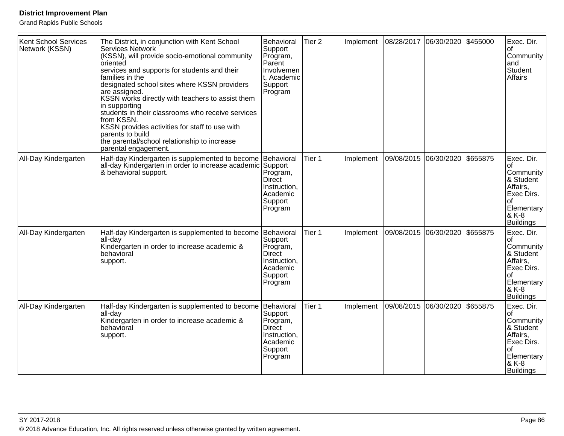| <b>Kent School Services</b><br>Network (KSSN) | The District, in conjunction with Kent School<br><b>Services Network</b><br>(KSSN), will provide socio-emotional community<br>oriented<br>services and supports for students and their<br>families in the<br>designated school sites where KSSN providers<br>are assigned.<br>KSSN works directly with teachers to assist them<br>in supporting<br>students in their classrooms who receive services<br>from KSSN.<br>KSSN provides activities for staff to use with<br>parents to build<br>the parental/school relationship to increase<br>parental engagement. | Behavioral<br>Support<br>Program,<br>Parent<br>Involvemen<br>t, Academic<br>Support<br>Program       | Tier <sub>2</sub> | Implement | 08/28/2017 | 06/30/2020 \$455000 |          | Exec. Dir.<br>l of<br>Community<br>and<br>Student<br>Affairs                                                                 |
|-----------------------------------------------|------------------------------------------------------------------------------------------------------------------------------------------------------------------------------------------------------------------------------------------------------------------------------------------------------------------------------------------------------------------------------------------------------------------------------------------------------------------------------------------------------------------------------------------------------------------|------------------------------------------------------------------------------------------------------|-------------------|-----------|------------|---------------------|----------|------------------------------------------------------------------------------------------------------------------------------|
| All-Day Kindergarten                          | Half-day Kindergarten is supplemented to become<br>all-day Kindergarten in order to increase academic Support<br>& behavioral support.                                                                                                                                                                                                                                                                                                                                                                                                                           | Behavioral<br>Program,<br><b>Direct</b><br>Instruction,<br>Academic<br>Support<br>Program            | Tier 1            | Implement | 09/08/2015 | 06/30/2020          | \$655875 | Exec. Dir.<br>Ωf<br>Community<br>& Student<br>Affairs,<br>Exec Dirs.<br>l of<br>Elementary<br>& K-8<br><b>Buildings</b>      |
| All-Day Kindergarten                          | Half-day Kindergarten is supplemented to become<br>all-day<br>Kindergarten in order to increase academic &<br>behavioral<br>support.                                                                                                                                                                                                                                                                                                                                                                                                                             | Behavioral<br>Support<br>Program,<br><b>Direct</b><br>Instruction,<br>Academic<br>Support<br>Program | Tier 1            | Implement | 09/08/2015 | 06/30/2020          | \$655875 | Exec. Dir.<br>l of<br>Community<br>& Student<br>Affairs,<br>Exec Dirs.<br>οf<br>Elementary<br>& K-8<br><b>Buildings</b>      |
| All-Day Kindergarten                          | Half-day Kindergarten is supplemented to become<br>all-day<br>Kindergarten in order to increase academic &<br>behavioral<br>support.                                                                                                                                                                                                                                                                                                                                                                                                                             | Behavioral<br>Support<br>Program,<br>Direct<br>Instruction,<br>Academic<br>Support<br>Program        | Tier 1            | Implement | 09/08/2015 | 06/30/2020 \$655875 |          | Exec. Dir.<br><b>of</b><br>Community<br>& Student<br>Affairs,<br>Exec Dirs.<br>Ωf<br>Elementary<br>& K-8<br><b>Buildings</b> |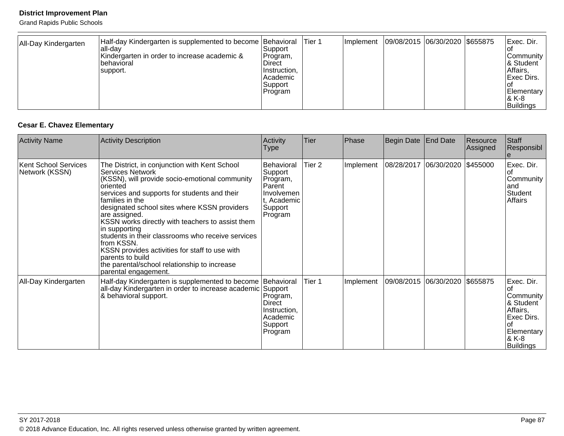Grand Rapids Public Schools

| All-Day Kindergarten | Half-day Kindergarten is supplemented to become Behavioral<br>lall-dav<br>Kindergarten in order to increase academic &<br>Ibehavioral<br>support. | Support<br>Program,<br><b>Direct</b><br>Instruction,<br>IAcademic<br>Support<br> Program | Tier 1 | <b>Implement</b> | 09/08/2015 06/30/2020 \$655875 |  | Exec. Dir.<br>ιoι<br>Community<br>8 Student<br>Affairs,<br><b>Exec Dirs.</b><br>l OT<br>Elementary<br>1& K-8 |
|----------------------|---------------------------------------------------------------------------------------------------------------------------------------------------|------------------------------------------------------------------------------------------|--------|------------------|--------------------------------|--|--------------------------------------------------------------------------------------------------------------|
|                      |                                                                                                                                                   |                                                                                          |        |                  |                                |  | Buildings                                                                                                    |

## **Cesar E. Chavez Elementary**

| <b>Activity Name</b>                   | <b>Activity Description</b>                                                                                                                                                                                                                                                                                                                                                                                                                                                                                                                                      | Activity<br>Type                                                                                      | Tier   | Phase     | Begin Date | <b>End Date</b>                | Resource<br>Assigned | Staff<br>Responsibl                                                                                             |
|----------------------------------------|------------------------------------------------------------------------------------------------------------------------------------------------------------------------------------------------------------------------------------------------------------------------------------------------------------------------------------------------------------------------------------------------------------------------------------------------------------------------------------------------------------------------------------------------------------------|-------------------------------------------------------------------------------------------------------|--------|-----------|------------|--------------------------------|----------------------|-----------------------------------------------------------------------------------------------------------------|
| Kent School Services<br>Network (KSSN) | The District, in conjunction with Kent School<br><b>Services Network</b><br>(KSSN), will provide socio-emotional community<br>oriented<br>services and supports for students and their<br>families in the<br>designated school sites where KSSN providers<br>are assigned.<br>KSSN works directly with teachers to assist them<br>in supporting<br>students in their classrooms who receive services<br>from KSSN.<br>KSSN provides activities for staff to use with<br>parents to build<br>the parental/school relationship to increase<br>parental engagement. | <b>Behavioral</b><br>Support<br>Program,<br>Parent<br>Involvemen<br>t, Academic<br>Support<br>Program | Tier 2 | Implement | 08/28/2017 | 06/30/2020 \$455000            |                      | Exec. Dir.<br>Community<br>land<br>Student<br><b>Affairs</b>                                                    |
| All-Day Kindergarten                   | Half-day Kindergarten is supplemented to become Behavioral<br>all-day Kindergarten in order to increase academic Support<br>& behavioral support.                                                                                                                                                                                                                                                                                                                                                                                                                | Program,<br>Direct<br>Instruction.<br>Academic<br>Support<br>Program                                  | Tier 1 | Implement |            | 09/08/2015 06/30/2020 \$655875 |                      | Exec. Dir.<br>Community<br>& Student<br>Affairs,<br>Exec Dirs.<br>Ωt<br>Elementary<br>& K-8<br><b>Buildings</b> |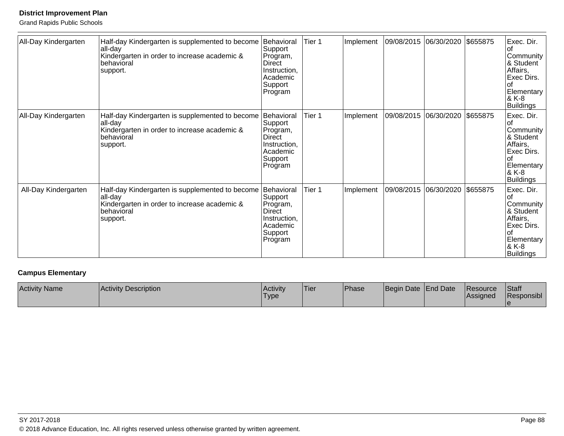Grand Rapids Public Schools

| All-Day Kindergarten | Half-day Kindergarten is supplemented to become<br>all-day<br>Kindergarten in order to increase academic &<br>behavioral<br>support. | Behavioral<br>Support<br>Program,<br>Direct<br>Instruction,<br>Academic<br>Support<br>Program        | Tier 1 | Implement | 09/08/2015            | 06/30/2020 | \$655875 | Exec. Dir.<br>οf<br>Community<br>& Student<br>Affairs,<br>Exec Dirs.<br>Ωf<br>Elementary<br>& K-8<br><b>Buildings</b>   |
|----------------------|--------------------------------------------------------------------------------------------------------------------------------------|------------------------------------------------------------------------------------------------------|--------|-----------|-----------------------|------------|----------|-------------------------------------------------------------------------------------------------------------------------|
| All-Day Kindergarten | Half-day Kindergarten is supplemented to become<br>all-day<br>Kindergarten in order to increase academic &<br>behavioral<br>support. | Behavioral<br>Support<br>Program,<br>Direct<br>Instruction,<br>Academic<br>Support<br>Program        | Tier 1 | Implement | 09/08/2015 06/30/2020 |            | \$655875 | Exec. Dir.<br>Ωt<br>Community<br>& Student<br>Affairs,<br>Exec Dirs.<br>Ωt<br>Elementary<br>& K-8<br>Buildings          |
| All-Day Kindergarten | Half-day Kindergarten is supplemented to become<br>all-day<br>Kindergarten in order to increase academic &<br>behavioral<br>support. | Behavioral<br>Support<br>Program,<br><b>Direct</b><br>Instruction,<br>Academic<br>Support<br>Program | Tier 1 | Implement | 09/08/2015            | 06/30/2020 | \$655875 | Exec. Dir.<br>οf<br>Community<br>& Student<br>Affairs,<br><b>Exec Dirs.</b><br>lof<br>Elementary<br>$8K-8$<br>Buildings |

## **Campus Elementary**

| <b>Activity Name</b> | <b>Activity Description</b> | <b>Activity</b><br><b>Type</b> | 'Tier | <b>Phase</b> | Begin Date End Date | <b>IResource</b><br><b>LAssigned</b> | <b>Staff</b><br>Responsibl |
|----------------------|-----------------------------|--------------------------------|-------|--------------|---------------------|--------------------------------------|----------------------------|
|                      |                             |                                |       |              |                     |                                      |                            |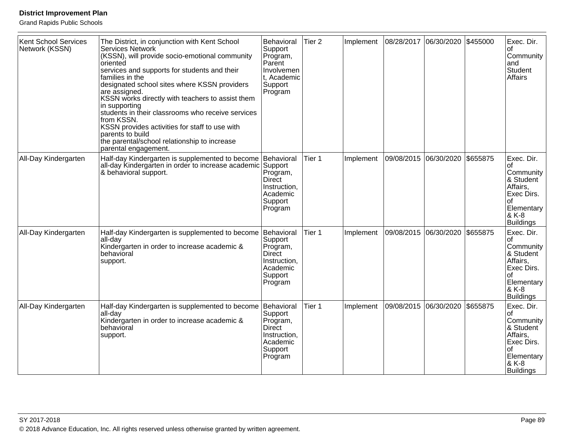| <b>Kent School Services</b><br>Network (KSSN) | The District, in conjunction with Kent School<br><b>Services Network</b><br>(KSSN), will provide socio-emotional community<br>oriented<br>services and supports for students and their<br>families in the<br>designated school sites where KSSN providers<br>are assigned.<br>KSSN works directly with teachers to assist them<br>in supporting<br>students in their classrooms who receive services<br>from KSSN.<br>KSSN provides activities for staff to use with<br>parents to build<br>the parental/school relationship to increase<br>parental engagement. | Behavioral<br>Support<br>Program,<br>Parent<br>Involvemen<br>t, Academic<br>Support<br>Program       | Tier <sub>2</sub> | Implement | 08/28/2017 | 06/30/2020 \$455000 |          | Exec. Dir.<br>l of<br>Community<br>and<br>Student<br>Affairs                                                                 |
|-----------------------------------------------|------------------------------------------------------------------------------------------------------------------------------------------------------------------------------------------------------------------------------------------------------------------------------------------------------------------------------------------------------------------------------------------------------------------------------------------------------------------------------------------------------------------------------------------------------------------|------------------------------------------------------------------------------------------------------|-------------------|-----------|------------|---------------------|----------|------------------------------------------------------------------------------------------------------------------------------|
| All-Day Kindergarten                          | Half-day Kindergarten is supplemented to become<br>all-day Kindergarten in order to increase academic Support<br>& behavioral support.                                                                                                                                                                                                                                                                                                                                                                                                                           | Behavioral<br>Program,<br><b>Direct</b><br>Instruction,<br>Academic<br>Support<br>Program            | Tier 1            | Implement | 09/08/2015 | 06/30/2020          | \$655875 | Exec. Dir.<br>Ωf<br>Community<br>& Student<br>Affairs,<br>Exec Dirs.<br>l of<br>Elementary<br>& K-8<br><b>Buildings</b>      |
| All-Day Kindergarten                          | Half-day Kindergarten is supplemented to become<br>all-day<br>Kindergarten in order to increase academic &<br>behavioral<br>support.                                                                                                                                                                                                                                                                                                                                                                                                                             | Behavioral<br>Support<br>Program,<br><b>Direct</b><br>Instruction,<br>Academic<br>Support<br>Program | Tier 1            | Implement | 09/08/2015 | 06/30/2020          | \$655875 | Exec. Dir.<br>l of<br>Community<br>& Student<br>Affairs,<br>Exec Dirs.<br>οf<br>Elementary<br>& K-8<br><b>Buildings</b>      |
| All-Day Kindergarten                          | Half-day Kindergarten is supplemented to become<br>all-day<br>Kindergarten in order to increase academic &<br>behavioral<br>support.                                                                                                                                                                                                                                                                                                                                                                                                                             | Behavioral<br>Support<br>Program,<br>Direct<br>Instruction,<br>Academic<br>Support<br>Program        | Tier 1            | Implement | 09/08/2015 | 06/30/2020 \$655875 |          | Exec. Dir.<br><b>of</b><br>Community<br>& Student<br>Affairs,<br>Exec Dirs.<br>Ωf<br>Elementary<br>& K-8<br><b>Buildings</b> |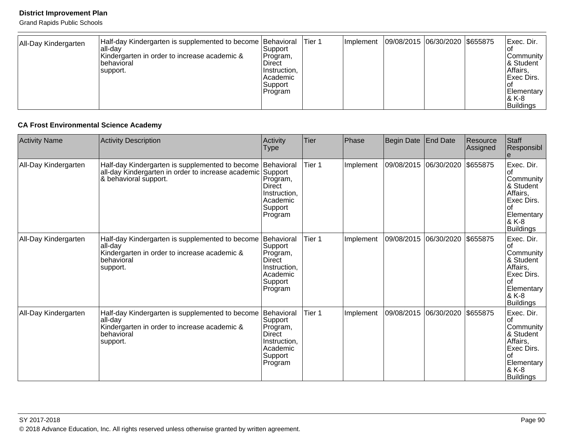Grand Rapids Public Schools

| All-Day Kindergarten | Half-day Kindergarten is supplemented to become Behavioral<br>lall-dav<br>Kindergarten in order to increase academic &<br>Ibehavioral<br>support. | Support<br>Program,<br><b>Direct</b><br>Instruction,<br>IAcademic<br>Support<br> Program | Tier 1 | Implement | 09/08/2015 06/30/2020 \$655875 |  | Exec. Dir.<br>ιoι<br>Community<br>8 Student<br>Affairs,<br><b>Exec Dirs.</b><br>l OT<br>Elementary<br>1& K-8 |
|----------------------|---------------------------------------------------------------------------------------------------------------------------------------------------|------------------------------------------------------------------------------------------|--------|-----------|--------------------------------|--|--------------------------------------------------------------------------------------------------------------|
|                      |                                                                                                                                                   |                                                                                          |        |           |                                |  | Buildings                                                                                                    |

## **CA Frost Environmental Science Academy**

| <b>Activity Name</b> | <b>Activity Description</b>                                                                                                            | Activity<br>Type                                                                                     | Tier   | Phase     | Begin Date | <b>End Date</b> | Resource<br>Assigned | Staff<br>Responsibl                                                                                                   |
|----------------------|----------------------------------------------------------------------------------------------------------------------------------------|------------------------------------------------------------------------------------------------------|--------|-----------|------------|-----------------|----------------------|-----------------------------------------------------------------------------------------------------------------------|
| All-Day Kindergarten | Half-day Kindergarten is supplemented to become<br>all-day Kindergarten in order to increase academic Support<br>& behavioral support. | Behavioral<br>Program,<br>Direct<br>Instruction,<br>Academic<br>Support<br>Program                   | Tier 1 | Implement | 09/08/2015 | 06/30/2020      | \$655875             | Exec. Dir.<br>Community<br>& Student<br>Affairs,<br>Exec Dirs.<br>lof<br>Elementary<br>& K-8<br><b>Buildings</b>      |
| All-Day Kindergarten | Half-day Kindergarten is supplemented to become<br>all-dav<br>Kindergarten in order to increase academic &<br>behavioral<br>support.   | Behavioral<br>Support<br>Program,<br><b>Direct</b><br>Instruction,<br>Academic<br>Support<br>Program | Tier 1 | Implement | 09/08/2015 | 06/30/2020      | \$655875             | Exec. Dir.<br>οt<br>Community<br>& Student<br>Affairs,<br>Exec Dirs.<br>of<br>Elementary<br>8-K K<br><b>Buildings</b> |
| All-Day Kindergarten | Half-day Kindergarten is supplemented to become<br>all-day<br>Kindergarten in order to increase academic &<br>behavioral<br>support.   | Behavioral<br>Support<br>Program,<br>Direct<br>Instruction,<br>Academic<br>Support<br>Program        | Tier 1 | Implement | 09/08/2015 | 06/30/2020      | \$655875             | Exec. Dir.<br>Ωf<br>Community<br>& Student<br>Affairs,<br>Exec Dirs.<br>Elementary<br>8 K-8<br>Buildings              |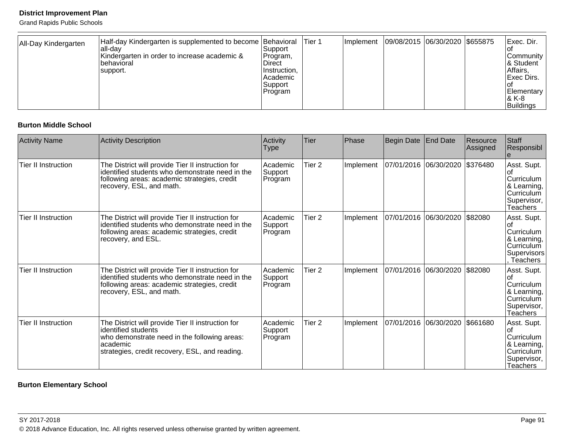Grand Rapids Public Schools

#### **Burton Middle School**

| <b>Activity Name</b>       | <b>Activity Description</b>                                                                                                                                                            | Activity<br>Type               | Tier              | Phase     | Begin Date                    | <b>End Date</b>                | Resource<br>Assigned | Staff<br>Responsibl                                                                        |
|----------------------------|----------------------------------------------------------------------------------------------------------------------------------------------------------------------------------------|--------------------------------|-------------------|-----------|-------------------------------|--------------------------------|----------------------|--------------------------------------------------------------------------------------------|
| <b>Tier II Instruction</b> | The District will provide Tier II instruction for<br>identified students who demonstrate need in the<br>following areas: academic strategies, credit<br>recovery, ESL, and math.       | Academic<br>Support<br>Program | Tier <sub>2</sub> | Implement |                               | 07/01/2016 06/30/2020 \$376480 |                      | Asst. Supt.<br>οt<br>Curriculum<br>& Learning,<br>Curriculum<br>Supervisor,<br>Teachers    |
| <b>Tier II Instruction</b> | The District will provide Tier II instruction for<br>identified students who demonstrate need in the<br>following areas: academic strategies, credit<br>recovery, and ESL.             | Academic<br>Support<br>Program | Tier 2            | Implement | 07/01/2016 06/30/2020         |                                | \$82080              | Asst. Supt.<br>Curriculum  <br>& Learning,<br>Curriculum<br>Supervisors<br>Teachers        |
| <b>Tier II Instruction</b> | The District will provide Tier II instruction for<br>identified students who demonstrate need in the<br>following areas: academic strategies, credit<br>recovery, ESL, and math.       | Academic<br>Support<br>Program | Tier 2            | Implement | 07/01/2016 06/30/2020 \$82080 |                                |                      | Asst. Supt.<br>lot<br>Curriculum  <br>& Learning,<br>Curriculum<br>Supervisor,<br>Teachers |
| <b>Tier II Instruction</b> | The District will provide Tier II instruction for<br>identified students<br>who demonstrate need in the following areas:<br>academic<br>strategies, credit recovery, ESL, and reading. | Academic<br>Support<br>Program | Tier <sub>2</sub> | Implement | 07/01/2016                    | 06/30/2020                     | \$661680             | Asst. Supt.<br>lof<br>Curriculum<br>& Learning,  <br>Curriculum<br>Supervisor,<br>Teachers |

**Burton Elementary School**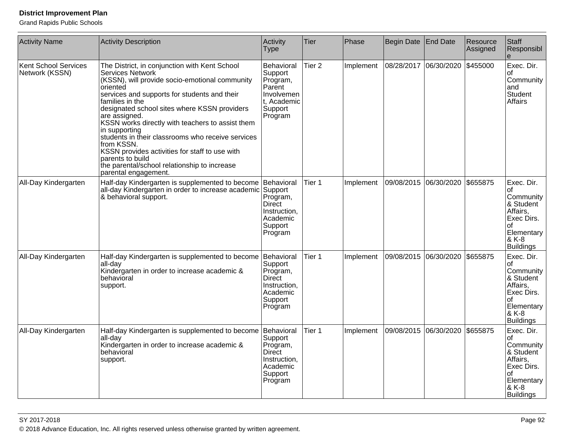| <b>Activity Name</b>                          | <b>Activity Description</b>                                                                                                                                                                                                                                                                                                                                                                                                                                                                                                                                      | Activity<br><b>Type</b>                                                                              | <b>Tier</b>       | Phase     | Begin Date | <b>End Date</b>       | Resource<br>Assigned | Staff<br>Responsibl                                                                                                   |
|-----------------------------------------------|------------------------------------------------------------------------------------------------------------------------------------------------------------------------------------------------------------------------------------------------------------------------------------------------------------------------------------------------------------------------------------------------------------------------------------------------------------------------------------------------------------------------------------------------------------------|------------------------------------------------------------------------------------------------------|-------------------|-----------|------------|-----------------------|----------------------|-----------------------------------------------------------------------------------------------------------------------|
| <b>Kent School Services</b><br>Network (KSSN) | The District, in conjunction with Kent School<br><b>Services Network</b><br>(KSSN), will provide socio-emotional community<br>oriented<br>services and supports for students and their<br>families in the<br>designated school sites where KSSN providers<br>are assigned.<br>KSSN works directly with teachers to assist them<br>in supporting<br>students in their classrooms who receive services<br>from KSSN.<br>KSSN provides activities for staff to use with<br>parents to build<br>the parental/school relationship to increase<br>parental engagement. | Behavioral<br>Support<br>Program,<br>Parent<br>Involvemen<br>t, Academic<br>Support<br>Program       | Tier <sub>2</sub> | Implement | 08/28/2017 | 06/30/2020            | \$455000             | Exec. Dir.<br>οf<br>Community<br>and<br>Student<br><b>Affairs</b>                                                     |
| All-Day Kindergarten                          | Half-day Kindergarten is supplemented to become<br>all-day Kindergarten in order to increase academic<br>& behavioral support.                                                                                                                                                                                                                                                                                                                                                                                                                                   | Behavioral<br>Support<br>Program,<br><b>Direct</b><br>Instruction,<br>Academic<br>Support<br>Program | Tier 1            | Implement | 09/08/2015 | 06/30/2020            | \$655875             | Exec. Dir.<br>οf<br>Community<br>& Student<br>Affairs,<br>Exec Dirs.<br>οf<br>Elementary<br>& K-8<br><b>Buildings</b> |
| All-Day Kindergarten                          | Half-day Kindergarten is supplemented to become<br>all-day<br>Kindergarten in order to increase academic &<br>behavioral<br>support.                                                                                                                                                                                                                                                                                                                                                                                                                             | Behavioral<br>Support<br>Program,<br><b>Direct</b><br>Instruction,<br>Academic<br>Support<br>Program | Tier 1            | Implement |            | 09/08/2015 06/30/2020 | \$655875             | Exec. Dir.<br>οf<br>Community<br>& Student<br>Affairs,<br>Exec Dirs.<br>οf<br>Elementary<br>& K-8<br><b>Buildings</b> |
| All-Day Kindergarten                          | Half-day Kindergarten is supplemented to become<br>all-day<br>Kindergarten in order to increase academic &<br>behavioral<br>support.                                                                                                                                                                                                                                                                                                                                                                                                                             | Behavioral<br>Support<br>Program,<br>Direct<br>Instruction,<br>Academic<br>Support<br>Program        | Tier 1            | Implement | 09/08/2015 | 06/30/2020            | \$655875             | Exec. Dir.<br>of<br>Community<br>& Student<br>Affairs,<br>Exec Dirs.<br>οf<br>Elementary<br>& K-8<br><b>Buildings</b> |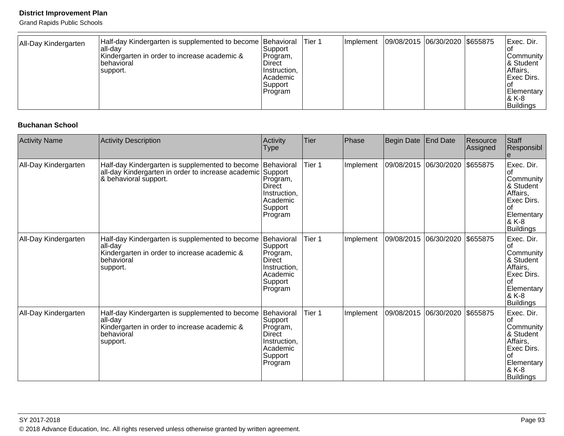Grand Rapids Public Schools

#### **Buchanan School**

| <b>Activity Name</b> | <b>Activity Description</b>                                                                                                                       | Activity<br>Type                                                                                     | Tier   | <b>Phase</b> | Begin Date | <b>End Date</b>       | Resource<br>Assigned | Staff<br>Responsibl                                                                                                   |
|----------------------|---------------------------------------------------------------------------------------------------------------------------------------------------|------------------------------------------------------------------------------------------------------|--------|--------------|------------|-----------------------|----------------------|-----------------------------------------------------------------------------------------------------------------------|
| All-Day Kindergarten | Half-day Kindergarten is supplemented to become Behavioral<br>all-day Kindergarten in order to increase academic Support<br>& behavioral support. | Program,<br>Direct<br>Instruction,<br>Academic<br>Support<br>Program                                 | Tier 1 | Implement    |            | 09/08/2015 06/30/2020 | \$655875             | Exec. Dir.<br>Community<br>& Student<br>Affairs,<br>Exec Dirs.<br>Ωf<br>Elementary<br>& K-8<br><b>Buildings</b>       |
| All-Day Kindergarten | Half-day Kindergarten is supplemented to become<br>all-dav<br>Kindergarten in order to increase academic &<br>behavioral<br>support.              | Behavioral<br>Support<br>Program,<br><b>Direct</b><br>Instruction,<br>Academic<br>Support<br>Program | Tier 1 | Implement    | 09/08/2015 | 06/30/2020            | \$655875             | Exec. Dir.<br>οt<br>Community<br>& Student<br>Affairs,<br>Exec Dirs.<br>Ωf<br>Elementary<br>& K-8<br><b>Buildings</b> |
| All-Day Kindergarten | Half-day Kindergarten is supplemented to become<br>all-day<br>Kindergarten in order to increase academic &<br>behavioral<br>support.              | Behavioral<br>Support<br>Program,<br>Direct<br>Instruction,<br>Academic<br>Support<br>Program        | Tier 1 | Implement    | 09/08/2015 | 06/30/2020            | \$655875             | Exec. Dir.<br>Ωf<br>Community<br>& Student<br>Affairs,<br>Exec Dirs.<br>Elementary<br>& K-8<br><b>Buildings</b>       |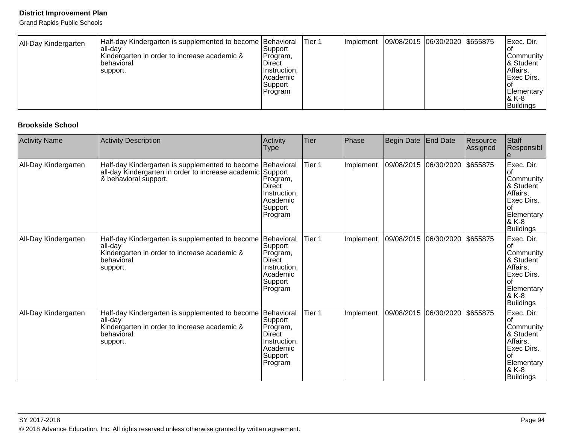Grand Rapids Public Schools

#### **Brookside School**

| <b>Activity Name</b> | <b>Activity Description</b>                                                                                                                       | Activity<br>Type                                                                                     | Tier   | <b>Phase</b> | Begin Date | <b>End Date</b>       | Resource<br>Assigned | Staff<br>Responsibl                                                                                                   |
|----------------------|---------------------------------------------------------------------------------------------------------------------------------------------------|------------------------------------------------------------------------------------------------------|--------|--------------|------------|-----------------------|----------------------|-----------------------------------------------------------------------------------------------------------------------|
| All-Day Kindergarten | Half-day Kindergarten is supplemented to become Behavioral<br>all-day Kindergarten in order to increase academic Support<br>& behavioral support. | Program,<br>Direct<br>Instruction,<br>Academic<br>Support<br>Program                                 | Tier 1 | Implement    |            | 09/08/2015 06/30/2020 | \$655875             | Exec. Dir.<br>Community<br>& Student<br>Affairs,<br>Exec Dirs.<br>Ωf<br>Elementary<br>& K-8<br><b>Buildings</b>       |
| All-Day Kindergarten | Half-day Kindergarten is supplemented to become<br>all-dav<br>Kindergarten in order to increase academic &<br>behavioral<br>support.              | Behavioral<br>Support<br>Program,<br><b>Direct</b><br>Instruction,<br>Academic<br>Support<br>Program | Tier 1 | Implement    | 09/08/2015 | 06/30/2020            | \$655875             | Exec. Dir.<br>οt<br>Community<br>& Student<br>Affairs,<br>Exec Dirs.<br>Ωf<br>Elementary<br>& K-8<br><b>Buildings</b> |
| All-Day Kindergarten | Half-day Kindergarten is supplemented to become<br>all-day<br>Kindergarten in order to increase academic &<br>behavioral<br>support.              | Behavioral<br>Support<br>Program,<br>Direct<br>Instruction,<br>Academic<br>Support<br>Program        | Tier 1 | Implement    | 09/08/2015 | 06/30/2020            | \$655875             | Exec. Dir.<br>Ωf<br>Community<br>& Student<br>Affairs,<br>Exec Dirs.<br>Elementary<br>& K-8<br><b>Buildings</b>       |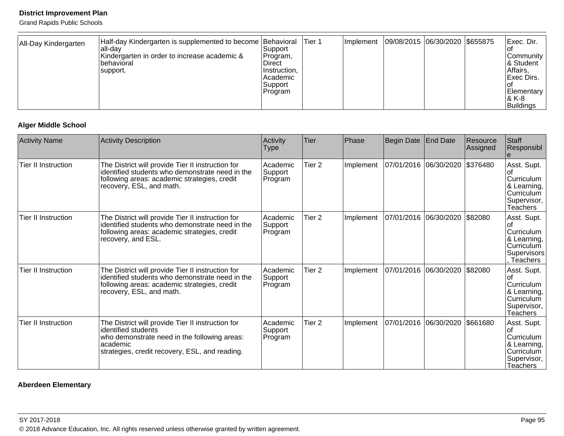Grand Rapids Public Schools

#### **Alger Middle School**

| <b>Activity Name</b>       | <b>Activity Description</b>                                                                                                                                                            | Activity<br>Type               | Tier              | Phase     | Begin Date                    | <b>End Date</b>       | Resource<br>Assigned | Staff<br>Responsibl                                                                          |
|----------------------------|----------------------------------------------------------------------------------------------------------------------------------------------------------------------------------------|--------------------------------|-------------------|-----------|-------------------------------|-----------------------|----------------------|----------------------------------------------------------------------------------------------|
| <b>Tier II Instruction</b> | The District will provide Tier II instruction for<br>identified students who demonstrate need in the<br>following areas: academic strategies, credit<br>recovery, ESL, and math.       | Academic<br>Support<br>Program | Tier <sub>2</sub> | Implement |                               | 07/01/2016 06/30/2020 | \$376480             | Asst. Supt.<br>lot<br>Curriculum  <br>& Learning,  <br>Curriculum<br>Supervisor,<br>Teachers |
| <b>Tier II Instruction</b> | The District will provide Tier II instruction for<br>identified students who demonstrate need in the<br>following areas: academic strategies, credit<br>recovery, and ESL.             | Academic<br>Support<br>Program | Tier 2            | Implement |                               | 07/01/2016 06/30/2020 | \$82080              | Asst. Supt.  <br>Οt<br>Curriculum  <br>& Learning,<br>Curriculum<br>Supervisors<br>Teachers  |
| <b>Tier II Instruction</b> | The District will provide Tier II instruction for<br>identified students who demonstrate need in the<br>following areas: academic strategies, credit<br>recovery, ESL, and math.       | Academic<br>Support<br>Program | Tier <sub>2</sub> | Implement | 07/01/2016 06/30/2020 \$82080 |                       |                      | Asst. Supt.  <br>lof<br>Curriculum  <br>& Learning,<br>Curriculum<br>Supervisor,<br>Teachers |
| <b>Tier II Instruction</b> | The District will provide Tier II instruction for<br>identified students<br>who demonstrate need in the following areas:<br>academic<br>strategies, credit recovery, ESL, and reading. | Academic<br>Support<br>Program | Tier 2            | Implement | 07/01/2016                    | 06/30/2020            | \$661680             | Asst. Supt.<br>lof<br>Curriculum<br>& Learning,  <br>Curriculum<br>Supervisor,<br>Teachers   |

## **Aberdeen Elementary**